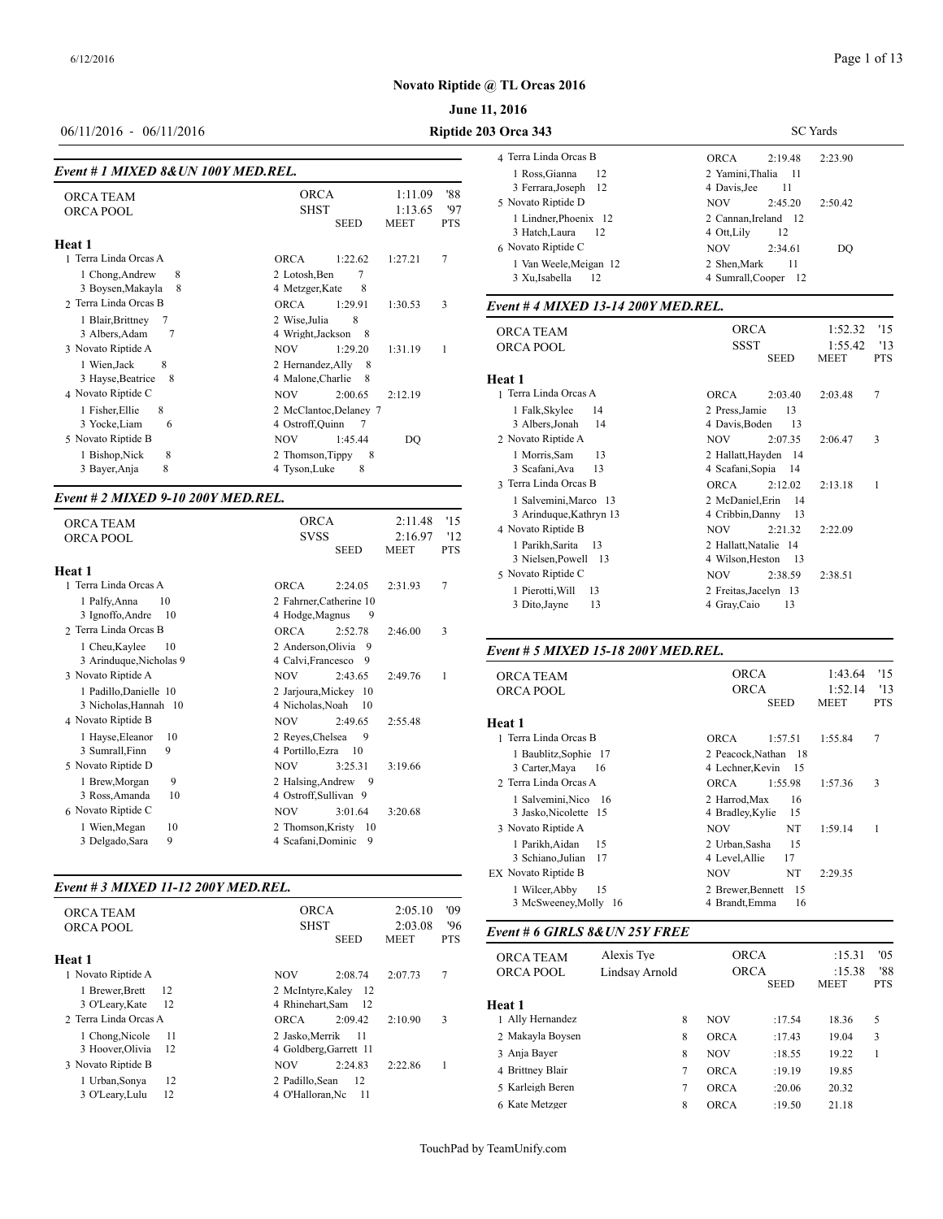#### **June 11, 2016**

# 06/11/2016 - 06/11/2016 **Riptide 203 Orca 343**

#### *Event # 1 MIXED 8&UN 100Y MED.REL.*

| <b>ORCA TEAM</b><br><b>ORCA POOL</b>                                                | <b>ORCA</b><br>1:11.09<br><b>SHST</b><br>1:13.65<br><b>SEED</b><br><b>MEET</b>                                 | '88<br>'97<br><b>PTS</b> | 3 Ferrara, Joseph<br>-12<br>5 Novato Riptide D<br>1 Lindner, Phoenix 12 | 4 Davis, Jee<br><b>NOV</b><br>2:45<br>2 Cannan, Ireland<br>12 |
|-------------------------------------------------------------------------------------|----------------------------------------------------------------------------------------------------------------|--------------------------|-------------------------------------------------------------------------|---------------------------------------------------------------|
| Heat 1                                                                              |                                                                                                                |                          | 3 Hatch, Laura<br>12<br>6 Novato Riptide C                              | 4 Ott, Lily<br><b>NOV</b><br>2:34                             |
| 1 Terra Linda Orcas A<br>8<br>1 Chong, Andrew<br>3 Boysen, Makayla<br>-8            | 1:22.62<br>1:27.21<br><b>ORCA</b><br>2 Lotosh, Ben<br>8<br>4 Metzger, Kate                                     | $\overline{7}$           | 1 Van Weele, Meigan 12<br>3 Xu, Isabella<br>12                          | 2 Shen.Mark<br>4 Sumrall, Cooper                              |
| 2 Terra Linda Orcas B                                                               | <b>ORCA</b><br>1:29.91<br>1:30.53                                                                              | 3                        | Event # 4 MIXED 13-14 200Y MED.REL.                                     |                                                               |
| 7<br>1 Blair, Brittney<br>3 Albers, Adam<br>3 Novato Riptide A<br>8<br>1 Wien, Jack | 8<br>2 Wise, Julia<br>4 Wright, Jackson<br>- 8<br>1:29.20<br>1:31.19<br><b>NOV</b><br>2 Hernandez, Ally<br>- 8 |                          | <b>ORCA TEAM</b><br><b>ORCA POOL</b>                                    | <b>ORCA</b><br><b>SSST</b><br><b>SEE</b>                      |
| 3 Hayse, Beatrice<br>- 8                                                            | 4 Malone, Charlie<br>- 8                                                                                       |                          | Heat 1                                                                  |                                                               |
| 4 Novato Riptide C                                                                  | 2:00.65<br>2:12.19<br><b>NOV</b>                                                                               |                          | 1 Terra Linda Orcas A                                                   | <b>ORCA</b><br>2:03                                           |
| 1 Fisher, Ellie<br>8<br>3 Yocke, Liam<br>6                                          | 2 McClantoc, Delaney 7<br>4 Ostroff, Quinn                                                                     |                          | 14<br>1 Falk, Skylee<br>3 Albers, Jonah<br>14                           | 2 Press, Jamie<br>4 Davis, Boden                              |
| 5 Novato Riptide B                                                                  | <b>NOV</b><br>1:45.44<br>DQ                                                                                    |                          | 2 Novato Riptide A                                                      | 2:07<br><b>NOV</b>                                            |
| 8<br>1 Bishop, Nick<br>8<br>3 Bayer, Anja                                           | 2 Thomson, Tippy<br>8<br>8<br>4 Tyson, Luke                                                                    |                          | 13<br>1 Morris, Sam<br>13<br>3 Scafani, Ava                             | 2 Hallatt, Hayden<br>4 Scafani, Sopia                         |

#### *Event # 2 MIXED 9-10 200Y MED.REL.*

| <b>ORCA TEAM</b><br><b>ORCA POOL</b>            | <b>ORCA</b><br><b>SVSS</b><br><b>SEED</b>            | 2:11.48<br>2:16.97<br><b>MEET</b> | '15<br>'12<br><b>PTS</b> | 3 Arinduque, K<br>4 Novato Riptide<br>1 Parikh, Sarita |
|-------------------------------------------------|------------------------------------------------------|-----------------------------------|--------------------------|--------------------------------------------------------|
| Heat 1                                          |                                                      |                                   |                          | 3 Nielsen, Powe<br>5 Novato Riptide                    |
| 1 Terra Linda Orcas A                           | <b>ORCA</b><br>2:24.05                               | 2:31.93                           | 7                        | 1 Pierotti, Will                                       |
| 10<br>1 Palfy, Anna<br>3 Ignoffo, Andre<br>10   | 2 Fahrner, Catherine 10<br>4 Hodge, Magnus<br>9      |                                   |                          | 3 Dito, Jayne                                          |
| 2 Terra Linda Orcas B                           | <b>ORCA</b><br>2:52.78                               | 2:46.00                           | 3                        |                                                        |
| 10<br>1 Cheu, Kaylee<br>3 Arinduque, Nicholas 9 | 2 Anderson, Olivia<br>- 9<br>4 Calvi, Francesco<br>9 |                                   |                          | Event # 5 MIXE                                         |
| 3 Novato Riptide A                              | <b>NOV</b><br>2.43.65                                | 2.49.76                           | 1                        | <b>ORCA TEAM</b>                                       |
| 1 Padillo, Danielle 10<br>3 Nicholas, Hannah 10 | 2 Jarjoura, Mickey 10<br>4 Nicholas, Noah<br>10      |                                   |                          | <b>ORCA POOL</b>                                       |
| 4 Novato Riptide B                              | 2:49.65<br><b>NOV</b>                                | 2:55.48                           |                          | Heat 1                                                 |
| 1 Hayse, Eleanor<br>10                          | 2 Reves, Chelsea<br>9                                |                                   |                          | 1 Terra Linda Orc                                      |
| 3 Sumrall, Finn<br>9                            | 4 Portillo, Ezra<br>10                               |                                   |                          | 1 Baublitz, Sop                                        |
| 5 Novato Riptide D                              | 3:25.31<br><b>NOV</b>                                | 3:19.66                           |                          | 3 Carter, Maya                                         |
| 9<br>1 Brew, Morgan                             | 2 Halsing, Andrew<br>- 9                             |                                   |                          | 2 Terra Linda Orc                                      |
| 3 Ross, Amanda<br>10                            | 4 Ostroff, Sullivan 9                                |                                   |                          | 1 Salvemini, Ni                                        |
| 6 Novato Riptide C                              | <b>NOV</b><br>3:01.64                                | 3:20.68                           |                          | 3 Jasko, Nicole                                        |
| 10<br>1 Wien, Megan                             | 2 Thomson.Kristy<br>10                               |                                   |                          | 3 Novato Riptide.                                      |
| 9<br>3 Delgado, Sara                            | 4 Scafani, Dominic<br>9                              |                                   |                          | 1 Parikh Aidan                                         |

#### *Event # 3 MIXED 11-12 200Y MED.REL.*

| <b>ORCA TEAM</b>                                     | <b>ORCA</b>                                        | 2:05.10                | 3 McSweeney, Molly 16<br>'09 |                                      |                              | 4 Brandt, Emma             | 16          |                  |
|------------------------------------------------------|----------------------------------------------------|------------------------|------------------------------|--------------------------------------|------------------------------|----------------------------|-------------|------------------|
| ORCA POOL                                            | <b>SHST</b><br><b>SEED</b>                         | 2:03.08<br><b>MEET</b> | '96<br><b>PTS</b>            | Event # 6 GIRLS 8& UN 25Y FREE       |                              |                            |             |                  |
| Heat 1<br>1 Novato Riptide A                         | <b>NOV</b><br>2:08.74                              | 2:07.73                | 7                            | <b>ORCA TEAM</b><br><b>ORCA POOL</b> | Alexis Tve<br>Lindsay Arnold | <b>ORCA</b><br><b>ORCA</b> |             | :15.31<br>:15.38 |
| <b>Brewer</b> , Brett<br>12<br>3 O'Leary, Kate<br>12 | 2 McIntyre.Kalev 12<br>4 Rhinehart, Sam 12         |                        |                              | Heat 1                               |                              |                            | <b>SEED</b> | <b>MEET</b>      |
| 2 Terra Linda Orcas A                                | <b>ORCA</b><br>2:09.42                             | 2:10.90                | 3                            | 1 Ally Hernandez                     | 8                            | <b>NOV</b>                 | :17.54      | 18.36            |
| 1 Chong, Nicole<br>- 11                              | 2 Jasko.Merrik 11                                  |                        |                              | 2 Makayla Boysen                     | 8                            | <b>ORCA</b>                | :17.43      | 19.04            |
| 3 Hoover, Olivia 12                                  | 4 Goldberg.Garrett 11                              |                        |                              | 3 Anja Bayer                         | 8                            | <b>NOV</b>                 | :18.55      | 19.22            |
| 3 Novato Riptide B                                   | <b>NOV</b><br>2:24.83                              | 2:22.86                |                              | 4 Brittney Blair                     |                              | <b>ORCA</b>                | :19.19      | 19.85            |
| 12<br>Urban, Sonya<br>12<br>3 O'Leary, Lulu          | 2 Padillo, Sean<br>- 12<br>4 O'Halloran.Nc<br>- 11 |                        |                              | 5 Karleigh Beren                     |                              | <b>ORCA</b>                | :20.06      | 20.32            |
|                                                      |                                                    |                        |                              |                                      |                              |                            |             |                  |

| <b>3 Orca 343</b>                                                    | <b>SC</b> Yards                                                         |  |  |  |  |
|----------------------------------------------------------------------|-------------------------------------------------------------------------|--|--|--|--|
| 4 Terra Linda Orcas B                                                | 2.19.48<br>2.23.90<br><b>ORCA</b>                                       |  |  |  |  |
| 1 Ross, Gianna<br>- 12<br>3 Ferrara, Joseph 12                       | 2 Yamini.Thalia 11<br>4 Davis Jee<br>11                                 |  |  |  |  |
| 5 Novato Riptide D                                                   | <b>NOV</b><br>2.45.20<br>2:50.42                                        |  |  |  |  |
| 1 Lindner, Phoenix 12<br>3 Hatch, Laura<br>-12<br>6 Novato Riptide C | 2 Cannan, Ireland 12<br>12<br>4 Ott.Lilv<br><b>NOV</b><br>2:34.61<br>DO |  |  |  |  |
| 1 Van Weele, Meigan 12<br>3 Xu, Isabella<br>12                       | 11<br>2 Shen Mark<br>4 Sumrall, Cooper 12                               |  |  |  |  |

| <b>ORCA TEAM</b><br><b>ORCA POOL</b>             | <b>ORCA</b><br><b>SSST</b><br><b>SEED</b>        | 1:52.32<br>1:55.42<br><b>MEET</b> | '15<br>'13<br><b>PTS</b> |
|--------------------------------------------------|--------------------------------------------------|-----------------------------------|--------------------------|
| Heat 1                                           |                                                  |                                   |                          |
| 1 Terra Linda Orcas A                            | <b>ORCA</b><br>2:03.40                           | 2:03.48                           | 7                        |
| 1 Falk, Skylee<br>14                             | 2 Press, Jamie<br>13                             |                                   |                          |
| 14<br>3 Albers, Jonah                            | 13<br>4 Davis, Boden                             |                                   |                          |
| 2 Novato Riptide A                               | <b>NOV</b><br>2:07.35                            | 2:06.47                           | 3                        |
| 13<br>1 Morris, Sam                              | 2 Hallatt, Hayden<br>-14                         |                                   |                          |
| 13<br>3 Scafani, Ava                             | 4 Scafani, Sopia<br>14                           |                                   |                          |
| 3 Terra Linda Orcas B                            | <b>ORCA</b><br>2:12.02                           | 2:13.18                           | 1                        |
| 1 Salvemini, Marco 13<br>3 Arinduque, Kathryn 13 | 2 McDaniel Erin<br>14<br>4 Cribbin, Danny<br>13  |                                   |                          |
| 4 Novato Riptide B                               | <b>NOV</b><br>2:21.32                            | 2:22.09                           |                          |
| 1 Parikh, Sarita<br>13<br>3 Nielsen, Powell 13   | 2 Hallatt. Natalie 14<br>4 Wilson, Heston<br>-13 |                                   |                          |
| 5 Novato Riptide C                               | <b>NOV</b><br>2:38.59                            | 2:38.51                           |                          |
| 1 Pierotti, Will<br>13<br>13<br>3 Dito, Jayne    | 2 Freitas, Jacelyn 13<br>13<br>4 Gray, Caio      |                                   |                          |

#### *Event # 5 MIXED 15-18 200Y MED.REL.*

| <b>ORCA TEAM</b>      | <b>ORCA</b>       |             | 1:43.64     | '15        |
|-----------------------|-------------------|-------------|-------------|------------|
| <b>ORCA POOL</b>      | <b>ORCA</b>       |             | 1:52.14     | '13        |
|                       |                   | <b>SEED</b> | <b>MEET</b> | <b>PTS</b> |
| Heat 1                |                   |             |             |            |
| 1 Terra Linda Orcas B | <b>ORCA</b>       | 1:57.51     | 1:55.84     | 7          |
| 1 Baublitz, Sophie 17 | 2 Peacock, Nathan | - 18        |             |            |
| 3 Carter, Maya<br>16  | 4 Lechner, Kevin  | - 15        |             |            |
| 2 Terra Linda Orcas A | ORCA              | 1:55.98     | 1:57.36     | 3          |
| 1 Salvemini, Nico 16  | 2 Harrod, Max     | 16          |             |            |
| 3 Jasko, Nicolette 15 | 4 Bradley, Kylie  | 15          |             |            |
| 3 Novato Riptide A    | <b>NOV</b>        | NT          | 1:59.14     | 1          |
| 1 Parikh, Aidan<br>15 | 2 Urban, Sasha    | 15          |             |            |
| 3 Schiano, Julian 17  | 4 Level, Allie    | 17          |             |            |
| EX Novato Riptide B   | <b>NOV</b>        | NT          | 2.29.35     |            |
| 15<br>1 Wilcer, Abby  | 2 Brewer, Bennett | -15         |             |            |
| 3 McSweeney, Molly 16 | 4 Brandt, Emma    | 16          |             |            |
|                       |                   |             |             |            |

| <b>ORCA TEAM</b><br><b>ORCA POOL</b> | Alexis Tve<br>Lindsav Arnold | <b>ORCA</b><br><b>ORCA</b> |             | '05<br>:15.31<br>'88<br>:15.38 |            |  |
|--------------------------------------|------------------------------|----------------------------|-------------|--------------------------------|------------|--|
|                                      |                              |                            | <b>SEED</b> | <b>MEET</b>                    | <b>PTS</b> |  |
| Heat 1                               |                              |                            |             |                                |            |  |
| 1 Ally Hernandez                     | 8                            | <b>NOV</b>                 | :17.54      | 18.36                          | 5          |  |
| 2 Makayla Boysen                     | 8                            | <b>ORCA</b>                | :17.43      | 19.04                          | 3          |  |
| 3 Anja Bayer                         | 8                            | <b>NOV</b>                 | :18.55      | 19.22                          |            |  |
| 4 Brittney Blair                     | 7                            | <b>ORCA</b>                | :19.19      | 19.85                          |            |  |
| 5 Karleigh Beren                     | 7                            | <b>ORCA</b>                | :20.06      | 20.32                          |            |  |
| 6 Kate Metzger                       | 8                            | <b>ORCA</b>                | :19.50      | 21.18                          |            |  |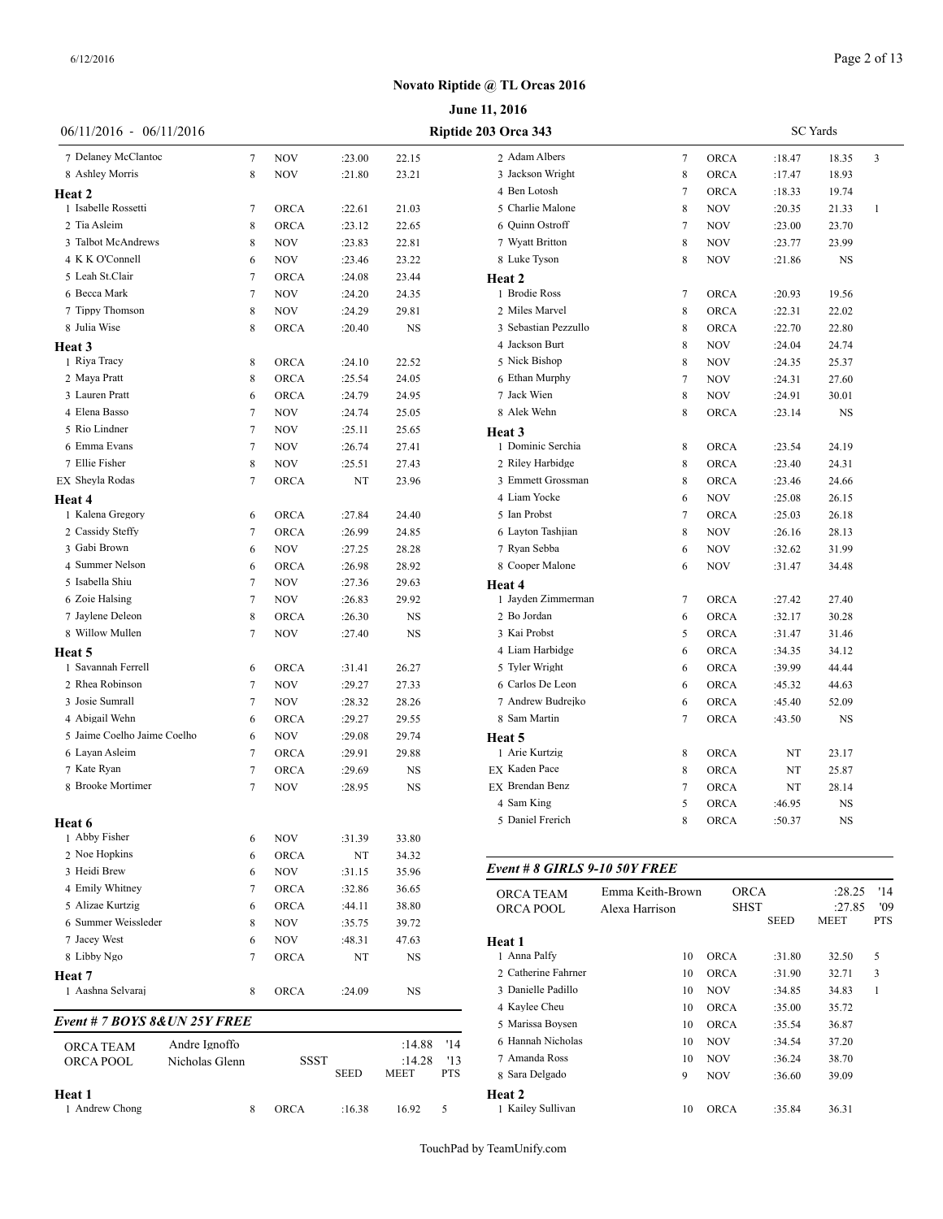|                              |                |                |             |             |             |            | June 11, 2016                 |                  |             |             |                 |              |
|------------------------------|----------------|----------------|-------------|-------------|-------------|------------|-------------------------------|------------------|-------------|-------------|-----------------|--------------|
| $06/11/2016 - 06/11/2016$    |                |                |             |             |             |            | Riptide 203 Orca 343          |                  |             |             | <b>SC</b> Yards |              |
| 7 Delaney McClantoc          |                | $\overline{7}$ | <b>NOV</b>  | :23.00      | 22.15       |            | 2 Adam Albers                 | 7                | <b>ORCA</b> | :18.47      | 18.35           | 3            |
| 8 Ashley Morris              |                | 8              | <b>NOV</b>  | :21.80      | 23.21       |            | 3 Jackson Wright              | 8                | <b>ORCA</b> | :17.47      | 18.93           |              |
| Heat 2                       |                |                |             |             |             |            | 4 Ben Lotosh                  | 7                | <b>ORCA</b> | :18.33      | 19.74           |              |
| 1 Isabelle Rossetti          |                | 7              | <b>ORCA</b> | :22.61      | 21.03       |            | 5 Charlie Malone              | 8                | <b>NOV</b>  | :20.35      | 21.33           | $\mathbf{1}$ |
| 2 Tia Asleim                 |                | 8              | <b>ORCA</b> | :23.12      | 22.65       |            | 6 Quinn Ostroff               | $\overline{7}$   | <b>NOV</b>  | :23.00      | 23.70           |              |
| 3 Talbot McAndrews           |                | 8              | <b>NOV</b>  | :23.83      | 22.81       |            | 7 Wyatt Britton               | 8                | <b>NOV</b>  | :23.77      | 23.99           |              |
| 4 K K O'Connell              |                | 6              | <b>NOV</b>  | :23.46      | 23.22       |            | 8 Luke Tyson                  | 8                | <b>NOV</b>  | :21.86      | <b>NS</b>       |              |
| 5 Leah St.Clair              |                | 7              | <b>ORCA</b> | :24.08      | 23.44       |            | Heat 2                        |                  |             |             |                 |              |
| 6 Becca Mark                 |                | $\overline{7}$ | <b>NOV</b>  | :24.20      | 24.35       |            | 1 Brodie Ross                 | 7                | <b>ORCA</b> | :20.93      | 19.56           |              |
| 7 Tippy Thomson              |                | 8              | <b>NOV</b>  | :24.29      | 29.81       |            | 2 Miles Marvel                | 8                | ORCA        | :22.31      | 22.02           |              |
| 8 Julia Wise                 |                | 8              | <b>ORCA</b> | :20.40      | NS          |            | 3 Sebastian Pezzullo          | 8                | <b>ORCA</b> | :22.70      | 22.80           |              |
|                              |                |                |             |             |             |            | 4 Jackson Burt                | 8                | <b>NOV</b>  | :24.04      | 24.74           |              |
| Heat 3<br>1 Riya Tracy       |                | 8              | <b>ORCA</b> | :24.10      | 22.52       |            | 5 Nick Bishop                 | 8                | <b>NOV</b>  | :24.35      | 25.37           |              |
| 2 Maya Pratt                 |                | 8              | <b>ORCA</b> | :25.54      | 24.05       |            | 6 Ethan Murphy                | 7                | <b>NOV</b>  | :24.31      | 27.60           |              |
| 3 Lauren Pratt               |                |                |             |             |             |            | 7 Jack Wien                   | 8                |             |             |                 |              |
| 4 Elena Basso                |                | 6              | <b>ORCA</b> | :24.79      | 24.95       |            | 8 Alek Wehn                   |                  | <b>NOV</b>  | :24.91      | 30.01           |              |
| 5 Rio Lindner                |                | 7              | <b>NOV</b>  | :24.74      | 25.05       |            |                               | 8                | ORCA        | : 23.14     | <b>NS</b>       |              |
| 6 Emma Evans                 |                | 7              | <b>NOV</b>  | :25.11      | 25.65       |            | Heat 3                        |                  |             |             |                 |              |
|                              |                | 7              | <b>NOV</b>  | :26.74      | 27.41       |            | 1 Dominic Serchia             | 8                | <b>ORCA</b> | :23.54      | 24.19           |              |
| 7 Ellie Fisher               |                | 8              | <b>NOV</b>  | :25.51      | 27.43       |            | 2 Riley Harbidge              | 8                | <b>ORCA</b> | :23.40      | 24.31           |              |
| EX Sheyla Rodas              |                | 7              | <b>ORCA</b> | NT          | 23.96       |            | 3 Emmett Grossman             | 8                | <b>ORCA</b> | :23.46      | 24.66           |              |
| Heat 4                       |                |                |             |             |             |            | 4 Liam Yocke                  | 6                | <b>NOV</b>  | :25.08      | 26.15           |              |
| 1 Kalena Gregory             |                | 6              | <b>ORCA</b> | :27.84      | 24.40       |            | 5 Ian Probst                  | 7                | <b>ORCA</b> | :25.03      | 26.18           |              |
| 2 Cassidy Steffy             |                | 7              | <b>ORCA</b> | :26.99      | 24.85       |            | 6 Layton Tashjian             | 8                | <b>NOV</b>  | :26.16      | 28.13           |              |
| 3 Gabi Brown                 |                | 6              | <b>NOV</b>  | :27.25      | 28.28       |            | 7 Ryan Sebba                  | 6                | <b>NOV</b>  | :32.62      | 31.99           |              |
| 4 Summer Nelson              |                | 6              | <b>ORCA</b> | :26.98      | 28.92       |            | 8 Cooper Malone               | 6                | <b>NOV</b>  | :31.47      | 34.48           |              |
| 5 Isabella Shiu              |                | 7              | <b>NOV</b>  | :27.36      | 29.63       |            | Heat 4                        |                  |             |             |                 |              |
| 6 Zoie Halsing               |                | 7              | <b>NOV</b>  | :26.83      | 29.92       |            | 1 Jayden Zimmerman            | 7                | <b>ORCA</b> | :27.42      | 27.40           |              |
| 7 Jaylene Deleon             |                | 8              | <b>ORCA</b> | :26.30      | NS          |            | 2 Bo Jordan                   | 6                | <b>ORCA</b> | :32.17      | 30.28           |              |
| 8 Willow Mullen              |                | 7              | <b>NOV</b>  | :27.40      | <b>NS</b>   |            | 3 Kai Probst                  | 5                | <b>ORCA</b> | :31.47      | 31.46           |              |
| Heat 5                       |                |                |             |             |             |            | 4 Liam Harbidge               | 6                | <b>ORCA</b> | :34.35      | 34.12           |              |
| 1 Savannah Ferrell           |                | 6              | <b>ORCA</b> | :31.41      | 26.27       |            | 5 Tyler Wright                | 6                | <b>ORCA</b> | :39.99      | 44.44           |              |
| 2 Rhea Robinson              |                | 7              | <b>NOV</b>  | :29.27      | 27.33       |            | 6 Carlos De Leon              | 6                | <b>ORCA</b> | :45.32      | 44.63           |              |
| 3 Josie Sumrall              |                | 7              | <b>NOV</b>  | :28.32      | 28.26       |            | 7 Andrew Budrejko             | 6                | <b>ORCA</b> | :45.40      | 52.09           |              |
| 4 Abigail Wehn               |                | 6              | <b>ORCA</b> | :29.27      | 29.55       |            | 8 Sam Martin                  | 7                | <b>ORCA</b> | :43.50      | <b>NS</b>       |              |
| 5 Jaime Coelho Jaime Coelho  |                | 6              | <b>NOV</b>  | :29.08      | 29.74       |            | Heat 5                        |                  |             |             |                 |              |
| 6 Layan Asleim               |                | 7              | <b>ORCA</b> | :29.91      | 29.88       |            | 1 Arie Kurtzig                | 8                | <b>ORCA</b> | NT          | 23.17           |              |
| 7 Kate Ryan                  |                | 7              | <b>ORCA</b> | :29.69      | <b>NS</b>   |            | EX Kaden Pace                 | 8                | ORCA        | NT          | 25.87           |              |
| 8 Brooke Mortimer            |                | 7              | <b>NOV</b>  | :28.95      | NS          |            | EX Brendan Benz               | 7                | <b>ORCA</b> | NT          | 28.14           |              |
|                              |                |                |             |             |             |            | 4 Sam King                    | 5                | <b>ORCA</b> | :46.95      | NS              |              |
| Heat 6                       |                |                |             |             |             |            | 5 Daniel Frerich              | 8                | ORCA        | :50.37      | <b>NS</b>       |              |
| 1 Abby Fisher                |                | 6              | <b>NOV</b>  | :31.39      | 33.80       |            |                               |                  |             |             |                 |              |
| 2 Noe Hopkins                |                | 6              | <b>ORCA</b> | NT          | 34.32       |            |                               |                  |             |             |                 |              |
| 3 Heidi Brew                 |                | 6              | <b>NOV</b>  | :31.15      | 35.96       |            | Event # 8 GIRLS 9-10 50Y FREE |                  |             |             |                 |              |
| 4 Emily Whitney              |                | 7              | <b>ORCA</b> | :32.86      | 36.65       |            |                               | Emma Keith-Brown |             | <b>ORCA</b> | :28.25          | '14          |
| 5 Alizae Kurtzig             |                | 6              | <b>ORCA</b> | :44.11      | 38.80       |            | ORCA TEAM                     |                  |             | <b>SHST</b> | :27.85          | '09          |
| 6 Summer Weissleder          |                | 8              | <b>NOV</b>  | :35.75      | 39.72       |            | ORCA POOL                     | Alexa Harrison   |             | <b>SEED</b> | <b>MEET</b>     | <b>PTS</b>   |
| 7 Jacey West                 |                |                | <b>NOV</b>  | :48.31      | 47.63       |            | Heat 1                        |                  |             |             |                 |              |
| 8 Libby Ngo                  |                | 6<br>7         | <b>ORCA</b> | NT          | NS          |            | 1 Anna Palfy                  | 10               | <b>ORCA</b> | :31.80      | 32.50           | 5            |
|                              |                |                |             |             |             |            | 2 Catherine Fahrner           | 10               | <b>ORCA</b> | :31.90      | 32.71           | 3            |
| Heat 7                       |                |                |             |             |             |            | 3 Danielle Padillo            |                  |             |             |                 |              |
| 1 Aashna Selvaraj            |                | 8              | <b>ORCA</b> | :24.09      | <b>NS</b>   |            |                               | 10               | <b>NOV</b>  | :34.85      | 34.83           | $\mathbf{1}$ |
| Event # 7 BOYS 8&UN 25Y FREE |                |                |             |             |             |            | 4 Kaylee Cheu                 | 10               | <b>ORCA</b> | :35.00      | 35.72           |              |
|                              |                |                |             |             |             |            | 5 Marissa Boysen              | 10               | <b>ORCA</b> | :35.54      | 36.87           |              |
| ORCA TEAM                    | Andre Ignoffo  |                |             |             | :14.88      | '14        | 6 Hannah Nicholas             | 10               | <b>NOV</b>  | :34.54      | 37.20           |              |
| ORCA POOL                    | Nicholas Glenn |                | <b>SSST</b> |             | :14.28      | '13        | 7 Amanda Ross                 | 10               | <b>NOV</b>  | :36.24      | 38.70           |              |
|                              |                |                |             | <b>SEED</b> | <b>MEET</b> | <b>PTS</b> | 8 Sara Delgado                | 9                | <b>NOV</b>  | :36.60      | 39.09           |              |
| Heat 1                       |                |                |             |             |             |            | Heat 2                        |                  |             |             |                 |              |
| 1 Andrew Chong               |                | 8              | <b>ORCA</b> | :16.38      | 16.92       | 5          | 1 Kailey Sullivan             | 10               | <b>ORCA</b> | :35.84      | 36.31           |              |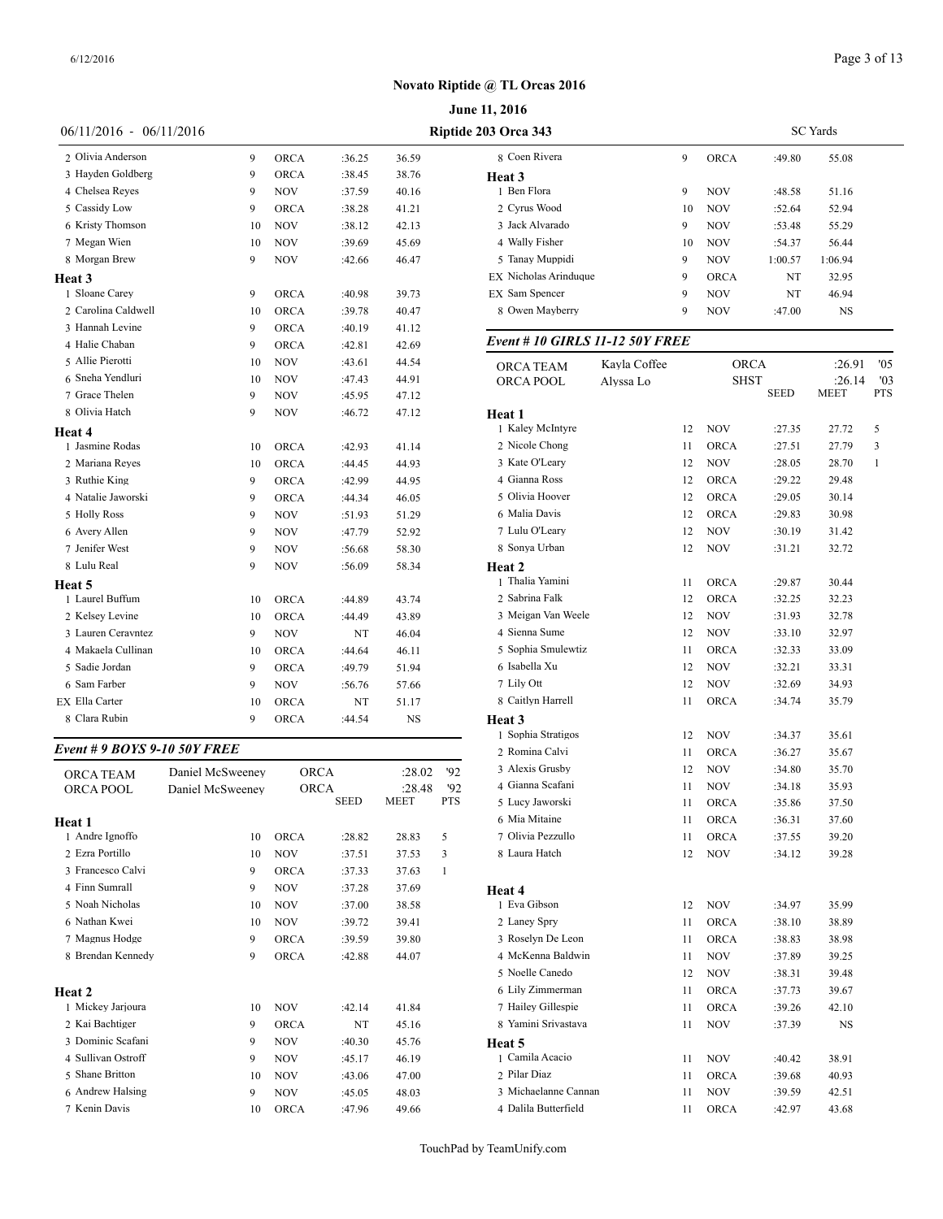|                                     |                  |             |        |        |            | June 11, 2016                  |              |
|-------------------------------------|------------------|-------------|--------|--------|------------|--------------------------------|--------------|
| $06/11/2016 - 06/11/2016$           |                  |             |        |        |            | Riptide 203 Orca 343           |              |
| 2 Olivia Anderson                   | 9                | ORCA        | :36.25 | 36.59  |            | 8 Coen Rivera                  |              |
| 3 Hayden Goldberg                   | 9                | ORCA        | :38.45 | 38.76  |            | Heat 3                         |              |
| 4 Chelsea Reyes                     | 9                | NOV         | :37.59 | 40.16  |            | 1 Ben Flora                    |              |
| 5 Cassidy Low                       | 9                | ORCA        | :38.28 | 41.21  |            | 2 Cyrus Wood                   |              |
| 6 Kristy Thomson                    | 10               | NOV         | :38.12 | 42.13  |            | 3 Jack Alvarado                |              |
| 7 Megan Wien                        | 10               | NOV         | :39.69 | 45.69  |            | 4 Wally Fisher                 |              |
| 8 Morgan Brew                       | 9                | NOV         | :42.66 | 46.47  |            | 5 Tanay Muppidi                |              |
| Heat 3                              |                  |             |        |        |            | EX Nicholas Arinduque          |              |
| 1 Sloane Carey                      | 9                | ORCA        | :40.98 | 39.73  |            | EX Sam Spencer                 |              |
| 2 Carolina Caldwell                 | 10               | <b>ORCA</b> | :39.78 | 40.47  |            | 8 Owen Mayberry                |              |
| 3 Hannah Levine                     | 9                | ORCA        | :40.19 | 41.12  |            |                                |              |
| 4 Halie Chaban                      | 9                | ORCA        | :42.81 | 42.69  |            | Event # 10 GIRLS 11-12 50Y FRE |              |
| 5 Allie Pierotti                    | 10               | NOV         | :43.61 | 44.54  |            | ORCA TEAM                      | Kayla Coffee |
| 6 Sneha Yendluri                    | 10               | NOV         | :47.43 | 44.91  |            | ORCA POOL                      | Alyssa Lo    |
| 7 Grace Thelen                      | 9                | NOV         | :45.95 | 47.12  |            |                                |              |
| 8 Olivia Hatch                      | 9                | NOV         | :46.72 | 47.12  |            | Heat 1                         |              |
| Heat 4                              |                  |             |        |        |            | 1 Kaley McIntyre               |              |
| 1 Jasmine Rodas                     | 10               | ORCA        | :42.93 | 41.14  |            | 2 Nicole Chong                 |              |
| 2 Mariana Reyes                     | 10               | <b>ORCA</b> | :44.45 | 44.93  |            | 3 Kate O'Leary                 |              |
| 3 Ruthie King                       | 9                | ORCA        | :42.99 | 44.95  |            | 4 Gianna Ross                  |              |
| 4 Natalie Jaworski                  | 9                | ORCA        | :44.34 | 46.05  |            | 5 Olivia Hoover                |              |
| 5 Holly Ross                        | 9                | NOV         | :51.93 | 51.29  |            | 6 Malia Davis                  |              |
| 6 Avery Allen                       | 9                | <b>NOV</b>  | :47.79 | 52.92  |            | 7 Lulu O'Leary                 |              |
| 7 Jenifer West                      | 9                | NOV         | :56.68 | 58.30  |            | 8 Sonya Urban                  |              |
| 8 Lulu Real                         | 9                | NOV         | :56.09 | 58.34  |            | Heat 2                         |              |
| Heat 5                              |                  |             |        |        |            | 1 Thalia Yamini                |              |
| 1 Laurel Buffum                     | 10               | <b>ORCA</b> | :44.89 | 43.74  |            | 2 Sabrina Falk                 |              |
| 2 Kelsey Levine                     | 10               | <b>ORCA</b> | :44.49 | 43.89  |            | 3 Meigan Van Weele             |              |
| 3 Lauren Ceravntez                  | 9                | NOV         | NT     | 46.04  |            | 4 Sienna Sume                  |              |
| 4 Makaela Cullinan                  | 10               | <b>ORCA</b> | :44.64 | 46.11  |            | 5 Sophia Smulewtiz             |              |
| 5 Sadie Jordan                      | 9                | ORCA        | :49.79 | 51.94  |            | 6 Isabella Xu                  |              |
| 6 Sam Farber                        | 9                | NOV         | :56.76 | 57.66  |            | 7 Lily Ott                     |              |
| EX Ella Carter                      | 10               | <b>ORCA</b> | NT     | 51.17  |            | 8 Caitlyn Harrell              |              |
| 8 Clara Rubin                       | 9                | ORCA        | :44.54 | NS     |            | Heat 3                         |              |
|                                     |                  |             |        |        |            | 1 Sophia Stratigos             |              |
| <b>Event # 9 BOYS 9-10 50Y FREE</b> |                  |             |        |        |            | 2 Romina Calvi                 |              |
| ORCA TEAM                           | Daniel McSweeney |             | ORCA   | :28.02 | '92        | 3 Alexis Grusby                |              |
| ORCA POOL                           | Daniel McSweeney |             | ORCA   | :28.48 | 92         | 4 Gianna Scafani               |              |
|                                     |                  |             | SEED   | MEET   | <b>PTS</b> | 5 Lucy Jaworski                |              |
| Heat 1                              |                  |             |        |        |            | 6 Mia Mitaine                  |              |
| 1 Andre Ignoffo                     | 10               | <b>ORCA</b> | :28.82 | 28.83  | 5          | 7 Olivia Pezzullo              |              |
| 2 Ezra Portillo                     | 10               | <b>NOV</b>  | :37.51 | 37.53  | 3          | 8 Laura Hatch                  |              |
| 3 Francesco Calvi                   | 9                | <b>ORCA</b> | :37.33 | 37.63  | 1          |                                |              |
| 4 Finn Sumrall                      | 9                | NOV         | :37.28 | 37.69  |            | Heat 4                         |              |
| 5 Noah Nicholas                     | 10               | NOV         | :37.00 | 38.58  |            | 1 Eva Gibson                   |              |
| 6 Nathan Kwei                       | 10               | <b>NOV</b>  | :39.72 | 39.41  |            | 2 Laney Spry                   |              |
| 7 Magnus Hodge                      | 9                | ORCA        | :39.59 | 39.80  |            | 3 Roselyn De Leon              |              |
| 8 Brendan Kennedy                   | 9                | ORCA        | :42.88 | 44.07  |            | 4 McKenna Baldwin              |              |
|                                     |                  |             |        |        |            | 5 Noelle Canedo                |              |
| Heat 2                              |                  |             |        |        |            | 6 Lily Zimmerman               |              |
| 1 Mickey Jarjoura                   | 10               | <b>NOV</b>  | :42.14 | 41.84  |            | 7 Hailey Gillespie             |              |
| 2 Kai Bachtiger                     | 9                | <b>ORCA</b> | NT     | 45.16  |            | 8 Yamini Srivastava            |              |
| 3 Dominic Scafani                   | 9                | NOV         | :40.30 | 45.76  |            | Heat 5                         |              |
| 4 Sullivan Ostroff                  | 9                | NOV         | :45.17 | 46.19  |            | 1 Camila Acacio                |              |
| 5 Shane Britton                     | 10               | <b>NOV</b>  | :43.06 | 47.00  |            | 2 Pilar Diaz                   |              |

 Andrew Halsing 9 NOV :45.05 48.03 Kenin Davis 10 ORCA :47.96 49.66

| <b>3 Orca 343</b>                      |              |    | <b>SC</b> Yards |             |         |            |  |  |  |  |
|----------------------------------------|--------------|----|-----------------|-------------|---------|------------|--|--|--|--|
| 8 Coen Rivera                          |              | 9  | <b>ORCA</b>     | :49.80      | 55.08   |            |  |  |  |  |
| Heat 3                                 |              |    |                 |             |         |            |  |  |  |  |
| 1 Ben Flora                            |              | 9  | NOV             | :48.58      | 51.16   |            |  |  |  |  |
| 2 Cyrus Wood                           |              | 10 | NOV             | :52.64      | 52.94   |            |  |  |  |  |
| 3 Jack Alvarado                        |              | 9  | NOV             | :53.48      | 55.29   |            |  |  |  |  |
| 4 Wally Fisher                         |              | 10 | NOV             | :54.37      | 56.44   |            |  |  |  |  |
| 5 Tanay Muppidi                        |              | 9  | NOV             | 1:00.57     | 1:06.94 |            |  |  |  |  |
| EX Nicholas Arinduque                  |              | 9  | <b>ORCA</b>     | NT          | 32.95   |            |  |  |  |  |
| EX Sam Spencer                         |              | 9  | NOV             | NT          | 46.94   |            |  |  |  |  |
| 8 Owen Mayberry                        |              | 9  | <b>NOV</b>      | :47.00      | NS      |            |  |  |  |  |
| <b>Event # 10 GIRLS 11-12 50Y FREE</b> |              |    |                 |             |         |            |  |  |  |  |
| ORCA TEAM                              | Kayla Coffee |    | <b>ORCA</b>     |             | :26.91  | '05        |  |  |  |  |
| ORCA POOL                              | Alyssa Lo    |    | <b>SHST</b>     |             | :26.14  | '03        |  |  |  |  |
|                                        |              |    |                 | <b>SEED</b> | MEET    | <b>PTS</b> |  |  |  |  |
| Heat 1                                 |              |    |                 |             |         |            |  |  |  |  |
| 1 Kaley McIntyre                       |              | 12 | NOV             | :27.35      | 27.72   | 5          |  |  |  |  |
| 2 Nicole Chong                         |              | 11 | <b>ORCA</b>     | :27.51      | 27.79   | 3          |  |  |  |  |
| 3 Kate O'Leary                         |              | 12 | NOV             | :28.05      | 28.70   | 1          |  |  |  |  |
| 4 Gianna Ross                          |              | 12 | <b>ORCA</b>     | :29.22      | 29.48   |            |  |  |  |  |
| 5 Olivia Hoover                        |              | 12 | <b>ORCA</b>     | :29.05      | 30.14   |            |  |  |  |  |
| 6 Malia Davis                          |              | 12 | <b>ORCA</b>     | :29.83      | 30.98   |            |  |  |  |  |
| 7 Lulu O'Leary                         |              | 12 | NOV             | :30.19      | 31.42   |            |  |  |  |  |
| 8 Sonya Urban                          |              | 12 | NOV             | :31.21      | 32.72   |            |  |  |  |  |
| Heat 2                                 |              |    |                 |             |         |            |  |  |  |  |
| 1 Thalia Yamini                        |              | 11 | <b>ORCA</b>     | :29.87      | 30.44   |            |  |  |  |  |
| 2 Sabrina Falk                         |              | 12 | <b>ORCA</b>     | :32.25      | 32.23   |            |  |  |  |  |
| 3 Meigan Van Weele                     |              | 12 | NOV             | :31.93      | 32.78   |            |  |  |  |  |
| 4 Sienna Sume                          |              | 12 | NOV             | :33.10      | 32.97   |            |  |  |  |  |
| 5 Sophia Smulewtiz                     |              | 11 | <b>ORCA</b>     | :32.33      | 33.09   |            |  |  |  |  |
| 6 Isabella Xu                          |              | 12 | <b>NOV</b>      | :32.21      | 33.31   |            |  |  |  |  |
| 7 Lily Ott                             |              | 12 | NOV             | :32.69      | 34.93   |            |  |  |  |  |
| 8 Caitlyn Harrell                      |              | 11 | ORCA            | :34.74      | 35.79   |            |  |  |  |  |
| Heat 3                                 |              |    |                 |             |         |            |  |  |  |  |
| 1 Sophia Stratigos                     |              | 12 | NOV             | :34.37      | 35.61   |            |  |  |  |  |
| 2 Romina Calvi                         |              | 11 | <b>ORCA</b>     | :36.27      | 35.67   |            |  |  |  |  |
| 3 Alexis Grusby                        |              | 12 | <b>NOV</b>      | :34.80      | 35.70   |            |  |  |  |  |
| 4 Gianna Scafani                       |              | 11 | <b>NOV</b>      | :34.18      | 35.93   |            |  |  |  |  |
| 5 Lucy Jaworski                        |              | 11 | ORCA            | :35.86      | 37.50   |            |  |  |  |  |
| 6 Mia Mitaine                          |              | 11 | <b>ORCA</b>     | :36.31      | 37.60   |            |  |  |  |  |
| 7 Olivia Pezzullo                      |              | 11 | ORCA            | :37.55      | 39.20   |            |  |  |  |  |
| 8 Laura Hatch                          |              | 12 | NOV             | :34.12      | 39.28   |            |  |  |  |  |
| Heat 4                                 |              |    |                 |             |         |            |  |  |  |  |
| 1 Eva Gibson                           |              | 12 | NOV             | :34.97      | 35.99   |            |  |  |  |  |
| 2 Laney Spry                           |              | 11 | ORCA            | :38.10      | 38.89   |            |  |  |  |  |
| 3 Roselyn De Leon                      |              | 11 | ORCA            | :38.83      | 38.98   |            |  |  |  |  |
| 4 McKenna Baldwin                      |              | 11 | <b>NOV</b>      | :37.89      | 39.25   |            |  |  |  |  |
| 5 Noelle Canedo                        |              | 12 | NOV             | :38.31      | 39.48   |            |  |  |  |  |
| 6 Lily Zimmerman                       |              | 11 | ORCA            | :37.73      | 39.67   |            |  |  |  |  |
| 7 Hailey Gillespie                     |              | 11 | ORCA            |             | 42.10   |            |  |  |  |  |
| 8 Yamini Srivastava                    |              |    |                 | :39.26      |         |            |  |  |  |  |
|                                        |              | 11 | NOV             | :37.39      | NS      |            |  |  |  |  |
| Heat 5<br>1 Camila Acacio              |              |    |                 |             |         |            |  |  |  |  |
| 2 Pilar Diaz                           |              | 11 | NOV             | :40.42      | 38.91   |            |  |  |  |  |
|                                        |              | 11 | <b>ORCA</b>     | :39.68      | 40.93   |            |  |  |  |  |
| 3 Michaelanne Cannan                   |              | 11 | NOV             | :39.59      | 42.51   |            |  |  |  |  |
| 4 Dalila Butterfield                   |              | 11 | <b>ORCA</b>     | :42.97      | 43.68   |            |  |  |  |  |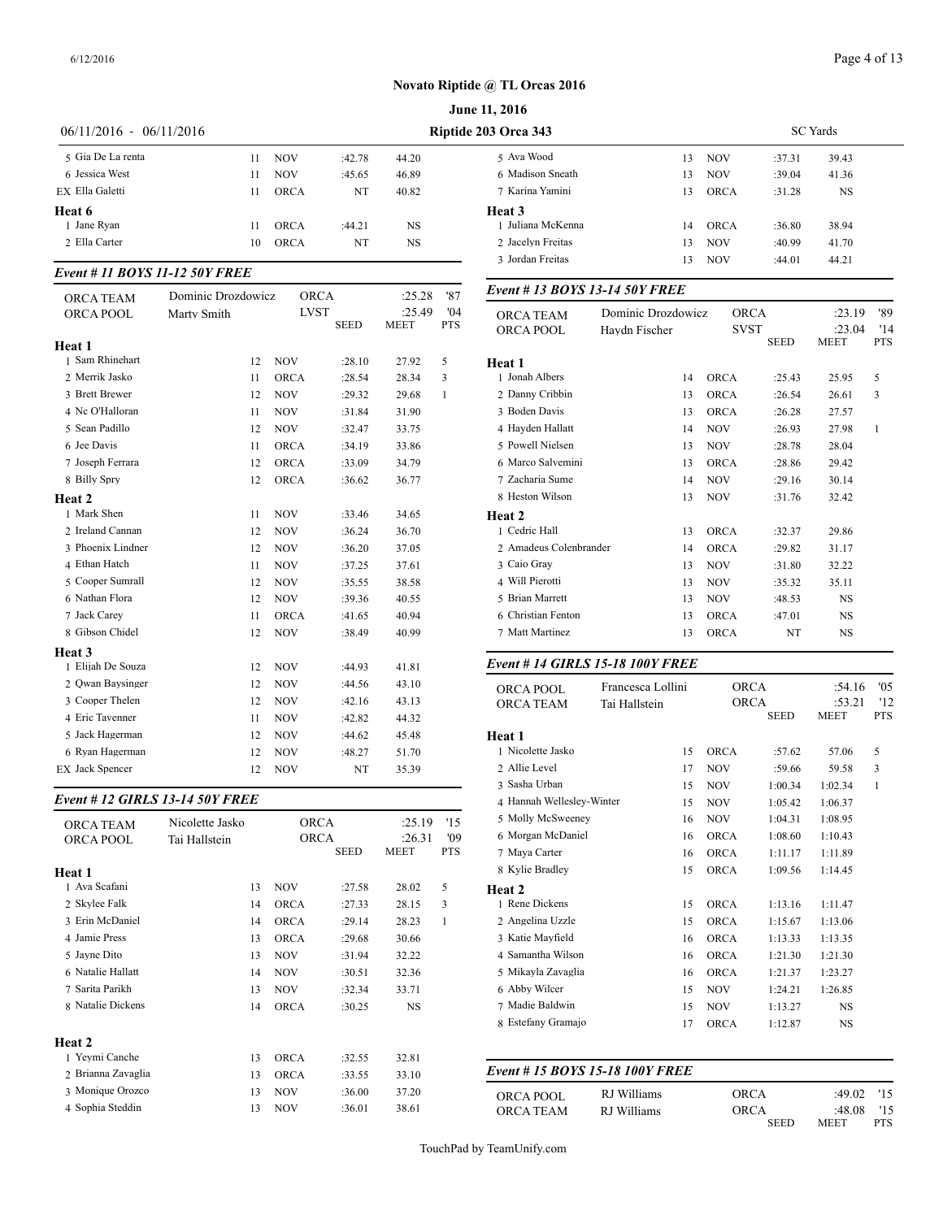|                           |    | <b>June 11, 2016</b> |        |       |                      |    |  |  |  |  |  |
|---------------------------|----|----------------------|--------|-------|----------------------|----|--|--|--|--|--|
| $06/11/2016 - 06/11/2016$ |    |                      |        |       | Riptide 203 Orca 343 |    |  |  |  |  |  |
| 5 Gia De La renta         | 11 | <b>NOV</b>           | :42.78 | 44.20 | 5 Ava Wood           | 13 |  |  |  |  |  |
| 6 Jessica West            | 11 | <b>NOV</b>           | :45.65 | 46.89 | 6 Madison Sneath     | 13 |  |  |  |  |  |
| EX Ella Galetti           | 11 | <b>ORCA</b>          | NT     | 40.82 | 7 Karina Yamini      | 13 |  |  |  |  |  |
| Heat 6                    |    |                      |        |       | Heat 3               |    |  |  |  |  |  |
| 1 Jane Ryan               | 11 | <b>ORCA</b>          | :44.21 | NS.   | 1 Juliana McKenna    | 14 |  |  |  |  |  |
| 2 Ella Carter             | 10 | <b>ORCA</b>          | NT     | NS.   | 2 Jacelyn Freitas    | 13 |  |  |  |  |  |
|                           |    |                      |        |       |                      |    |  |  |  |  |  |

#### *Event # 11 BOYS 11-12 50Y FREE*

| <b>ORCA TEAM</b>       | Dominic Drozdowicz | <b>ORCA</b> |             | :25.28                | '87               | Event # 13 $BOY$              |
|------------------------|--------------------|-------------|-------------|-----------------------|-------------------|-------------------------------|
| ORCA POOL              | Marty Smith        | <b>LVST</b> | <b>SEED</b> | :25.49<br><b>MEET</b> | '04<br><b>PTS</b> | <b>ORCA TEAM</b><br>ORCA POOL |
| Heat 1                 |                    |             |             |                       |                   |                               |
| 1 Sam Rhinehart        | 12                 | <b>NOV</b>  | :28.10      | 27.92                 | 5                 | Heat 1                        |
| 2 Merrik Jasko         | 11                 | <b>ORCA</b> | :28.54      | 28.34                 | 3                 | 1 Jonah Albers                |
| 3 Brett Brewer         | 12                 | <b>NOV</b>  | :29.32      | 29.68                 | 1                 | 2 Danny Cribbin               |
| 4 Nc O'Halloran        | 11                 | <b>NOV</b>  | :31.84      | 31.90                 |                   | 3 Boden Davis                 |
| 5 Sean Padillo         | 12                 | <b>NOV</b>  | :32.47      | 33.75                 |                   | 4 Hayden Hallatt              |
| 6 Jee Davis            | 11                 | <b>ORCA</b> | :34.19      | 33.86                 |                   | 5 Powell Nielsen              |
| 7 Joseph Ferrara       | 12                 | <b>ORCA</b> | :33.09      | 34.79                 |                   | 6 Marco Salvemir              |
| 8 Billy Spry           | 12                 | ORCA        | :36.62      | 36.77                 |                   | 7 Zacharia Sume               |
| Heat 2                 |                    |             |             |                       |                   | 8 Heston Wilson               |
| 1 Mark Shen            | 11                 | <b>NOV</b>  | :33.46      | 34.65                 |                   | Heat 2                        |
| 2 Ireland Cannan       | 12                 | <b>NOV</b>  | :36.24      | 36.70                 |                   | 1 Cedric Hall                 |
| 3 Phoenix Lindner      | 12                 | <b>NOV</b>  | :36.20      | 37.05                 |                   | 2 Amadeus Colen               |
| 4 Ethan Hatch          | 11                 | <b>NOV</b>  | :37.25      | 37.61                 |                   | 3 Caio Gray                   |
| 5 Cooper Sumrall       | 12                 | <b>NOV</b>  | :35.55      | 38.58                 |                   | 4 Will Pierotti               |
| 6 Nathan Flora         | 12                 | <b>NOV</b>  | :39.36      | 40.55                 |                   | 5 Brian Marrett               |
| 7 Jack Carev           | 11                 | <b>ORCA</b> | :41.65      | 40.94                 |                   | 6 Christian Fentor            |
| 8 Gibson Chidel        | 12                 | <b>NOV</b>  | :38.49      | 40.99                 |                   | 7 Matt Martinez               |
| Heat 3                 |                    |             |             |                       |                   |                               |
| 1 Elijah De Souza      | 12                 | <b>NOV</b>  | :44.93      | 41.81                 |                   | Event # 14 GIRI               |
| 2 Qwan Baysinger       | 12                 | <b>NOV</b>  | :44.56      | 43.10                 |                   | ORCA POOL                     |
| 3 Cooper Thelen        | 12                 | <b>NOV</b>  | :42.16      | 43.13                 |                   | <b>ORCA TEAM</b>              |
| 4 Eric Tavenner        | 11                 | <b>NOV</b>  | :42.82      | 44.32                 |                   |                               |
| 5 Jack Hagerman        | 12                 | <b>NOV</b>  | :44.62      | 45.48                 |                   | Heat 1                        |
| 6 Ryan Hagerman        | 12                 | <b>NOV</b>  | :48.27      | 51.70                 |                   | 1 Nicolette Jasko             |
| <b>EX Jack Spencer</b> | 12                 | <b>NOV</b>  | NT          | 35.39                 |                   | 2 Allie Level                 |

#### *Event # 12 GIRLS 13-14 50Y FREE*

| <b>ORCA TEAM</b>   | Nicolette Jasko | <b>ORCA</b> |             | :25.19      | '15        | 5 Molly McSweer   |
|--------------------|-----------------|-------------|-------------|-------------|------------|-------------------|
| <b>ORCA POOL</b>   | Tai Hallstein   |             | <b>ORCA</b> |             | '09        | 6 Morgan McDan    |
|                    |                 |             | <b>SEED</b> | <b>MEET</b> | <b>PTS</b> | 7 Maya Carter     |
| Heat 1             |                 |             |             |             |            | 8 Kylie Bradley   |
| 1 Ava Scafani      | 13              | <b>NOV</b>  | :27.58      | 28.02       | 5          | <b>Heat 2</b>     |
| 2 Skylee Falk      | 14              | <b>ORCA</b> | :27.33      | 28.15       | 3          | 1 Rene Dickens    |
| 3 Erin McDaniel    | 14              | <b>ORCA</b> | :29.14      | 28.23       | 1          | 2 Angelina Uzzle  |
| 4 Jamie Press      | 13              | <b>ORCA</b> | :29.68      | 30.66       |            | 3 Katie Mayfield  |
| 5 Jayne Dito       | 13              | <b>NOV</b>  | :31.94      | 32.22       |            | 4 Samantha Wilso  |
| 6 Natalie Hallatt  | 14              | <b>NOV</b>  | :30.51      | 32.36       |            | 5 Mikayla Zavagli |
| 7 Sarita Parikh    | 13              | <b>NOV</b>  | :32.34      | 33.71       |            | 6 Abby Wilcer     |
| 8 Natalie Dickens  | 14              | <b>ORCA</b> | :30.25      | <b>NS</b>   |            | 7 Madie Baldwin   |
|                    |                 |             |             |             |            | 8 Estefany Grama  |
| <b>Heat 2</b>      |                 |             |             |             |            |                   |
| 1 Yeymi Canche     | 13              | <b>ORCA</b> | :32.55      | 32.81       |            |                   |
| 2 Brianna Zavaglia | 13              | <b>ORCA</b> | :33.55      | 33.10       |            | Event # $15$ BOY. |
| 3 Monique Orozco   | 13              | <b>NOV</b>  | :36.00      | 37.20       |            | ORCA POOL         |
| 4 Sophia Steddin   | 13              | <b>NOV</b>  | :36.01      | 38.61       |            | <b>ORCA TEAM</b>  |
|                    |                 |             |             |             |            |                   |

| <b>3 Orca 343</b> | <b>SC</b> Yards |             |        |       |  |  |
|-------------------|-----------------|-------------|--------|-------|--|--|
| 5 Ava Wood        | 13              | <b>NOV</b>  | :37.31 | 39.43 |  |  |
| 6 Madison Sneath  | 13              | <b>NOV</b>  | :39.04 | 41.36 |  |  |
| 7 Karina Yamini   | 13              | <b>ORCA</b> | :31.28 | NS.   |  |  |
| <b>Heat 3</b>     |                 |             |        |       |  |  |
| 1 Juliana McKenna | 14              | <b>ORCA</b> | :36.80 | 38.94 |  |  |
| 2 Jacelyn Freitas | 13              | <b>NOV</b>  | :40.99 | 41.70 |  |  |
| 3 Jordan Freitas  | 13              | <b>NOV</b>  | :44.01 | 44.21 |  |  |
|                   |                 |             |        |       |  |  |

#### *Event # 13 BOYS 13-14 50Y FREE*

| <b>ORCA TEAM</b><br>ORCA POOL | Dominic Drozdowicz<br>Haydn Fischer | <b>ORCA</b><br><b>SVST</b> |             | :23.19<br>:23.04 | '89<br>'14 |
|-------------------------------|-------------------------------------|----------------------------|-------------|------------------|------------|
|                               |                                     |                            | <b>SEED</b> | <b>MEET</b>      | <b>PTS</b> |
| Heat 1                        |                                     |                            |             |                  |            |
| 1 Jonah Albers                | 14                                  | <b>ORCA</b>                | :25.43      | 25.95            | 5          |
| 2 Danny Cribbin               | 13                                  | <b>ORCA</b>                | :26.54      | 26.61            | 3          |
| 3 Boden Davis                 | 13                                  | <b>ORCA</b>                | :26.28      | 27.57            |            |
| 4 Hayden Hallatt              | 14                                  | <b>NOV</b>                 | :26.93      | 27.98            | 1          |
| 5 Powell Nielsen              | 13                                  | <b>NOV</b>                 | :28.78      | 28.04            |            |
| 6 Marco Salvemini             | 13                                  | <b>ORCA</b>                | :28.86      | 29.42            |            |
| 7 Zacharia Sume               | 14                                  | <b>NOV</b>                 | :29.16      | 30.14            |            |
| 8 Heston Wilson               | 13                                  | <b>NOV</b>                 | :31.76      | 32.42            |            |
| Heat 2                        |                                     |                            |             |                  |            |
| 1 Cedric Hall                 | 13                                  | <b>ORCA</b>                | :32.37      | 29.86            |            |
| 2 Amadeus Colenbrander        | 14                                  | <b>ORCA</b>                | :29.82      | 31.17            |            |
| 3 Caio Gray                   | 13                                  | <b>NOV</b>                 | :31.80      | 32.22            |            |
| 4 Will Pierotti               | 13                                  | <b>NOV</b>                 | :35.32      | 35.11            |            |
| 5 Brian Marrett               | 13                                  | <b>NOV</b>                 | :48.53      | NS               |            |
| 6 Christian Fenton            | 13                                  | <b>ORCA</b>                | :47.01      | NS               |            |
| 7 Matt Martinez               | 13                                  | <b>ORCA</b>                | NT          | NS               |            |
|                               |                                     |                            |             |                  |            |

#### *Event # 14 GIRLS 15-18 100Y FREE*

| ORCA POOL<br><b>ORCA TEAM</b><br>Tai Hallstein | Francesca Lollini |             | <b>ORCA</b><br><b>ORCA</b> | :54.16<br>:53.21 | '05<br>'12 |
|------------------------------------------------|-------------------|-------------|----------------------------|------------------|------------|
|                                                |                   |             | <b>SEED</b>                | <b>MEET</b>      | <b>PTS</b> |
| Heat 1                                         |                   |             |                            |                  |            |
| 1 Nicolette Jasko                              | 15                | <b>ORCA</b> | :57.62                     | 57.06            | 5          |
| 2 Allie Level                                  | 17                | <b>NOV</b>  | :59.66                     | 59.58            | 3          |
| 3 Sasha Urban                                  | 15                | <b>NOV</b>  | 1:00.34                    | 1:02.34          | 1          |
| 4 Hannah Wellesley-Winter                      | 15                | <b>NOV</b>  | 1:05.42                    | 1:06.37          |            |
| 5 Molly McSweeney                              | 16                | <b>NOV</b>  | 1:04.31                    | 1:08.95          |            |
| 6 Morgan McDaniel                              | 16                | <b>ORCA</b> | 1:08.60                    | 1:10.43          |            |
| 7 Maya Carter                                  | 16                | <b>ORCA</b> | 1:11.17                    | 1:11.89          |            |
| 8 Kylie Bradley                                | 15                | <b>ORCA</b> | 1:09.56                    | 1:14.45          |            |
| Heat 2                                         |                   |             |                            |                  |            |
| 1 Rene Dickens                                 | 15                | <b>ORCA</b> | 1:13.16                    | 1:11.47          |            |
| 2 Angelina Uzzle                               | 15                | <b>ORCA</b> | 1:15.67                    | 1:13.06          |            |
| 3 Katie Mayfield                               | 16                | <b>ORCA</b> | 1:13.33                    | 1:13.35          |            |
| 4 Samantha Wilson                              | 16                | <b>ORCA</b> | 1:21.30                    | 1:21.30          |            |
| 5 Mikayla Zavaglia                             | 16                | <b>ORCA</b> | 1:21.37                    | 1:23.27          |            |
| 6 Abby Wilcer                                  | 15                | <b>NOV</b>  | 1:24.21                    | 1:26.85          |            |
| 7 Madie Baldwin                                | 15                | <b>NOV</b>  | 1:13.27                    | <b>NS</b>        |            |
| 8 Estefany Gramajo                             | 17                | <b>ORCA</b> | 1:12.87                    | <b>NS</b>        |            |

#### *Event # 15 BOYS 15-18 100Y FREE*

| ORCA POOL | RJ Williams | <b>ORCA</b> | $:49.02$ '15 |     |
|-----------|-------------|-------------|--------------|-----|
| ORCA TEAM | RJ Williams | <b>ORCA</b> | $:48.08$ '15 |     |
|           |             | <b>CEED</b> | MEET.        | DTC |

| <b>ORCA</b> |             | $:49.02$ '15 |      |  |
|-------------|-------------|--------------|------|--|
| <b>ORCA</b> |             | $:48.08$ '15 |      |  |
|             | <b>SEED</b> | MEET         | PTS. |  |
|             |             |              |      |  |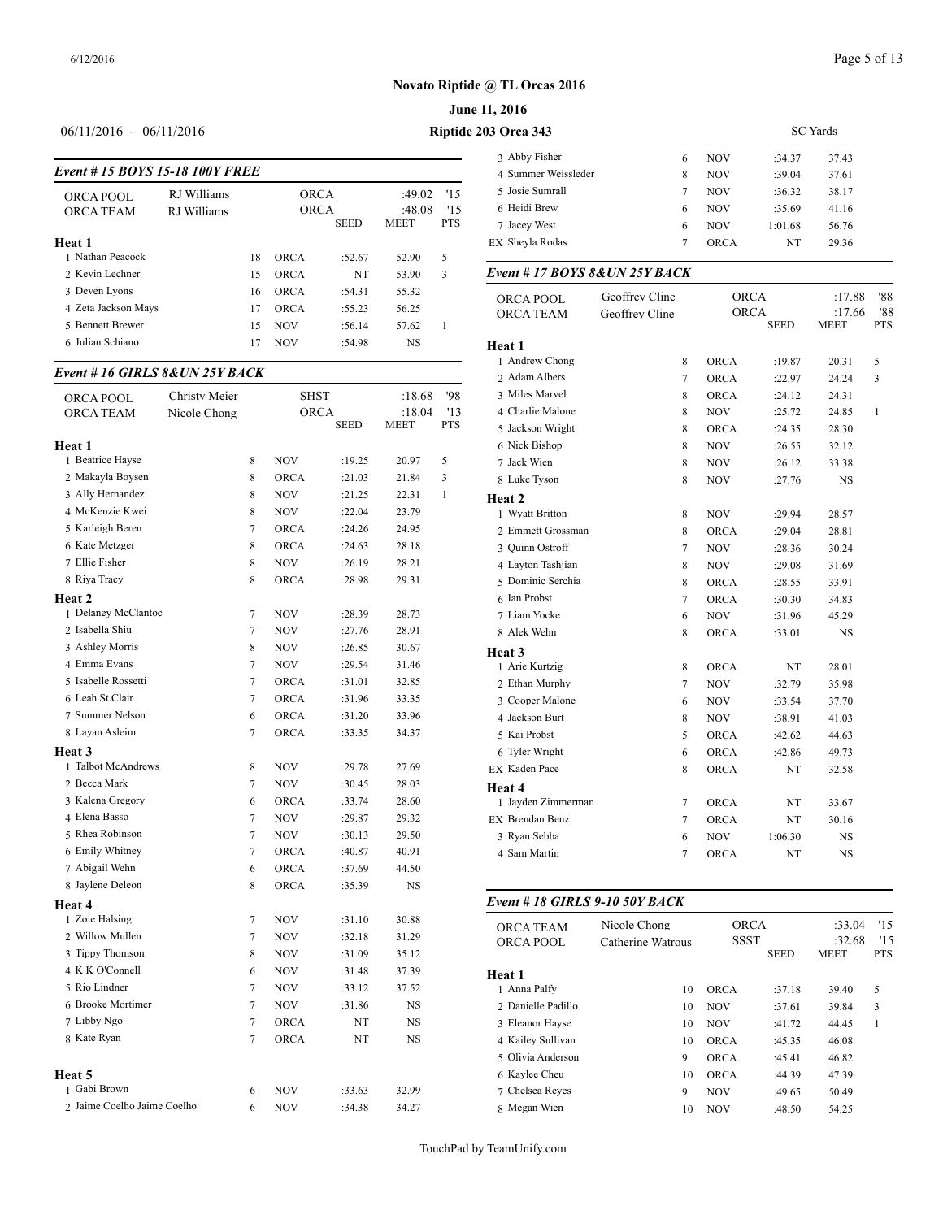# **June 11, 2016**

# 06/11/2016 - 06/11/2016 **Riptide**

|                                |             |    |             |             |              |            | 3 ADDY FISHEL       | o                             | <b>NUV</b>  | / د.14:     | د4.1 د      |
|--------------------------------|-------------|----|-------------|-------------|--------------|------------|---------------------|-------------------------------|-------------|-------------|-------------|
| Event #15 BOYS 15-18 100Y FREE |             |    |             |             |              |            | 4 Summer Weissleder | 8                             | <b>NOV</b>  | :39.04      | 37.61       |
| ORCA POOL                      | RJ Williams |    | <b>ORCA</b> |             | $:49.02$ '15 |            | 5 Josie Sumrall     |                               | <b>NOV</b>  | :36.32      | 38.17       |
| <b>ORCA TEAM</b>               | RJ Williams |    | <b>ORCA</b> |             | :48.08       | 15         | 6 Heidi Brew        | 6                             | <b>NOV</b>  | :35.69      | 41.16       |
|                                |             |    |             | <b>SEED</b> | <b>MEET</b>  | <b>PTS</b> | 7 Jacey West        | 6                             | <b>NOV</b>  | 1:01.68     | 56.76       |
| Heat 1                         |             |    |             |             |              |            | EX Sheyla Rodas     |                               | <b>ORCA</b> | NT          | 29.36       |
| ∣ Nathan Peacock               |             | 18 | <b>ORCA</b> | :52.67      | 52.90        | 5          |                     |                               |             |             |             |
| 2 Kevin Lechner                |             | 15 | <b>ORCA</b> | NT          | 53.90        | 3          |                     | Event #17 BOYS 8& UN 25Y BACK |             |             |             |
| 3 Deven Lyons                  |             | 16 | <b>ORCA</b> | :54.31      | 55.32        |            | ORCA POOL           | Geoffrey Cline                |             | <b>ORCA</b> | :17.88      |
| 4 Zeta Jackson Mays            |             |    | <b>ORCA</b> | :55.23      | 56.25        |            | <b>ORCA TEAM</b>    | Geoffrey Cline                |             | <b>ORCA</b> | :17.66      |
| 5 Bennett Brewer               |             | 15 | <b>NOV</b>  | :56.14      | 57.62        |            |                     |                               |             | <b>SEED</b> | <b>MEET</b> |
| 6 Julian Schiano               |             |    | <b>NOV</b>  | :54.98      | <b>NS</b>    |            | Heat 1              |                               |             |             |             |
|                                |             |    |             |             |              |            |                     |                               |             |             |             |

## *Event # 16 GIRLS 8&UN 25Y BACK*

| ORCA POOL                   | Christy Meier |                | <b>SHST</b> |             | :18.68      | '98          | 3 Miles Marvel                       |
|-----------------------------|---------------|----------------|-------------|-------------|-------------|--------------|--------------------------------------|
| <b>ORCA TEAM</b>            | Nicole Chong  |                | ORCA        |             | :18.04      | '13          | 4 Charlie Malone                     |
|                             |               |                |             | <b>SEED</b> | <b>MEET</b> | <b>PTS</b>   | 5 Jackson Wright                     |
| Heat 1                      |               |                |             |             |             |              | 6 Nick Bishop                        |
| 1 Beatrice Hayse            |               | 8              | <b>NOV</b>  | :19.25      | 20.97       | 5            | 7 Jack Wien                          |
| 2 Makayla Boysen            |               | 8              | <b>ORCA</b> | :21.03      | 21.84       | 3            | 8 Luke Tyson                         |
| 3 Ally Hernandez            |               | 8              | <b>NOV</b>  | :21.25      | 22.31       | $\mathbf{1}$ | Heat 2                               |
| 4 McKenzie Kwei             |               | 8              | <b>NOV</b>  | :22.04      | 23.79       |              | 1 Wyatt Britton                      |
| 5 Karleigh Beren            |               | $\tau$         | <b>ORCA</b> | :24.26      | 24.95       |              | 2 Emmett Grossm                      |
| 6 Kate Metzger              |               | 8              | <b>ORCA</b> | :24.63      | 28.18       |              | 3 Ouinn Ostroff                      |
| 7 Ellie Fisher              |               | 8              | <b>NOV</b>  | :26.19      | 28.21       |              | 4 Layton Tashjian                    |
| 8 Riya Tracy                |               | 8              | <b>ORCA</b> | :28.98      | 29.31       |              | 5 Dominic Serchia                    |
| Heat 2                      |               |                |             |             |             |              | 6 Ian Probst                         |
| 1 Delaney McClantoc         |               | 7              | <b>NOV</b>  | :28.39      | 28.73       |              | 7 Liam Yocke                         |
| 2 Isabella Shiu             |               | 7              | <b>NOV</b>  | :27.76      | 28.91       |              | 8 Alek Wehn                          |
| 3 Ashley Morris             |               | 8              | <b>NOV</b>  | :26.85      | 30.67       |              | Heat 3                               |
| 4 Emma Evans                |               | $\tau$         | <b>NOV</b>  | :29.54      | 31.46       |              | 1 Arie Kurtzig                       |
| 5 Isabelle Rossetti         |               | $\overline{7}$ | <b>ORCA</b> | :31.01      | 32.85       |              | 2 Ethan Murphy                       |
| 6 Leah St.Clair             |               | $\tau$         | <b>ORCA</b> | :31.96      | 33.35       |              | 3 Cooper Malone                      |
| 7 Summer Nelson             |               | 6              | <b>ORCA</b> | :31.20      | 33.96       |              | 4 Jackson Burt                       |
| 8 Layan Asleim              |               | $\tau$         | ORCA        | :33.35      | 34.37       |              | 5 Kai Probst                         |
| Heat 3                      |               |                |             |             |             |              | 6 Tyler Wright                       |
| 1 Talbot McAndrews          |               | 8              | <b>NOV</b>  | :29.78      | 27.69       |              | EX Kaden Pace                        |
| 2 Becca Mark                |               | $\overline{7}$ | <b>NOV</b>  | :30.45      | 28.03       |              | Heat 4                               |
| 3 Kalena Gregory            |               | 6              | <b>ORCA</b> | :33.74      | 28.60       |              | 1 Jayden Zimmerr                     |
| 4 Elena Basso               |               | $\overline{7}$ | <b>NOV</b>  | :29.87      | 29.32       |              | EX Brendan Benz                      |
| 5 Rhea Robinson             |               | $\tau$         | <b>NOV</b>  | :30.13      | 29.50       |              | 3 Ryan Sebba                         |
| 6 Emily Whitney             |               | $\overline{7}$ | <b>ORCA</b> | :40.87      | 40.91       |              | 4 Sam Martin                         |
| 7 Abigail Wehn              |               | 6              | ORCA        | :37.69      | 44.50       |              |                                      |
| 8 Jaylene Deleon            |               | 8              | ORCA        | :35.39      | NS          |              |                                      |
| Heat 4                      |               |                |             |             |             |              | Event # 18 GIRI                      |
| 1 Zoie Halsing              |               | 7              | <b>NOV</b>  | :31.10      | 30.88       |              |                                      |
| 2 Willow Mullen             |               | $\overline{7}$ | <b>NOV</b>  | :32.18      | 31.29       |              | <b>ORCA TEAM</b><br><b>ORCA POOL</b> |
| 3 Tippy Thomson             |               | 8              | <b>NOV</b>  | :31.09      | 35.12       |              |                                      |
| 4 K K O'Connell             |               | 6              | <b>NOV</b>  | :31.48      | 37.39       |              | Heat 1                               |
| 5 Rio Lindner               |               | 7              | <b>NOV</b>  | :33.12      | 37.52       |              | 1 Anna Palfy                         |
| 6 Brooke Mortimer           |               | $\overline{7}$ | <b>NOV</b>  | :31.86      | NS          |              | 2 Danielle Padillo                   |
| 7 Libby Ngo                 |               | 7              | <b>ORCA</b> | NT          | NS          |              | 3 Eleanor Hayse                      |
| 8 Kate Ryan                 |               | $\overline{7}$ | <b>ORCA</b> | NT          | <b>NS</b>   |              | 4 Kailey Sullivan                    |
|                             |               |                |             |             |             |              | 5 Olivia Anderson                    |
| <b>Heat 5</b>               |               |                |             |             |             |              | 6 Kaylee Cheu                        |
| 1 Gabi Brown                |               | 6              | <b>NOV</b>  | :33.63      | 32.99       |              | 7 Chelsea Reves                      |
| 2 Jaime Coelho Jaime Coelho |               | 6              | <b>NOV</b>  | :34.38      | 34.27       |              | 8 Megan Wien                         |
|                             |               |                |             |             |             |              |                                      |

| <b>203 Orca 343</b> |   | <b>SC</b> Yards |         |       |  |  |
|---------------------|---|-----------------|---------|-------|--|--|
| 3 Abby Fisher       | 6 | <b>NOV</b>      | :34.37  | 37.43 |  |  |
| 4 Summer Weissleder | 8 | <b>NOV</b>      | :39.04  | 37.61 |  |  |
| 5 Josie Sumrall     | 7 | <b>NOV</b>      | :36.32  | 38.17 |  |  |
| 6 Heidi Brew        | 6 | <b>NOV</b>      | :35.69  | 41.16 |  |  |
| 7 Jacey West        | 6 | <b>NOV</b>      | 1:01.68 | 56.76 |  |  |
| EX Shevla Rodas     | 7 | <b>ORCA</b>     | NT      | 29.36 |  |  |

| ORCA POOL          | Geoffrey Cline |                | <b>ORCA</b> |             | :17.88         | '88               |
|--------------------|----------------|----------------|-------------|-------------|----------------|-------------------|
| ORCA TEAM          | Geoffrey Cline |                | <b>ORCA</b> | <b>SEED</b> | :17.66<br>MEET | '88<br><b>PTS</b> |
| Heat 1             |                |                |             |             |                |                   |
| 1 Andrew Chong     |                | 8              | <b>ORCA</b> | :19.87      | 20.31          | 5                 |
| 2 Adam Albers      |                | $\tau$         | <b>ORCA</b> | :22.97      | 24.24          | 3                 |
| 3 Miles Marvel     |                | 8              | <b>ORCA</b> | :24.12      | 24.31          |                   |
| 4 Charlie Malone   |                | 8              | <b>NOV</b>  | :25.72      | 24.85          | $\mathbf{1}$      |
| 5 Jackson Wright   |                | 8              | ORCA        | :24.35      | 28.30          |                   |
| 6 Nick Bishop      |                | 8              | <b>NOV</b>  | :26.55      | 32.12          |                   |
| 7 Jack Wien        |                | 8              | <b>NOV</b>  | :26.12      | 33.38          |                   |
| 8 Luke Tyson       |                | 8              | <b>NOV</b>  | :27.76      | <b>NS</b>      |                   |
| Heat 2             |                |                |             |             |                |                   |
| 1 Wyatt Britton    |                | 8              | <b>NOV</b>  | :29.94      | 28.57          |                   |
| 2 Emmett Grossman  |                | 8              | <b>ORCA</b> | :29.04      | 28.81          |                   |
| 3 Ouinn Ostroff    |                | $\tau$         | <b>NOV</b>  | :28.36      | 30.24          |                   |
| 4 Layton Tashjian  |                | 8              | <b>NOV</b>  | :29.08      | 31.69          |                   |
| 5 Dominic Serchia  |                | 8              | ORCA        | :28.55      | 33.91          |                   |
| 6 Ian Probst       |                | 7              | <b>ORCA</b> | :30.30      | 34.83          |                   |
| 7 Liam Yocke       |                | 6              | <b>NOV</b>  | :31.96      | 45.29          |                   |
| 8 Alek Wehn        |                | 8              | <b>ORCA</b> | :33.01      | NS             |                   |
| Heat 3             |                |                |             |             |                |                   |
| 1 Arie Kurtzig     |                | 8              | <b>ORCA</b> | NT          | 28.01          |                   |
| 2 Ethan Murphy     |                | $\overline{7}$ | <b>NOV</b>  | :32.79      | 35.98          |                   |
| 3 Cooper Malone    |                | 6              | <b>NOV</b>  | :33.54      | 37.70          |                   |
| 4 Jackson Burt     |                | 8              | <b>NOV</b>  | :38.91      | 41.03          |                   |
| 5 Kai Probst       |                | 5              | <b>ORCA</b> | :42.62      | 44.63          |                   |
| 6 Tyler Wright     |                | 6              | <b>ORCA</b> | :42.86      | 49.73          |                   |
| EX Kaden Pace      |                | 8              | <b>ORCA</b> | NT          | 32.58          |                   |
| Heat 4             |                |                |             |             |                |                   |
| 1 Jayden Zimmerman |                | 7              | <b>ORCA</b> | NT          | 33.67          |                   |
| EX Brendan Benz    |                | $\tau$         | <b>ORCA</b> | NT          | 30.16          |                   |
| 3 Ryan Sebba       |                | 6              | <b>NOV</b>  | 1:06.30     | NS.            |                   |
| 4 Sam Martin       |                | $\overline{7}$ | <b>ORCA</b> | NT          | $_{\rm NS}$    |                   |
|                    |                |                |             |             |                |                   |

#### *Event # 18 GIRLS 9-10 50Y BACK*

| <b>ORCA TEAM</b><br><b>ORCA POOL</b> | Nicole Chong<br>Catherine Watrous | <b>ORCA</b><br><b>SSST</b> |             | :33.04<br>:32.68 | 15<br>'15  |  |
|--------------------------------------|-----------------------------------|----------------------------|-------------|------------------|------------|--|
|                                      |                                   |                            | <b>SEED</b> | <b>MEET</b>      | <b>PTS</b> |  |
| Heat 1                               |                                   |                            |             |                  |            |  |
| 1 Anna Palfy                         | 10                                | <b>ORCA</b>                | :37.18      | 39.40            | 5          |  |
| 2. Danielle Padillo                  | 10                                | <b>NOV</b>                 | :37.61      | 39.84            | 3          |  |
| 3 Eleanor Hayse                      | 10                                | <b>NOV</b>                 | :41.72      | 44.45            | 1          |  |
| 4 Kailey Sullivan                    | 10                                | <b>ORCA</b>                | :45.35      | 46.08            |            |  |
| 5 Olivia Anderson                    | 9                                 | <b>ORCA</b>                | :45.41      | 46.82            |            |  |
| 6 Kaylee Cheu                        | 10                                | <b>ORCA</b>                | :44.39      | 47.39            |            |  |
| 7 Chelsea Reves                      | 9                                 | <b>NOV</b>                 | :49.65      | 50.49            |            |  |
| 8 Megan Wien                         | 10                                | <b>NOV</b>                 | :48.50      | 54.25            |            |  |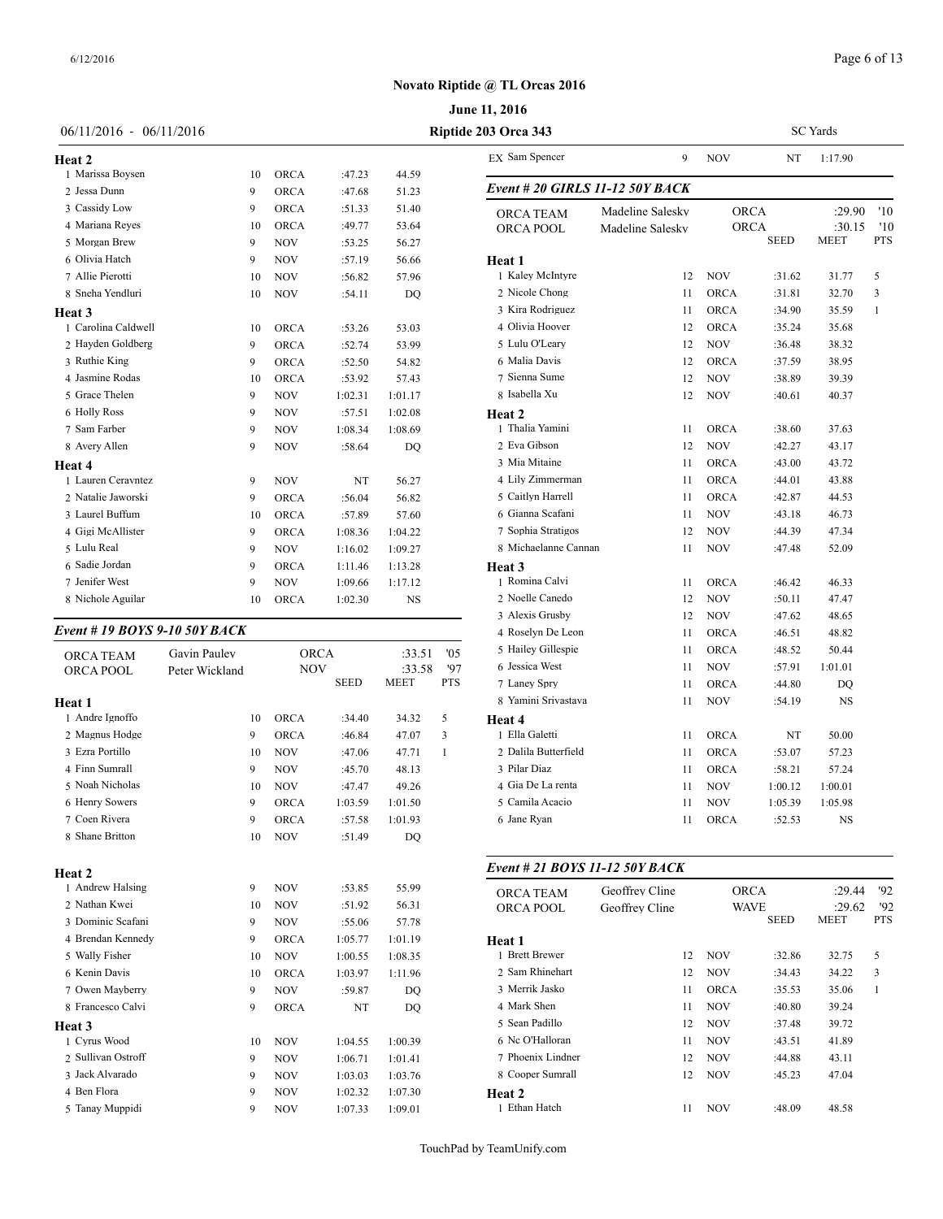SC Yards

## **Novato Riptide @ TL Orcas 2016**

## **June 11, 2016**

| 06/11/2016 - 06/11/2016       |                |             |             |             | Riptide 203 Orca 343 |                    |  |  |
|-------------------------------|----------------|-------------|-------------|-------------|----------------------|--------------------|--|--|
| <b>Heat 2</b>                 |                |             |             |             |                      | EX Sam Spencer     |  |  |
| 1 Marissa Boysen              | 10             | <b>ORCA</b> | :47.23      | 44.59       |                      |                    |  |  |
| 2 Jessa Dunn                  | 9              | <b>ORCA</b> | :47.68      | 51.23       |                      | Event # 20 GIRI    |  |  |
| 3 Cassidy Low                 | 9              | <b>ORCA</b> | :51.33      | 51.40       |                      | <b>ORCA TEAM</b>   |  |  |
| 4 Mariana Reyes               | 10             | ORCA        | :49.77      | 53.64       |                      | ORCA POOL          |  |  |
| 5 Morgan Brew                 | 9              | <b>NOV</b>  | :53.25      | 56.27       |                      |                    |  |  |
| 6 Olivia Hatch                | 9              | <b>NOV</b>  | :57.19      | 56.66       |                      | Heat 1             |  |  |
| 7 Allie Pierotti              | 10             | NOV         | :56.82      | 57.96       |                      | 1 Kaley McIntyre   |  |  |
| 8 Sneha Yendluri              | 10             | <b>NOV</b>  | :54.11      | DO          |                      | 2 Nicole Chong     |  |  |
| <b>Heat 3</b>                 |                |             |             |             |                      | 3 Kira Rodriguez   |  |  |
| 1 Carolina Caldwell           | 10             | ORCA        | :53.26      | 53.03       |                      | 4 Olivia Hoover    |  |  |
| 2 Hayden Goldberg             | 9              | <b>ORCA</b> | :52.74      | 53.99       |                      | 5 Lulu O'Leary     |  |  |
| 3 Ruthie King                 | 9              | <b>ORCA</b> | :52.50      | 54.82       |                      | 6 Malia Davis      |  |  |
| 4 Jasmine Rodas               | 10             | ORCA        | :53.92      | 57.43       |                      | 7 Sienna Sume      |  |  |
| 5 Grace Thelen                | 9              | <b>NOV</b>  | 1:02.31     | 1:01.17     |                      | 8 Isabella Xu      |  |  |
| 6 Holly Ross                  | 9              | <b>NOV</b>  | :57.51      | 1:02.08     |                      | Heat 2             |  |  |
| 7 Sam Farber                  | 9              | NOV         | 1:08.34     | 1:08.69     |                      | 1 Thalia Yamini    |  |  |
| 8 Avery Allen                 | 9              | <b>NOV</b>  | :58.64      | DO          |                      | 2 Eva Gibson       |  |  |
| <b>Heat 4</b>                 |                |             |             |             |                      | 3 Mia Mitaine      |  |  |
| 1 Lauren Ceravntez            | 9              | <b>NOV</b>  | NT          | 56.27       |                      | 4 Lily Zimmerman   |  |  |
| 2 Natalie Jaworski            | 9              | <b>ORCA</b> | :56.04      | 56.82       |                      | 5 Caitlyn Harrell  |  |  |
| 3 Laurel Buffum               | 10             | <b>ORCA</b> | :57.89      | 57.60       |                      | 6 Gianna Scafani   |  |  |
| 4 Gigi McAllister             | 9              | ORCA        | 1:08.36     | 1:04.22     |                      | 7 Sophia Stratigos |  |  |
| 5 Lulu Real                   | 9              | <b>NOV</b>  | 1:16.02     | 1:09.27     |                      | 8 Michaelanne Ca   |  |  |
| 6 Sadie Jordan                | 9              | ORCA        | 1:11.46     | 1:13.28     |                      | Heat 3             |  |  |
| 7 Jenifer West                | 9              | <b>NOV</b>  | 1:09.66     | 1:17.12     |                      | 1 Romina Calvi     |  |  |
| 8 Nichole Aguilar             | 10             | <b>ORCA</b> | 1:02.30     | <b>NS</b>   |                      | 2 Noelle Canedo    |  |  |
|                               |                |             |             |             |                      | 3 Alexis Grusby    |  |  |
| Event # 19 BOYS 9-10 50Y BACK |                |             |             |             |                      | 4 Roselyn De Leo   |  |  |
| <b>ORCA TEAM</b>              | Gavin Paulev   | <b>ORCA</b> |             | :33.51      | '05                  | 5 Hailey Gillespie |  |  |
| ORCA POOL                     | Peter Wickland | <b>NOV</b>  |             | :33.58      | '97                  | 6 Jessica West     |  |  |
|                               |                |             | <b>SEED</b> | <b>MEET</b> | <b>PTS</b>           | 7 Laney Spry       |  |  |
| .                             |                |             |             |             |                      | 0 Vamini Crivactor |  |  |

| Heat 1             |    |             |         |                |   | 8 Yamini Srivas   |
|--------------------|----|-------------|---------|----------------|---|-------------------|
| 1 Andre Ignoffo    | 10 | <b>ORCA</b> | :34.40  | 34.32          | 5 | Heat 4            |
| 2 Magnus Hodge     | 9  | <b>ORCA</b> | :46.84  | 47.07          | 3 | 1 Ella Galetti    |
| 3 Ezra Portillo    | 10 | <b>NOV</b>  | :47.06  | 47.71          | 1 | 2 Dalila Butterfi |
| 4 Finn Sumrall     | 9  | <b>NOV</b>  | :45.70  | 48.13          |   | 3 Pilar Diaz      |
| 5 Noah Nicholas    | 10 | <b>NOV</b>  | :47.47  | 49.26          |   | 4 Gia De La ren   |
| 6 Henry Sowers     | 9  | <b>ORCA</b> | 1:03.59 | 1:01.50        |   | 5 Camila Acacio   |
| 7 Coen Rivera      | 9  | <b>ORCA</b> | :57.58  | 1:01.93        |   | 6 Jane Ryan       |
| 8 Shane Britton    | 10 | <b>NOV</b>  | :51.49  | D <sub>O</sub> |   |                   |
| Heat 2             |    |             |         |                |   | Event # 21 $BO$   |
| 1 Andrew Halsing   | 9  | <b>NOV</b>  | :53.85  | 55.99          |   | <b>ORCA TEAM</b>  |
| 2 Nathan Kwei      | 10 | <b>NOV</b>  | :51.92  | 56.31          |   | ORCA POOL         |
| 3 Dominic Scafani  | 9  | <b>NOV</b>  | :55.06  | 57.78          |   |                   |
| 4 Brendan Kennedy  | 9  | <b>ORCA</b> | 1:05.77 | 1:01.19        |   | Heat 1            |
| 5 Wally Fisher     | 10 | <b>NOV</b>  | 1:00.55 | 1:08.35        |   | 1 Brett Brewer    |
| 6 Kenin Davis      | 10 | <b>ORCA</b> | 1:03.97 | 1:11.96        |   | 2 Sam Rhinehar    |
| 7 Owen Mayberry    | 9  | <b>NOV</b>  | :59.87  | DO             |   | 3 Merrik Jasko    |
| 8 Francesco Calvi  | 9  | <b>ORCA</b> | NT      | DO             |   | 4 Mark Shen       |
| Heat 3             |    |             |         |                |   | 5 Sean Padillo    |
| 1 Cyrus Wood       | 10 | <b>NOV</b>  | 1:04.55 | 1:00.39        |   | 6 Nc O'Halloran   |
| 2 Sullivan Ostroff | 9  | <b>NOV</b>  | 1:06.71 | 1:01.41        |   | 7 Phoenix Lindr   |
| 3 Jack Alvarado    | 9  | <b>NOV</b>  | 1:03.03 | 1:03.76        |   | 8 Cooper Sumra    |
| 4 Ben Flora        | 9  | <b>NOV</b>  | 1:02.32 | 1:07.30        |   | Heat 2            |
| 5 Tanay Muppidi    | 9  | <b>NOV</b>  | 1:07.33 | 1:09.01        |   | 1 Ethan Hatch     |

| EX Sam Spencer                       | 9                                    | NOV                        | NT          | 1:17.90                         |                          |
|--------------------------------------|--------------------------------------|----------------------------|-------------|---------------------------------|--------------------------|
| Event # 20 GIRLS 11-12 50Y BACK      |                                      |                            |             |                                 |                          |
| <b>ORCA TEAM</b><br><b>ORCA POOL</b> | Madeline Salesky<br>Madeline Salesky | <b>ORCA</b><br><b>ORCA</b> | <b>SEED</b> | :29.90<br>:30.15<br><b>MEET</b> | '10<br>'10<br><b>PTS</b> |
| Heat 1                               |                                      |                            |             |                                 |                          |
| 1 Kaley McIntyre                     | 12                                   | <b>NOV</b>                 | :31.62      | 31.77                           | 5                        |
| 2 Nicole Chong                       | 11                                   | <b>ORCA</b>                | :31.81      | 32.70                           | 3                        |
| 3 Kira Rodriguez                     | 11                                   | <b>ORCA</b>                | :34.90      | 35.59                           | 1                        |
| 4 Olivia Hoover                      | 12                                   | ORCA                       | :35.24      | 35.68                           |                          |
| 5 Lulu O'Leary                       | 12                                   | <b>NOV</b>                 | :36.48      | 38.32                           |                          |
| 6 Malia Davis                        | 12                                   | <b>ORCA</b>                | :37.59      | 38.95                           |                          |
| 7 Sienna Sume                        | 12                                   | <b>NOV</b>                 | :38.89      | 39.39                           |                          |
| 8 Isabella Xu                        | 12                                   | <b>NOV</b>                 | :40.61      | 40.37                           |                          |
| Heat 2                               |                                      |                            |             |                                 |                          |
| 1 Thalia Yamini                      | 11                                   | <b>ORCA</b>                | :38.60      | 37.63                           |                          |
| 2 Eva Gibson                         | 12                                   | <b>NOV</b>                 | :42.27      | 43.17                           |                          |
| 3 Mia Mitaine                        | 11                                   | <b>ORCA</b>                | :43.00      | 43.72                           |                          |
| 4 Lily Zimmerman                     | 11                                   | <b>ORCA</b>                | :44.01      | 43.88                           |                          |
| 5 Caitlyn Harrell                    | 11                                   | <b>ORCA</b>                | :42.87      | 44.53                           |                          |
| 6 Gianna Scafani                     | 11                                   | <b>NOV</b>                 | :43.18      | 46.73                           |                          |
| 7 Sophia Stratigos                   | 12                                   | <b>NOV</b>                 | :44.39      | 47.34                           |                          |
| 8 Michaelanne Cannan                 | 11                                   | <b>NOV</b>                 | :47.48      | 52.09                           |                          |
| Heat 3                               |                                      |                            |             |                                 |                          |
| 1 Romina Calvi                       | 11                                   | <b>ORCA</b>                | :46.42      | 46.33                           |                          |
| 2 Noelle Canedo                      | 12                                   | <b>NOV</b>                 | :50.11      | 47.47                           |                          |
| 3 Alexis Grusby                      | 12                                   | <b>NOV</b>                 | :47.62      | 48.65                           |                          |
| 4 Roselyn De Leon                    | 11                                   | <b>ORCA</b>                | :46.51      | 48.82                           |                          |
| 5 Hailey Gillespie                   | 11                                   | <b>ORCA</b>                | :48.52      | 50.44                           |                          |
| 6 Jessica West                       | 11                                   | <b>NOV</b>                 | :57.91      | 1:01.01                         |                          |
| 7 Laney Spry                         | 11                                   | ORCA                       | :44.80      | DQ                              |                          |
| 8 Yamini Srivastava                  | 11                                   | <b>NOV</b>                 | :54.19      | NS                              |                          |
| <b>Heat 4</b>                        |                                      |                            |             |                                 |                          |
| 1 Ella Galetti                       | 11                                   | <b>ORCA</b>                | NT          | 50.00                           |                          |
| 2 Dalila Butterfield                 | 11                                   | <b>ORCA</b>                | :53.07      | 57.23                           |                          |
| 3 Pilar Diaz                         | 11                                   | <b>ORCA</b>                | :58.21      | 57.24                           |                          |
| 4 Gia De La renta                    | 11                                   | <b>NOV</b>                 | 1:00.12     | 1:00.01                         |                          |
| 5 Camila Acacio                      | 11                                   | <b>NOV</b>                 | 1:05.39     | 1:05.98                         |                          |
| 6 Jane Ryan                          | 11                                   | <b>ORCA</b>                | :52.53      | <b>NS</b>                       |                          |

#### *Event # 21 BOYS 11-12 50Y BACK*

| <b>ORCA TEAM</b><br>ORCA POOL | Geoffrey Cline<br>Geoffrey Cline | <b>ORCA</b><br><b>WAVE</b> | <b>SEED</b> | :29.44<br>:29.62<br>MEET | 92<br>92<br><b>PTS</b> |  |
|-------------------------------|----------------------------------|----------------------------|-------------|--------------------------|------------------------|--|
| Heat 1                        |                                  |                            |             |                          |                        |  |
| 1 Brett Brewer                | 12                               | <b>NOV</b>                 | :32.86      | 32.75                    | 5                      |  |
| 2. Sam Rhinehart              | 12                               | <b>NOV</b>                 | :34.43      | 34.22                    | 3                      |  |
| 3 Merrik Jasko                | 11                               | <b>ORCA</b>                | :35.53      | 35.06                    | 1                      |  |
| 4 Mark Shen                   | 11                               | <b>NOV</b>                 | :40.80      | 39.24                    |                        |  |
| 5 Sean Padillo                | 12                               | <b>NOV</b>                 | :37.48      | 39.72                    |                        |  |
| 6 Nc O'Halloran               | 11                               | <b>NOV</b>                 | :43.51      | 41.89                    |                        |  |
| 7 Phoenix Lindner             | 12                               | <b>NOV</b>                 | :44.88      | 43.11                    |                        |  |
| 8 Cooper Sumrall              | 12                               | <b>NOV</b>                 | :45.23      | 47.04                    |                        |  |
| Heat 2                        |                                  |                            |             |                          |                        |  |
| 1 Ethan Hatch                 | 11                               | NOV                        | :48.09      | 48.58                    |                        |  |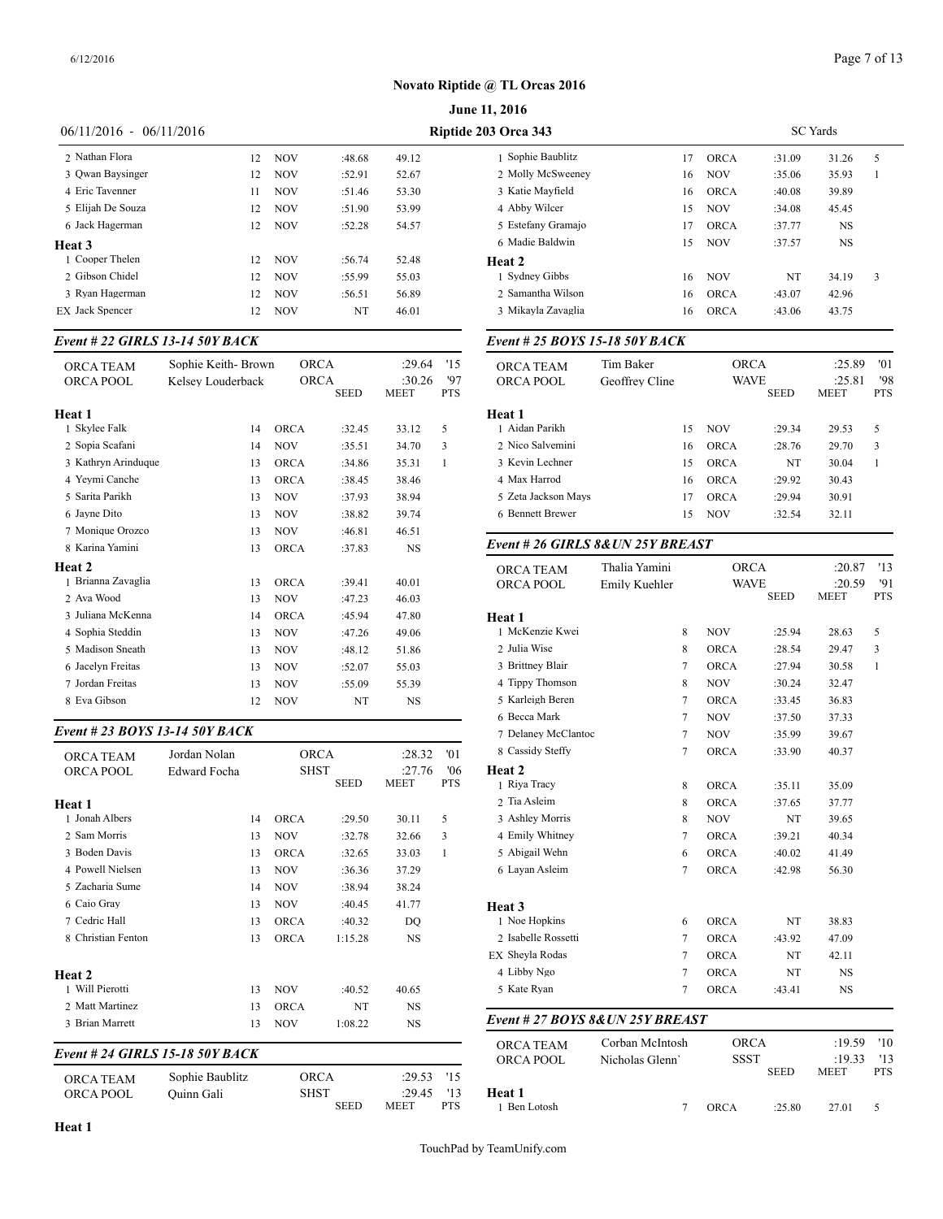SC Yards

#### **Novato Riptide @ TL Orcas 2016**

|                           |    |            |        |       | <b>June 11, 2016</b> |
|---------------------------|----|------------|--------|-------|----------------------|
| $06/11/2016 - 06/11/2016$ |    |            |        |       | Riptide 203 Orca 343 |
| 2 Nathan Flora            | 12 | <b>NOV</b> | :48.68 | 49.12 | 1 Sophie Ba          |
| 3 Owan Baysinger          | 12 | <b>NOV</b> | :52.91 | 52.67 | 2 Molly Mc           |
| 4 Eric Tavenner           | 11 | <b>NOV</b> | :51.46 | 53.30 | 3 Katie May          |
| 5 Elijah De Souza         | 12 | <b>NOV</b> | :51.90 | 53.99 | 4 Abby Wilc          |
| 6 Jack Hagerman           | 12 | <b>NOV</b> | :52.28 | 54.57 | 5 Estefany C         |
| <b>Heat 3</b>             |    |            |        |       | 6 Madie Bal          |
| 1 Cooper Thelen           | 12 | <b>NOV</b> | :56.74 | 52.48 | Heat 2               |
| 2 Gibson Chidel           | 12 | <b>NOV</b> | :55.99 | 55.03 | 1 Sydney Gi          |
| 3 Ryan Hagerman           | 12 | <b>NOV</b> | :56.51 | 56.89 | 2 Samantha           |
| <b>EX</b> Jack Spencer    | 12 | <b>NOV</b> | NT     | 46.01 | 3 Mikayla Z          |

#### *Event # 22 GIRLS 13-14 50Y BACK*

| ORCA TEAM<br>ORCA POOL          | Sophie Keith-Brown<br>Kelsey Louderback |    | <b>ORCA</b><br><b>ORCA</b> |             | :29.64<br>:30.26 | '15<br>97       | ORCA TEAM<br>ORCA POOL               |
|---------------------------------|-----------------------------------------|----|----------------------------|-------------|------------------|-----------------|--------------------------------------|
|                                 |                                         |    |                            | <b>SEED</b> | <b>MEET</b>      | <b>PTS</b>      |                                      |
| Heat 1                          |                                         |    |                            |             |                  |                 | Heat 1                               |
| 1 Skylee Falk                   |                                         | 14 | <b>ORCA</b>                | :32.45      | 33.12            | 5               | 1 Aidan Parikh                       |
| 2 Sopia Scafani                 |                                         | 14 | <b>NOV</b>                 | :35.51      | 34.70            | 3               | 2 Nico Salvemini                     |
| 3 Kathryn Arinduque             |                                         | 13 | <b>ORCA</b>                | :34.86      | 35.31            | $\mathbf{1}$    | 3 Kevin Lechner                      |
| 4 Yevmi Canche                  |                                         | 13 | <b>ORCA</b>                | :38.45      | 38.46            |                 | 4 Max Harrod                         |
| 5 Sarita Parikh                 |                                         | 13 | <b>NOV</b>                 | :37.93      | 38.94            |                 | 5 Zeta Jackson Ma                    |
| 6 Jayne Dito                    |                                         | 13 | <b>NOV</b>                 | :38.82      | 39.74            |                 | 6 Bennett Brewer                     |
| 7 Monique Orozco                |                                         | 13 | <b>NOV</b>                 | :46.81      | 46.51            |                 |                                      |
| 8 Karina Yamini                 |                                         | 13 | <b>ORCA</b>                | :37.83      | <b>NS</b>        |                 | Event # 26 GIRI                      |
| Heat 2                          |                                         |    |                            |             |                  |                 | <b>ORCA TEAM</b>                     |
| 1 Brianna Zavaglia              |                                         | 13 | <b>ORCA</b>                | :39.41      | 40.01            |                 | <b>ORCA POOL</b>                     |
| 2 Ava Wood                      |                                         | 13 | <b>NOV</b>                 | :47.23      | 46.03            |                 |                                      |
| 3 Juliana McKenna               |                                         | 14 | <b>ORCA</b>                | :45.94      | 47.80            |                 | Heat 1                               |
| 4 Sophia Steddin                |                                         | 13 | <b>NOV</b>                 | :47.26      | 49.06            |                 | 1 McKenzie Kwei                      |
| 5 Madison Sneath                |                                         | 13 | <b>NOV</b>                 | :48.12      | 51.86            |                 | 2 Julia Wise                         |
| 6 Jacelyn Freitas               |                                         | 13 | NOV                        | :52.07      | 55.03            |                 | 3 Brittney Blair                     |
| 7 Jordan Freitas                |                                         | 13 | <b>NOV</b>                 | :55.09      | 55.39            |                 | 4 Tippy Thomson                      |
| 8 Eva Gibson                    |                                         | 12 | <b>NOV</b>                 | NT          | NS               |                 | 5 Karleigh Beren                     |
|                                 |                                         |    |                            |             |                  |                 | 6 Becca Mark                         |
| Event # 23 BOYS 13-14 50Y BACK  |                                         |    |                            |             |                  |                 | 7 Delaney McClar                     |
| ORCA TEAM                       | Jordan Nolan                            |    | <b>ORCA</b>                |             | :28.32           | '01             | 8 Cassidy Steffy                     |
| ORCA POOL                       | <b>Edward Focha</b>                     |    | <b>SHST</b>                |             | :27.76           | '06             | Heat 2                               |
|                                 |                                         |    |                            | <b>SEED</b> | MEET             | <b>PTS</b>      | 1 Riva Tracy                         |
| Heat 1                          |                                         |    |                            |             |                  |                 | 2 Tia Asleim                         |
| 1 Jonah Albers                  |                                         | 14 | <b>ORCA</b>                | :29.50      | 30.11            | 5               | 3 Ashley Morris                      |
| 2 Sam Morris                    |                                         | 13 | <b>NOV</b>                 | :32.78      | 32.66            | 3               | 4 Emily Whitney                      |
| 3 Boden Davis                   |                                         | 13 | ORCA                       | :32.65      | 33.03            | $\mathbf{1}$    | 5 Abigail Wehn                       |
| 4 Powell Nielsen                |                                         | 13 | <b>NOV</b>                 | :36.36      | 37.29            |                 | 6 Layan Asleim                       |
| 5 Zacharia Sume                 |                                         | 14 | <b>NOV</b>                 | :38.94      | 38.24            |                 |                                      |
| 6 Caio Gray                     |                                         | 13 | <b>NOV</b>                 | :40.45      | 41.77            |                 | Heat 3                               |
| 7 Cedric Hall                   |                                         | 13 | <b>ORCA</b>                | :40.32      | DQ               |                 | 1 Noe Hopkins                        |
| 8 Christian Fenton              |                                         | 13 | ORCA                       | 1:15.28     | <b>NS</b>        |                 | 2 Isabelle Rossetti                  |
|                                 |                                         |    |                            |             |                  |                 | EX Sheyla Rodas                      |
| Heat 2                          |                                         |    |                            |             |                  |                 | 4 Libby Ngo                          |
| 1 Will Pierotti                 |                                         | 13 | <b>NOV</b>                 | :40.52      | 40.65            |                 | 5 Kate Ryan                          |
| 2 Matt Martinez                 |                                         | 13 | <b>ORCA</b>                | NT          | NS               |                 |                                      |
| 3 Brian Marrett                 |                                         | 13 | <b>NOV</b>                 | 1:08.22     | <b>NS</b>        |                 | Event # 27 <b>BOY</b>                |
| Event # 24 GIRLS 15-18 50Y BACK |                                         |    |                            |             |                  |                 | <b>ORCA TEAM</b><br><b>ORCA POOL</b> |
|                                 | $On this Doothline$                     |    | ODCA                       |             | .2052            | 11 <sup>2</sup> |                                      |

| <b>ORCA TEAM</b> | Sophie Baublitz | ORCA        | :29.53 |            |            |  |      | <b>SEED</b> | MEET  | PTS |
|------------------|-----------------|-------------|--------|------------|------------|--|------|-------------|-------|-----|
| ORCA POOL        | Ouinn Gali      | SHST        | :29.45 | 112        | Heat 1     |  |      |             |       |     |
|                  |                 | <b>SEED</b> | meet   | <b>PTS</b> | Ben Lotosh |  | ORCA | 25.80       | 27.01 |     |

| 6 Madie Baldwin                   |                 |    |             | :37.77      | NS     |            |
|-----------------------------------|-----------------|----|-------------|-------------|--------|------------|
|                                   |                 | 15 | <b>NOV</b>  | :37.57      | NS     |            |
| Heat 2                            |                 |    |             |             |        |            |
| 1 Sydney Gibbs                    |                 | 16 | <b>NOV</b>  | NT          | 34.19  | 3          |
| 2 Samantha Wilson                 |                 | 16 | <b>ORCA</b> | :43.07      | 42.96  |            |
| 3 Mikayla Zavaglia                |                 | 16 | <b>ORCA</b> | :43.06      | 43.75  |            |
| Event # 25 BOYS 15-18 50Y BACK    |                 |    |             |             |        |            |
| ORCA TEAM                         | Tim Baker       |    | <b>ORCA</b> |             | :25.89 | '01        |
| ORCA POOL                         | Geoffrey Cline  |    | <b>WAVE</b> |             | :25.81 | '98        |
|                                   |                 |    |             | <b>SEED</b> | MEET   | <b>PTS</b> |
| Heat 1                            |                 |    |             |             |        |            |
| 1 Aidan Parikh                    |                 | 15 | <b>NOV</b>  | :29.34      | 29.53  | 5          |
| 2 Nico Salvemini                  |                 | 16 | <b>ORCA</b> | :28.76      | 29.70  | 3          |
| 3 Kevin Lechner                   |                 | 15 | <b>ORCA</b> | NT          | 30.04  | 1          |
| 4 Max Harrod                      |                 | 16 | <b>ORCA</b> | :29.92      | 30.43  |            |
| 5 Zeta Jackson Mays               |                 | 17 | <b>ORCA</b> | :29.94      | 30.91  |            |
| 6 Bennett Brewer                  |                 | 15 | <b>NOV</b>  | :32.54      | 32.11  |            |
| Event # 26 GIRLS 8& UN 25Y BREAST |                 |    |             |             |        |            |
| ORCA TEAM                         | Thalia Yamini   |    | <b>ORCA</b> |             | :20.87 | '13        |
| ORCA POOL                         | Emily Kuehler   |    | WAVE        |             | :20.59 | '91        |
|                                   |                 |    |             | <b>SEED</b> | MEET   | <b>PTS</b> |
| Heat 1                            |                 |    |             |             |        |            |
| 1 McKenzie Kwei                   |                 | 8  | <b>NOV</b>  | :25.94      | 28.63  | 5          |
| 2 Julia Wise                      |                 | 8  | <b>ORCA</b> | :28.54      | 29.47  | 3          |
| 3 Brittney Blair                  |                 | 7  | <b>ORCA</b> | :27.94      | 30.58  | 1          |
| 4 Tippy Thomson                   |                 | 8  | <b>NOV</b>  | :30.24      | 32.47  |            |
| 5 Karleigh Beren                  |                 | 7  | <b>ORCA</b> | :33.45      | 36.83  |            |
| 6 Becca Mark                      |                 | 7  | <b>NOV</b>  | :37.50      | 37.33  |            |
| 7 Delaney McClantoc               |                 | 7  | <b>NOV</b>  | :35.99      | 39.67  |            |
| 8 Cassidy Steffy                  |                 | 7  | <b>ORCA</b> | :33.90      | 40.37  |            |
| Heat 2                            |                 |    |             |             |        |            |
| 1 Riya Tracy                      |                 | 8  | <b>ORCA</b> | :35.11      | 35.09  |            |
| 2 Tia Asleim                      |                 | 8  | <b>ORCA</b> | :37.65      | 37.77  |            |
| 3 Ashley Morris                   |                 | 8  | <b>NOV</b>  | NT          | 39.65  |            |
| 4 Emily Whitney                   |                 | 7  | <b>ORCA</b> | :39.21      | 40.34  |            |
| 5 Abigail Wehn                    |                 | 6  | <b>ORCA</b> | :40.02      | 41.49  |            |
| 6 Layan Asleim                    |                 | 7  | <b>ORCA</b> | :42.98      | 56.30  |            |
| Heat 3                            |                 |    |             |             |        |            |
| 1 Noe Hopkins                     |                 | 6  | <b>ORCA</b> | NT          | 38.83  |            |
| 2 Isabelle Rossetti               |                 | 7  | <b>ORCA</b> | :43.92      | 47.09  |            |
|                                   |                 | 7  | <b>ORCA</b> | NT          | 42.11  |            |
|                                   |                 | 7  | <b>ORCA</b> | NT          | NS     |            |
| 4 Libby Ngo                       |                 |    |             | :43.41      | NS     |            |
| EX Sheyla Rodas<br>5 Kate Ryan    |                 | 7  | <b>ORCA</b> |             |        |            |
|                                   |                 |    |             |             |        |            |
| Event # 27 BOYS 8&UN 25Y BREAST   | Corban McIntosh |    | <b>ORCA</b> |             | :19.59 | '10        |
| ORCA TEAM<br>ORCA POOL            | Nicholas Glenn' |    | SSST        |             | :19.33 | '13        |

1 Sophie Baublitz 17 ORCA :31.09 31.26 5 2 Molly McSweeney 16 NOV :35.06 35.93 1 3 Katie Mayfield 16 ORCA :40.08 39.89 4 Abby Wilcer 15 NOV :34.08 45.45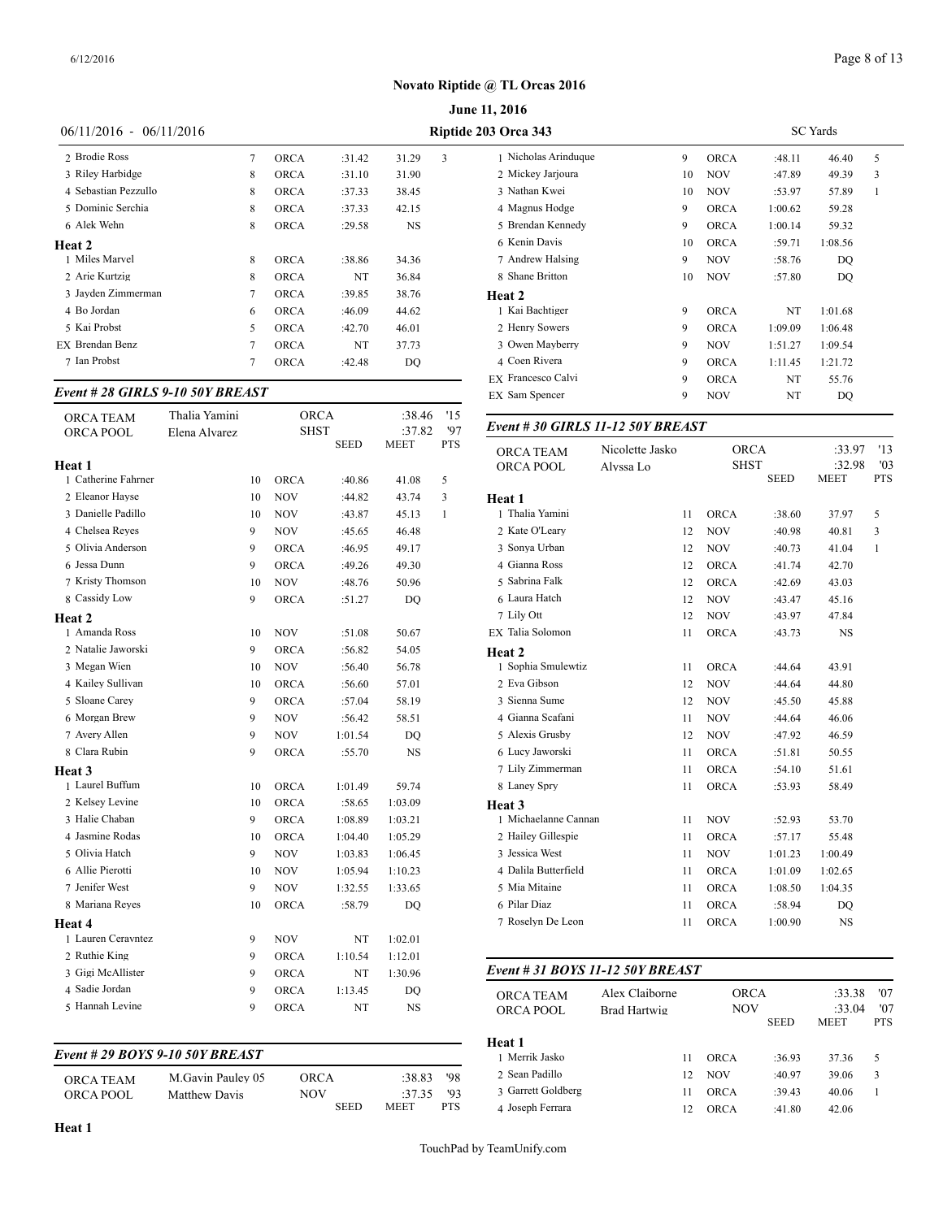|                           |   |             |        |           |   | <b>June 11, 2016</b> |  |
|---------------------------|---|-------------|--------|-----------|---|----------------------|--|
| $06/11/2016 - 06/11/2016$ |   |             |        |           |   | Riptide 203 Orca 343 |  |
| 2 Brodie Ross             | 7 | <b>ORCA</b> | :31.42 | 31.29     | 3 | 1 Nicholas Arinduque |  |
| 3 Riley Harbidge          | 8 | <b>ORCA</b> | :31.10 | 31.90     |   | 2 Mickey Jarjoura    |  |
| 4 Sebastian Pezzullo      | 8 | <b>ORCA</b> | :37.33 | 38.45     |   | 3 Nathan Kwei        |  |
| 5 Dominic Serchia         | 8 | <b>ORCA</b> | :37.33 | 42.15     |   | 4 Magnus Hodge       |  |
| 6 Alek Wehn               | 8 | <b>ORCA</b> | :29.58 | <b>NS</b> |   | 5 Brendan Kennedy    |  |
| Heat 2                    |   |             |        |           |   | 6 Kenin Davis        |  |
| 1 Miles Marvel            | 8 | <b>ORCA</b> | :38.86 | 34.36     |   | 7 Andrew Halsing     |  |
| 2 Arie Kurtzig            | 8 | <b>ORCA</b> | NT     | 36.84     |   | 8 Shane Britton      |  |
| 3 Jayden Zimmerman        | 7 | <b>ORCA</b> | :39.85 | 38.76     |   | Heat 2               |  |
| 4 Bo Jordan               | 6 | <b>ORCA</b> | :46.09 | 44.62     |   | 1 Kai Bachtiger      |  |
| 5 Kai Probst              | 5 | <b>ORCA</b> | :42.70 | 46.01     |   | 2 Henry Sowers       |  |
| EX Brendan Benz           | 7 | ORCA        | NT     | 37.73     |   | 3 Owen Mayberry      |  |
| 7 Ian Probst              | 7 | <b>ORCA</b> | :42.48 | DO        |   | 4 Coen Rivera        |  |

#### *Event # 28 GIRLS 9-10 50Y BREAST*

| <b>ORCA TEAM</b>    | Thalia Yamini |    | <b>ORCA</b> |             | :38.46      | '15          |                                  |                     |    |                           |             |                  |
|---------------------|---------------|----|-------------|-------------|-------------|--------------|----------------------------------|---------------------|----|---------------------------|-------------|------------------|
| <b>ORCA POOL</b>    | Elena Alvarez |    | <b>SHST</b> |             | :37.82      | '97          | Event #30 GIRLS 11-12 50Y BREAST |                     |    |                           |             |                  |
|                     |               |    |             | <b>SEED</b> | <b>MEET</b> | <b>PTS</b>   | <b>ORCA TEAM</b>                 | Nicolette Jasko     |    | <b>ORCA</b>               |             | :33.97           |
| Heat 1              |               |    |             |             |             |              | ORCA POOL                        | Alyssa Lo           |    | <b>SHST</b>               |             | :32.98           |
| 1 Catherine Fahrner |               | 10 | <b>ORCA</b> | :40.86      | 41.08       | 5            |                                  |                     |    |                           | <b>SEED</b> | <b>MEET</b>      |
| 2 Eleanor Hayse     |               | 10 | <b>NOV</b>  | :44.82      | 43.74       | 3            | Heat 1                           |                     |    |                           |             |                  |
| 3 Danielle Padillo  |               | 10 | <b>NOV</b>  | :43.87      | 45.13       | $\mathbf{1}$ | 1 Thalia Yamini                  |                     | 11 | <b>ORCA</b>               | :38.60      | 37.97            |
| 4 Chelsea Reyes     |               | 9  | <b>NOV</b>  | :45.65      | 46.48       |              | 2 Kate O'Leary                   |                     | 12 | <b>NOV</b>                | :40.98      | 40.81            |
| 5 Olivia Anderson   |               | 9  | <b>ORCA</b> | :46.95      | 49.17       |              | 3 Sonya Urban                    |                     | 12 | <b>NOV</b>                | :40.73      | 41.04            |
| 6 Jessa Dunn        |               | 9  | <b>ORCA</b> | :49.26      | 49.30       |              | 4 Gianna Ross                    |                     | 12 | <b>ORCA</b>               | :41.74      | 42.70            |
| 7 Kristy Thomson    |               | 10 | <b>NOV</b>  | :48.76      | 50.96       |              | 5 Sabrina Falk                   |                     | 12 | <b>ORCA</b>               | :42.69      | 43.03            |
| 8 Cassidy Low       |               | 9  | <b>ORCA</b> | :51.27      | <b>DQ</b>   |              | 6 Laura Hatch                    |                     | 12 | <b>NOV</b>                | :43.47      | 45.16            |
| Heat 2              |               |    |             |             |             |              | 7 Lily Ott                       |                     | 12 | <b>NOV</b>                | :43.97      | 47.84            |
| 1 Amanda Ross       |               | 10 | <b>NOV</b>  | :51.08      | 50.67       |              | EX Talia Solomon                 |                     | 11 | ORCA                      | :43.73      | <b>NS</b>        |
| 2 Natalie Jaworski  |               | 9  | <b>ORCA</b> | :56.82      | 54.05       |              | Heat 2                           |                     |    |                           |             |                  |
| 3 Megan Wien        |               | 10 | <b>NOV</b>  | :56.40      | 56.78       |              | 1 Sophia Smulewtiz               |                     | 11 | ORCA                      | :44.64      | 43.91            |
| 4 Kailey Sullivan   |               | 10 | <b>ORCA</b> | :56.60      | 57.01       |              | 2 Eva Gibson                     |                     | 12 | <b>NOV</b>                | :44.64      | 44.80            |
| 5 Sloane Carey      |               | 9  | ORCA        | :57.04      | 58.19       |              | 3 Sienna Sume                    |                     | 12 | <b>NOV</b>                | :45.50      | 45.88            |
| 6 Morgan Brew       |               | 9  | NOV         | :56.42      | 58.51       |              | 4 Gianna Scafani                 |                     | 11 | <b>NOV</b>                | :44.64      | 46.06            |
| 7 Avery Allen       |               | 9  | <b>NOV</b>  | 1:01.54     | <b>DQ</b>   |              | 5 Alexis Grusby                  |                     | 12 | <b>NOV</b>                | :47.92      | 46.59            |
| 8 Clara Rubin       |               | 9  | <b>ORCA</b> | :55.70      | <b>NS</b>   |              | 6 Lucy Jaworski                  |                     | 11 | <b>ORCA</b>               | :51.81      | 50.55            |
| Heat 3              |               |    |             |             |             |              | 7 Lily Zimmerman                 |                     | 11 | <b>ORCA</b>               | :54.10      | 51.61            |
| 1 Laurel Buffum     |               | 10 | <b>ORCA</b> | 1:01.49     | 59.74       |              | 8 Laney Spry                     |                     | 11 | <b>ORCA</b>               | :53.93      | 58.49            |
| 2 Kelsey Levine     |               | 10 | <b>ORCA</b> | :58.65      | 1:03.09     |              | Heat 3                           |                     |    |                           |             |                  |
| 3 Halie Chaban      |               | 9  | <b>ORCA</b> | 1:08.89     | 1:03.21     |              | 1 Michaelanne Cannan             |                     | 11 | <b>NOV</b>                | :52.93      | 53.70            |
| 4 Jasmine Rodas     |               | 10 | ORCA        | 1:04.40     | 1:05.29     |              | 2 Hailey Gillespie               |                     | 11 | <b>ORCA</b>               | :57.17      | 55.48            |
| 5 Olivia Hatch      |               | 9  | <b>NOV</b>  | 1:03.83     | 1:06.45     |              | 3 Jessica West                   |                     | 11 | <b>NOV</b>                | 1:01.23     | 1:00.49          |
| 6 Allie Pierotti    |               | 10 | <b>NOV</b>  | 1:05.94     | 1:10.23     |              | 4 Dalila Butterfield             |                     | 11 | <b>ORCA</b>               | 1:01.09     | 1:02.65          |
| 7 Jenifer West      |               | 9  | <b>NOV</b>  | 1:32.55     | 1:33.65     |              | 5 Mia Mitaine                    |                     | 11 | ORCA                      | 1:08.50     | 1:04.35          |
| 8 Mariana Reyes     |               | 10 | <b>ORCA</b> | :58.79      | <b>DQ</b>   |              | 6 Pilar Diaz                     |                     | 11 | <b>ORCA</b>               | :58.94      | DQ               |
| Heat 4              |               |    |             |             |             |              | 7 Roselyn De Leon                |                     | 11 | <b>ORCA</b>               | 1:00.90     | <b>NS</b>        |
| 1 Lauren Ceravntez  |               | 9  | <b>NOV</b>  | NT          | 1:02.01     |              |                                  |                     |    |                           |             |                  |
| 2 Ruthie King       |               | 9  | <b>ORCA</b> | 1:10.54     | 1:12.01     |              |                                  |                     |    |                           |             |                  |
| 3 Gigi McAllister   |               | 9  | <b>ORCA</b> | NT          | 1:30.96     |              | Event # 31 BOYS 11-12 50Y BREAST |                     |    |                           |             |                  |
| 4 Sadie Jordan      |               | 9  | <b>ORCA</b> | 1:13.45     | <b>DQ</b>   |              |                                  |                     |    |                           |             |                  |
| 5 Hannah Levine     |               | 9  | ORCA        | NT          | <b>NS</b>   |              | ORCA TEAM                        | Alex Claiborne      |    | <b>ORCA</b><br><b>NOV</b> |             | :33.38<br>:33.04 |
|                     |               |    |             |             |             |              | ORCA POOL                        | <b>Brad Hartwig</b> |    |                           | <b>SEED</b> | <b>MEET</b>      |

#### *Event # 29 BOYS 9-10 50Y BREAST*

| <b>ORCA TEAM</b> | M.Gavin Pauley 05    | ORCA        | $:38.83$ '98 | 2. Sean Padillo    |
|------------------|----------------------|-------------|--------------|--------------------|
| ORCA POOL        | <b>Matthew Davis</b> | NOV         | $-3735$ '93  | 3 Garrett Goldbers |
|                  |                      | <b>SEED</b> | PTS.<br>MEET | 4 Joseph Ferrara   |

| <b>03 Orca 343</b>   |    |             |         | <b>SC</b> Yards |   |  |
|----------------------|----|-------------|---------|-----------------|---|--|
| 1 Nicholas Arinduque | 9  | <b>ORCA</b> | :48.11  | 46.40           | 5 |  |
| 2 Mickey Jarjoura    | 10 | <b>NOV</b>  | :47.89  | 49.39           | 3 |  |
| 3 Nathan Kwei        | 10 | <b>NOV</b>  | :53.97  | 57.89           | 1 |  |
| 4 Magnus Hodge       | 9  | <b>ORCA</b> | 1:00.62 | 59.28           |   |  |
| 5 Brendan Kennedy    | 9  | <b>ORCA</b> | 1:00.14 | 59.32           |   |  |
| 6 Kenin Davis        | 10 | <b>ORCA</b> | :59.71  | 1:08.56         |   |  |
| 7 Andrew Halsing     | 9  | <b>NOV</b>  | :58.76  | DO              |   |  |
| 8 Shane Britton      | 10 | <b>NOV</b>  | :57.80  | DO              |   |  |
| Heat 2               |    |             |         |                 |   |  |
| 1 Kai Bachtiger      | 9  | <b>ORCA</b> | NT      | 1:01.68         |   |  |
| 2 Henry Sowers       | 9  | <b>ORCA</b> | 1:09.09 | 1:06.48         |   |  |
| 3 Owen Mayberry      | 9  | <b>NOV</b>  | 1:51.27 | 1:09.54         |   |  |
| 4 Coen Rivera        | 9  | <b>ORCA</b> | 1:11.45 | 1:21.72         |   |  |
| EX Francesco Calvi   | 9  | <b>ORCA</b> | NT      | 55.76           |   |  |
| EX Sam Spencer       | 9  | <b>NOV</b>  | NT      | DQ              |   |  |

| <b>ORCA TEAM</b>     | Nicolette Jasko | <b>ORCA</b> |             | :33.97      | '13        |
|----------------------|-----------------|-------------|-------------|-------------|------------|
| ORCA POOL            | Alyssa Lo       | <b>SHST</b> |             | :32.98      | '03        |
|                      |                 |             | <b>SEED</b> | <b>MEET</b> | <b>PTS</b> |
| Heat 1               |                 |             |             |             |            |
| 1 Thalia Yamini      | 11              | <b>ORCA</b> | :38.60      | 37.97       | 5          |
| 2 Kate O'Leary       | 12              | <b>NOV</b>  | :40.98      | 40.81       | 3          |
| 3 Sonya Urban        | 12              | <b>NOV</b>  | :40.73      | 41.04       | 1          |
| 4 Gianna Ross        | 12              | <b>ORCA</b> | :41.74      | 42.70       |            |
| 5 Sabrina Falk       | 12              | <b>ORCA</b> | :42.69      | 43.03       |            |
| 6 Laura Hatch        | 12              | <b>NOV</b>  | :43.47      | 45.16       |            |
| 7 Lily Ott           | 12              | <b>NOV</b>  | :43.97      | 47.84       |            |
| EX Talia Solomon     | 11              | <b>ORCA</b> | :43.73      | NS          |            |
| Heat 2               |                 |             |             |             |            |
| 1 Sophia Smulewtiz   | 11              | <b>ORCA</b> | :44.64      | 43.91       |            |
| 2 Eva Gibson         | 12              | <b>NOV</b>  | :44.64      | 44.80       |            |
| 3 Sienna Sume        | 12              | <b>NOV</b>  | :45.50      | 45.88       |            |
| 4 Gianna Scafani     | 11              | <b>NOV</b>  | :44.64      | 46.06       |            |
| 5 Alexis Grusby      | 12              | <b>NOV</b>  | :47.92      | 46.59       |            |
| 6 Lucy Jaworski      | 11              | <b>ORCA</b> | :51.81      | 50.55       |            |
| 7 Lily Zimmerman     | 11              | <b>ORCA</b> | :54.10      | 51.61       |            |
| 8 Laney Spry         | 11              | <b>ORCA</b> | :53.93      | 58.49       |            |
| Heat 3               |                 |             |             |             |            |
| 1 Michaelanne Cannan | 11              | <b>NOV</b>  | :52.93      | 53.70       |            |
| 2 Hailey Gillespie   | 11              | <b>ORCA</b> | :57.17      | 55.48       |            |
| 3 Jessica West       | 11              | <b>NOV</b>  | 1:01.23     | 1:00.49     |            |
| 4 Dalila Butterfield | 11              | <b>ORCA</b> | 1:01.09     | 1:02.65     |            |
| 5 Mia Mitaine        | 11              | <b>ORCA</b> | 1:08.50     | 1:04.35     |            |
| 6 Pilar Diaz         | 11              | <b>ORCA</b> | :58.94      | DQ          |            |
| 7 Roselyn De Leon    | 11              | <b>ORCA</b> | 1:00.90     | <b>NS</b>   |            |
|                      |                 |             |             |             |            |

#### *Event # 31 BOYS 11-12 50Y BREAST*

| <b>ORCA TEAM</b><br><b>ORCA POOL</b> | Alex Claiborne<br>Brad Hartwig |    | <b>ORCA</b><br><b>NOV</b><br><b>SEED</b> |        | :33.38<br>:33.04<br><b>MEET</b> | '07<br>'07<br><b>PTS</b> |
|--------------------------------------|--------------------------------|----|------------------------------------------|--------|---------------------------------|--------------------------|
| Heat 1                               |                                |    |                                          |        |                                 |                          |
| 1 Merrik Jasko                       |                                | 11 | <b>ORCA</b>                              | :36.93 | 37.36                           | 5                        |
| 2 Sean Padillo                       |                                | 12 | <b>NOV</b>                               | :40.97 | 39.06                           | 3                        |
| 3 Garrett Goldberg                   |                                | 11 | <b>ORCA</b>                              | :39.43 | 40.06                           |                          |
| 4 Joseph Ferrara                     |                                | 12 | <b>ORCA</b>                              | :41.80 | 42.06                           |                          |
|                                      |                                |    |                                          |        |                                 |                          |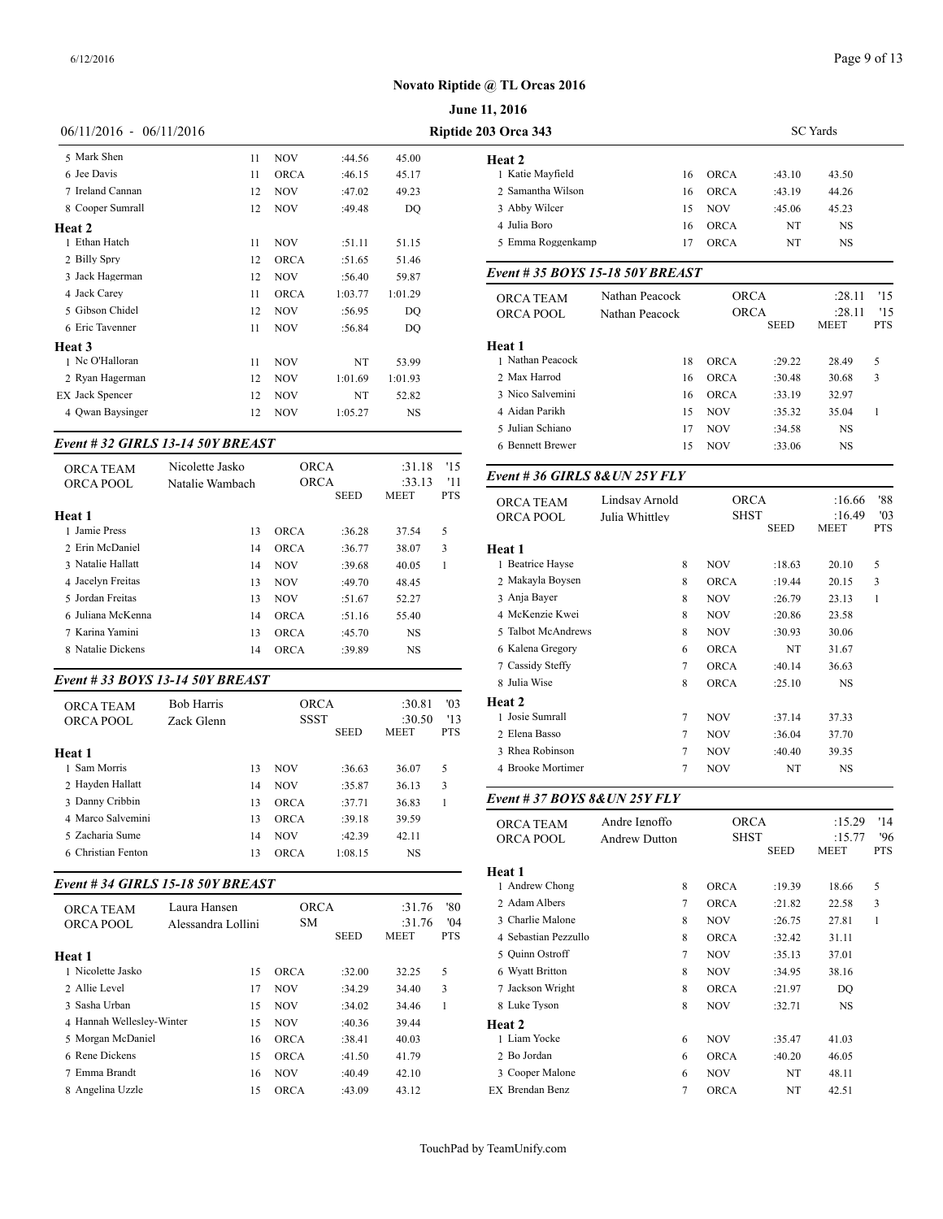| $06/11/2016 - 06/11/2016$                    |    |             |         |           | Riptide 203 Orca 343          |                |  |
|----------------------------------------------|----|-------------|---------|-----------|-------------------------------|----------------|--|
| 5 Mark Shen                                  | 11 | <b>NOV</b>  | :44.56  | 45.00     | Heat 2                        |                |  |
| 6 Jee Davis                                  | 11 | <b>ORCA</b> | :46.15  | 45.17     | 1 Katie Mayfield              |                |  |
| 7 Ireland Cannan                             | 12 | <b>NOV</b>  | :47.02  | 49.23     | 2. Samantha Wilson            |                |  |
| 8 Cooper Sumrall                             | 12 | <b>NOV</b>  | :49.48  | DO        | 3 Abby Wilcer                 |                |  |
| Heat 2                                       |    |             |         |           | 4 Julia Boro                  |                |  |
| 1 Ethan Hatch                                | 11 | <b>NOV</b>  | :51.11  | 51.15     | 5 Emma Roggenkamp             |                |  |
| 2 Billy Spry                                 | 12 | <b>ORCA</b> | :51.65  | 51.46     |                               |                |  |
| 3 Jack Hagerman                              | 12 | <b>NOV</b>  | :56.40  | 59.87     | Event #35 BOYS 15-18 50Y BREA |                |  |
| 4 Jack Carey                                 | 11 | <b>ORCA</b> | 1:03.77 | 1:01.29   | <b>ORCA TEAM</b>              | Nathan Peacock |  |
| 5 Gibson Chidel                              | 12 | <b>NOV</b>  | :56.95  | DQ        | <b>ORCA POOL</b>              | Nathan Peacock |  |
| 6 Eric Tavenner                              | 11 | <b>NOV</b>  | :56.84  | DQ        |                               |                |  |
| Heat 3                                       |    |             |         |           | Heat 1                        |                |  |
| 1 Nc O'Halloran                              | 11 | <b>NOV</b>  | NT      | 53.99     | 1 Nathan Peacock              |                |  |
| 2 Ryan Hagerman                              | 12 | <b>NOV</b>  | 1:01.69 | 1:01.93   | 2 Max Harrod                  |                |  |
| EX Jack Spencer                              | 12 | <b>NOV</b>  | NT      | 52.82     | 3 Nico Salvemini              |                |  |
| 4 Owan Baysinger                             | 12 | <b>NOV</b>  | 1:05.27 | <b>NS</b> | 4 Aidan Parikh                |                |  |
|                                              |    |             |         |           | 5 Julian Schiano              |                |  |
| <i>г., , 4 4 ээ сирт в 12-14 еву ррб 187</i> |    |             |         |           |                               |                |  |

#### *Event # 32 GIRLS 13-14 50Y BREAST*

|                               | Nicolette Jasko | ORCA        |             | :31.18      | '15        |                                      |
|-------------------------------|-----------------|-------------|-------------|-------------|------------|--------------------------------------|
| <b>ORCA TEAM</b><br>ORCA POOL | Natalie Wambach | <b>ORCA</b> |             | :33.13      | '11        | Event #36 GIRI                       |
| Heat 1                        |                 |             | <b>SEED</b> | <b>MEET</b> | <b>PTS</b> | <b>ORCA TEAM</b><br><b>ORCA POOL</b> |
| 1 Jamie Press                 | 13              | ORCA        | :36.28      | 37.54       | 5          |                                      |
| 2 Erin McDaniel               | 14              | <b>ORCA</b> | :36.77      | 38.07       | 3          | Heat 1                               |
| 3 Natalie Hallatt             | 14              | <b>NOV</b>  | :39.68      | 40.05       |            | 1 Beatrice Hayse                     |
| 4 Jacelyn Freitas             | 13              | <b>NOV</b>  | :49.70      | 48.45       |            | 2 Makayla Boyser                     |
| 5 Jordan Freitas              | 13              | <b>NOV</b>  | :51.67      | 52.27       |            | 3 Ania Baver                         |
| 6 Juliana McKenna             | 14              | ORCA        | :51.16      | 55.40       |            | 4 McKenzie Kwei                      |
| 7 Karina Yamini               | 13              | ORCA        | :45.70      | NS.         |            | 5 Talbot McAndre                     |
| 8 Natalie Dickens             | 14              | <b>ORCA</b> | :39.89      | NS          |            | 6 Kalena Gregory                     |
|                               |                 |             |             |             |            |                                      |

#### *Event # 33 BOYS 13-14 50Y BREAST*

|                               |                                 |     |                            |             |                                 |                          | $1.9$ $$                                        |               | $\cup$ | $\overline{\mathcal{O}}$ | .                |            |
|-------------------------------|---------------------------------|-----|----------------------------|-------------|---------------------------------|--------------------------|-------------------------------------------------|---------------|--------|--------------------------|------------------|------------|
| <b>ORCA TEAM</b><br>ORCA POOL | <b>Bob Harris</b><br>Zack Glenn |     | <b>ORCA</b><br><b>SSST</b> | <b>SEED</b> | :30.81<br>:30.50<br><b>MEET</b> | '03<br>'13<br><b>PTS</b> | <b>Heat 2</b><br>Josie Sumrall<br>2 Elena Basso |               |        | <b>NOV</b><br><b>NOV</b> | :37.14<br>:36.04 | 37<br>37   |
| Heat 1                        |                                 |     |                            |             |                                 |                          | 3 Rhea Robinson                                 |               |        | <b>NOV</b>               | :40.40           | 39         |
| 1 Sam Morris                  |                                 | 13  | <b>NOV</b>                 | :36.63      | 36.07                           |                          | 4 Brooke Mortimer                               |               |        | <b>NOV</b>               | NT               |            |
| 2 Havden Hallatt              |                                 | 14  | <b>NOV</b>                 | :35.87      | 36.13                           | 3                        |                                                 |               |        |                          |                  |            |
| 3 Danny Cribbin               |                                 | 13  | <b>ORCA</b>                | :37.71      | 36.83                           |                          | Event # 37 BOYS 8& UN 25Y FLY                   |               |        |                          |                  |            |
| 4 Marco Salvemini             |                                 | 13  | <b>ORCA</b>                | :39.18      | 39.59                           |                          | <b>ORCA TEAM</b>                                | Andre Ignoffo |        | <b>ORCA</b>              |                  |            |
| 5 Zacharia Sume               |                                 | 14  | <b>NOV</b>                 | :42.39      | 42.11                           |                          | ORCA POOL                                       | Andrew Dutton |        | <b>SHST</b>              |                  |            |
| 6 Christian Fenton            |                                 | 13. | <b>ORCA</b>                | 1:08.15     | <b>NS</b>                       |                          |                                                 |               |        |                          | <b>SEED</b>      | <b>MEI</b> |
|                               |                                 |     |                            |             |                                 |                          |                                                 |               |        |                          |                  |            |

### *Event # 34 GIRLS 15-18 50Y BREAST*

|                           |                    |    |             |             |             |            | 1.444444          |
|---------------------------|--------------------|----|-------------|-------------|-------------|------------|-------------------|
| <b>ORCA TEAM</b>          | Laura Hansen       |    | <b>ORCA</b> |             | :31.76      | '80        | 2 Adam Albers     |
| <b>ORCA POOL</b>          | Alessandra Lollini |    | <b>SM</b>   |             | :31.76      | '04        | 3 Charlie Malone  |
|                           |                    |    |             | <b>SEED</b> | <b>MEET</b> | <b>PTS</b> | 4 Sebastian Pezzu |
| Heat 1                    |                    |    |             |             |             |            | 5 Ouinn Ostroff   |
| 1 Nicolette Jasko         |                    | 15 | <b>ORCA</b> | :32.00      | 32.25       | 5          | 6 Wyatt Britton   |
| 2. Allie Level            |                    | 17 | <b>NOV</b>  | :34.29      | 34.40       | 3          | 7 Jackson Wright  |
| 3 Sasha Urban             |                    | 15 | <b>NOV</b>  | :34.02      | 34.46       | 1          | 8 Luke Tyson      |
| 4 Hannah Welleslev-Winter |                    | 15 | <b>NOV</b>  | :40.36      | 39.44       |            | Heat 2            |
| 5 Morgan McDaniel         |                    | 16 | ORCA        | :38.41      | 40.03       |            | 1 Liam Yocke      |
| 6 Rene Dickens            |                    | 15 | <b>ORCA</b> | :41.50      | 41.79       |            | 2 Bo Jordan       |
| 7 Emma Brandt             |                    | 16 | <b>NOV</b>  | :40.49      | 42.10       |            | 3 Cooper Malone   |
| 8 Angelina Uzzle          |                    | 15 | <b>ORCA</b> | :43.09      | 43.12       |            | EX Brendan Benz   |

| <b>June 11, 2016</b>      |    |                 |        |       |  |  |  |
|---------------------------|----|-----------------|--------|-------|--|--|--|
| <b>otide 203 Orca 343</b> |    | <b>SC</b> Yards |        |       |  |  |  |
| Heat 2                    |    |                 |        |       |  |  |  |
| 1 Katie Mayfield          | 16 | <b>ORCA</b>     | :43.10 | 43.50 |  |  |  |
| 2 Samantha Wilson         | 16 | <b>ORCA</b>     | :43.19 | 44.26 |  |  |  |
| 3 Abby Wilcer             | 15 | <b>NOV</b>      | :45.06 | 45.23 |  |  |  |
| 4 Julia Boro              | 16 | <b>ORCA</b>     | NT     | NS.   |  |  |  |
| 5 Emma Roggenkamp         | 17 | <b>ORCA</b>     | NT     | NS.   |  |  |  |
|                           |    |                 |        |       |  |  |  |

#### *Event # 35 BOYS 15-18 50Y BREAST*

| <b>ORCA TEAM</b><br>ORCA POOL | Nathan Peacock<br>Nathan Peacock | <b>ORCA</b><br><b>ORCA</b> | <b>SEED</b> | :28.11<br>:28.11<br><b>MEET</b> | 15<br>'15<br><b>PTS</b> |
|-------------------------------|----------------------------------|----------------------------|-------------|---------------------------------|-------------------------|
| Heat 1                        |                                  |                            |             |                                 |                         |
| 1 Nathan Peacock              | 18                               | <b>ORCA</b>                | :29.22      | 28.49                           | 5                       |
| 2 Max Harrod                  | 16                               | <b>ORCA</b>                | :30.48      | 30.68                           | 3                       |
| 3 Nico Salvemini              | 16                               | ORCA                       | :33.19      | 32.97                           |                         |
| 4 Aidan Parikh                | 15                               | NOV                        | :35.32      | 35.04                           |                         |
| 5 Julian Schiano              | 17                               | <b>NOV</b>                 | :34.58      | NS.                             |                         |
| 6 Bennett Brewer              | 15                               | NOV                        | :33.06      | NS                              |                         |
|                               |                                  |                            |             |                                 |                         |

#### *Event # 36 GIRLS 8&UN 25Y FLY*

|               | <b>ORCA TEAM</b>   | Lindsav Arnold |                 | <b>ORCA</b> |             | :16.66    | '88        |
|---------------|--------------------|----------------|-----------------|-------------|-------------|-----------|------------|
|               | ORCA POOL          | Julia Whittley |                 | <b>SHST</b> |             | :16.49    | '03        |
|               |                    |                |                 |             | <b>SEED</b> | MEET      | <b>PTS</b> |
| Heat 1        |                    |                |                 |             |             |           |            |
|               | 1 Beatrice Hayse   |                | 8               | <b>NOV</b>  | :18.63      | 20.10     | 5          |
|               | 2 Makayla Boysen   |                | 8               | <b>ORCA</b> | :19.44      | 20.15     | 3          |
|               | 3 Anja Bayer       |                | 8               | <b>NOV</b>  | :26.79      | 23.13     | 1          |
|               | 4 McKenzie Kwei    |                | 8               | <b>NOV</b>  | :20.86      | 23.58     |            |
|               | 5 Talbot McAndrews |                | 8               | <b>NOV</b>  | :30.93      | 30.06     |            |
|               | 6 Kalena Gregory   |                | 6               | <b>ORCA</b> | NT          | 31.67     |            |
|               | 7 Cassidy Steffy   |                | $\overline{7}$  | <b>ORCA</b> | :40.14      | 36.63     |            |
|               | 8 Julia Wise       |                | 8               | <b>ORCA</b> | :25.10      | NS.       |            |
| <b>Heat 2</b> |                    |                |                 |             |             |           |            |
|               | 1 Josie Sumrall    |                | 7               | <b>NOV</b>  | :37.14      | 37.33     |            |
|               | 2 Elena Basso      |                | $\overline{7}$  | <b>NOV</b>  | :36.04      | 37.70     |            |
|               | 3 Rhea Robinson    |                | $7\phantom{.0}$ | <b>NOV</b>  | :40.40      | 39.35     |            |
|               | 4 Brooke Mortimer  |                | 7               | <b>NOV</b>  | NT          | <b>NS</b> |            |
|               |                    |                |                 |             |             |           |            |

| <b>ORCA TEAM</b><br>ORCA POOL | Andre Ignoffo<br><b>Andrew Dutton</b> | <b>ORCA</b><br><b>SHST</b> | <b>SEED</b> | :15.29<br>:15.77<br><b>MEET</b> | '14<br>'96<br><b>PTS</b> |
|-------------------------------|---------------------------------------|----------------------------|-------------|---------------------------------|--------------------------|
| Heat 1                        |                                       |                            |             |                                 |                          |
| 1 Andrew Chong                | 8                                     | <b>ORCA</b>                | :19.39      | 18.66                           | 5                        |
| 2 Adam Albers                 | $\overline{7}$                        | <b>ORCA</b>                | :21.82      | 22.58                           | 3                        |
| 3 Charlie Malone              | 8                                     | <b>NOV</b>                 | :26.75      | 27.81                           | 1                        |
| 4 Sebastian Pezzullo          | 8                                     | <b>ORCA</b>                | :32.42      | 31.11                           |                          |
| 5 Quinn Ostroff               | 7                                     | <b>NOV</b>                 | :35.13      | 37.01                           |                          |
| 6 Wyatt Britton               | 8                                     | <b>NOV</b>                 | :34.95      | 38.16                           |                          |
| 7 Jackson Wright              | 8                                     | <b>ORCA</b>                | :21.97      | DQ                              |                          |
| 8 Luke Tyson                  | 8                                     | <b>NOV</b>                 | :32.71      | <b>NS</b>                       |                          |
| Heat 2                        |                                       |                            |             |                                 |                          |
| 1 Liam Yocke                  | 6                                     | <b>NOV</b>                 | :35.47      | 41.03                           |                          |
| 2 Bo Jordan                   | 6                                     | <b>ORCA</b>                | :40.20      | 46.05                           |                          |
| 3 Cooper Malone               | 6                                     | <b>NOV</b>                 | NT          | 48.11                           |                          |
| EX Brendan Benz               | $\overline{7}$                        | <b>ORCA</b>                | NT          | 42.51                           |                          |
|                               |                                       |                            |             |                                 |                          |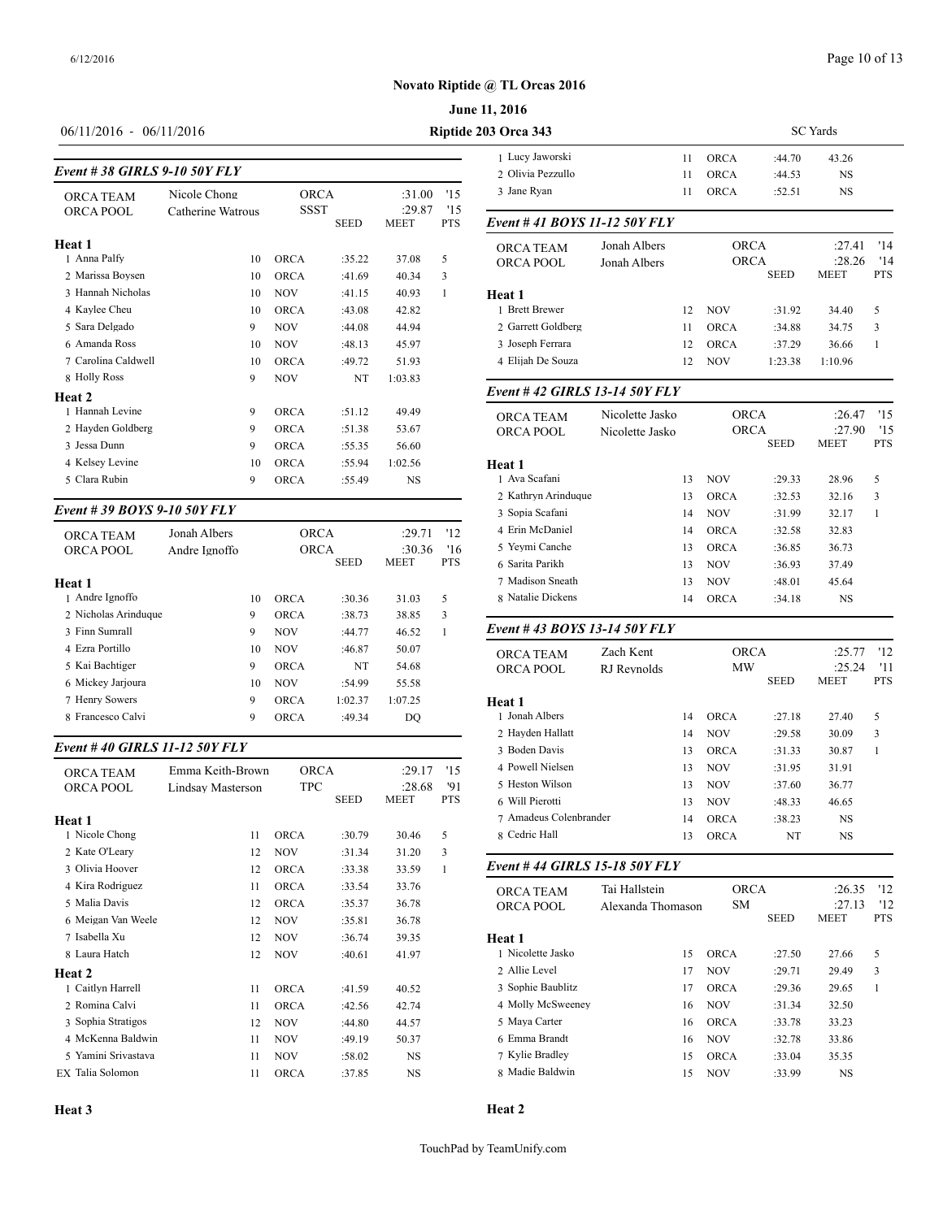#### **June 11, 2016**

# 

#### *Event # 38 GIRLS 9-10 50Y FLY*

|                     |                   | $\angle$ University |             |             |            |                    |
|---------------------|-------------------|---------------------|-------------|-------------|------------|--------------------|
| <b>ORCA TEAM</b>    | Nicole Chong      | <b>ORCA</b>         |             | :31.00      | '15        | 3 Jane Ryan        |
| <b>ORCA POOL</b>    | Catherine Watrous | SSST                |             | :29.87      | '15        |                    |
|                     |                   |                     | <b>SEED</b> | <b>MEET</b> | <b>PTS</b> | Event #41 BOY      |
| Heat 1              |                   |                     |             |             |            | <b>ORCA TEAM</b>   |
| 1 Anna Palfy        | 10                | <b>ORCA</b>         | :35.22      | 37.08       | 5          | <b>ORCA POOL</b>   |
| 2 Marissa Boysen    | 10                | <b>ORCA</b>         | :41.69      | 40.34       | 3          |                    |
| 3 Hannah Nicholas   | 10                | <b>NOV</b>          | :41.15      | 40.93       | 1          | Heat 1             |
| 4 Kaylee Cheu       | 10                | <b>ORCA</b>         | :43.08      | 42.82       |            | 1 Brett Brewer     |
| 5 Sara Delgado      | 9                 | <b>NOV</b>          | :44.08      | 44.94       |            | 2 Garrett Goldbers |
| 6 Amanda Ross       | 10                | <b>NOV</b>          | :48.13      | 45.97       |            | 3 Joseph Ferrara   |
| 7 Carolina Caldwell | 10                | <b>ORCA</b>         | :49.72      | 51.93       |            | 4 Elijah De Souza  |
| 8 Holly Ross        | 9                 | <b>NOV</b>          | NT          | 1:03.83     |            |                    |
| Heat 2              |                   |                     |             |             |            | Event #42 GIRI     |
| 1 Hannah Levine     | 9                 | <b>ORCA</b>         | :51.12      | 49.49       |            | <b>ORCA TEAM</b>   |
| 2 Hayden Goldberg   | 9                 | <b>ORCA</b>         | :51.38      | 53.67       |            | <b>ORCA POOL</b>   |
| 3 Jessa Dunn        | 9                 | <b>ORCA</b>         | :55.35      | 56.60       |            |                    |
| 4 Kelsey Levine     | 10                | <b>ORCA</b>         | :55.94      | 1:02.56     |            | Heat 1             |
| 5 Clara Rubin       | 9                 | <b>ORCA</b>         | :55.49      | <b>NS</b>   |            | 1 Ava Scafani      |
|                     |                   |                     |             |             |            | 2 Kathryn Arindu   |

#### *Event # 39 BOYS 9-10 50Y FLY*

| <b>ORCA TEAM</b>     | Jonah Albers  |    | ORCA        | :29.71      | '12         | 4 Erin McDaniel |                   |
|----------------------|---------------|----|-------------|-------------|-------------|-----------------|-------------------|
| ORCA POOL            | Andre Ignoffo |    | <b>ORCA</b> |             | :30.36      | 16              | 5 Yevmi Canche    |
|                      |               |    |             | <b>SEED</b> | <b>MEET</b> | <b>PTS</b>      | 6 Sarita Parikh   |
| Heat 1               |               |    |             |             |             |                 | 7 Madison Sneath  |
| 1 Andre Ignoffo      |               | 10 | <b>ORCA</b> | :30.36      | 31.03       | 5               | 8 Natalie Dickens |
| 2 Nicholas Arinduque |               | 9  | <b>ORCA</b> | :38.73      | 38.85       | 3               |                   |
| 3 Finn Sumrall       |               | 9  | <b>NOV</b>  | :44.77      | 46.52       |                 | Event #43 BOY     |
| 4 Ezra Portillo      |               | 10 | <b>NOV</b>  | :46.87      | 50.07       |                 | <b>ORCA TEAM</b>  |
| 5 Kai Bachtiger      |               | 9  | <b>ORCA</b> | NT          | 54.68       |                 | <b>ORCA POOL</b>  |
| 6 Mickey Jarjoura    |               | 10 | <b>NOV</b>  | :54.99      | 55.58       |                 |                   |
| 7 Henry Sowers       |               | 9  | <b>ORCA</b> | 1:02.37     | 1:07.25     |                 | Heat 1            |
| 8 Francesco Calvi    |               | 9  | <b>ORCA</b> | :49.34      | DO          |                 | 1 Jonah Albers    |
|                      |               |    |             |             |             |                 |                   |

#### *Event # 40 GIRLS 11-12 50Y FLY*

| <b>ORCA TEAM</b>    | Emma Keith-Brown  | <b>ORCA</b> |             | :29.17                | '15               | 4 Powell Nielsen                   |
|---------------------|-------------------|-------------|-------------|-----------------------|-------------------|------------------------------------|
| ORCA POOL           | Lindsay Masterson | <b>TPC</b>  | <b>SEED</b> | :28.68<br><b>MEET</b> | '91<br><b>PTS</b> | 5 Heston Wilson<br>6 Will Pierotti |
| Heat 1              |                   |             |             |                       |                   | 7 Amadeus Colen                    |
| 1 Nicole Chong      | 11                | <b>ORCA</b> | :30.79      | 30.46                 | 5                 | 8 Cedric Hall                      |
| 2 Kate O'Leary      | 12                | <b>NOV</b>  | :31.34      | 31.20                 | 3                 |                                    |
| 3 Olivia Hoover     | 12                | <b>ORCA</b> | :33.38      | 33.59                 | 1                 | Event #44 GIRI                     |
| 4 Kira Rodriguez    | 11                | <b>ORCA</b> | :33.54      | 33.76                 |                   | <b>ORCA TEAM</b>                   |
| 5 Malia Davis       | 12                | <b>ORCA</b> | :35.37      | 36.78                 |                   | <b>ORCA POOL</b>                   |
| 6 Meigan Van Weele  | 12                | <b>NOV</b>  | :35.81      | 36.78                 |                   |                                    |
| 7 Isabella Xu       | 12                | <b>NOV</b>  | :36.74      | 39.35                 |                   | Heat 1                             |
| 8 Laura Hatch       | 12                | <b>NOV</b>  | :40.61      | 41.97                 |                   | 1 Nicolette Jasko                  |
| Heat 2              |                   |             |             |                       |                   | 2 Allie Level                      |
| 1 Caitlyn Harrell   | 11                | <b>ORCA</b> | :41.59      | 40.52                 |                   | 3 Sophie Baublitz                  |
| 2 Romina Calvi      | 11                | <b>ORCA</b> | :42.56      | 42.74                 |                   | 4 Molly McSweer                    |
| 3 Sophia Stratigos  | 12                | <b>NOV</b>  | :44.80      | 44.57                 |                   | 5 Maya Carter                      |
| 4 McKenna Baldwin   | 11                | <b>NOV</b>  | :49.19      | 50.37                 |                   | 6 Emma Brandt                      |
| 5 Yamini Srivastava | 11                | <b>NOV</b>  | :58.02      | <b>NS</b>             |                   | 7 Kylie Bradley                    |
| EX Talia Solomon    | 11                | <b>ORCA</b> | :37.85      | <b>NS</b>             |                   | 8 Madie Baldwin                    |
|                     |                   |             |             |                       |                   |                                    |

| $06/11/2016 - 06/11/2016$ | Riptide 203 Orca 343 |
|---------------------------|----------------------|
|                           | 1 Lucy Jawo          |

| <b>33 Orca 343</b>           |              | <b>SC</b> Yards |             |             |             |            |
|------------------------------|--------------|-----------------|-------------|-------------|-------------|------------|
| 1 Lucy Jaworski              |              | 11              | <b>ORCA</b> | :44.70      | 43.26       |            |
| 2. Olivia Pezzullo           |              | 11              | <b>ORCA</b> | :44.53      | NS.         |            |
| 3 Jane Ryan                  |              | 11              | <b>ORCA</b> | :52.51      | <b>NS</b>   |            |
| Event #41 BOYS 11-12 50Y FLY |              |                 |             |             |             |            |
| <b>ORCA TEAM</b>             | Jonah Albers |                 | <b>ORCA</b> |             | :27.41      | '14        |
| <b>ORCA POOL</b>             | Jonah Albers |                 | <b>ORCA</b> |             | :28.26      | '14        |
|                              |              |                 |             | <b>SEED</b> | <b>MEET</b> | <b>PTS</b> |
| Heat 1                       |              |                 |             |             |             |            |
| 1 Brett Brewer               |              | 12              | <b>NOV</b>  | :31.92      | 34.40       | 5          |

2 Garrett Goldberg 11 ORCA :34.88 34.75 3 3 Joseph Ferrara 12 ORCA :37.29 36.66 1 4 Elijah De Souza 12 NOV 1:23.38 1:10.96

#### *Event # 42 GIRLS 13-14 50Y FLY*

| <b>ORCA TEAM</b><br>ORCA POOL | Nicolette Jasko<br>Nicolette Jasko |             | <b>ORCA</b><br><b>ORCA</b> |             | '15<br>115 |
|-------------------------------|------------------------------------|-------------|----------------------------|-------------|------------|
|                               |                                    |             | <b>SEED</b>                | <b>MEET</b> | <b>PTS</b> |
| Heat 1                        |                                    |             |                            |             |            |
| 1 Ava Scafani                 | 13                                 | <b>NOV</b>  | :29.33                     | 28.96       | 5          |
| 2 Kathryn Arinduque           | 13                                 | <b>ORCA</b> | :32.53                     | 32.16       | 3          |
| 3 Sopia Scafani               | 14                                 | <b>NOV</b>  | :31.99                     | 32.17       |            |
| 4 Erin McDaniel               | 14                                 | <b>ORCA</b> | :32.58                     | 32.83       |            |
| 5 Yevmi Canche                | 13                                 | <b>ORCA</b> | :36.85                     | 36.73       |            |
| 6 Sarita Parikh               | 13                                 | <b>NOV</b>  | :36.93                     | 37.49       |            |
| 7 Madison Sneath              | 13                                 | <b>NOV</b>  | :48.01                     | 45.64       |            |
| 8 Natalie Dickens             | 14                                 | <b>ORCA</b> | :34.18                     | NS.         |            |
|                               |                                    |             |                            |             |            |

#### *Event # 43 BOYS 13-14 50Y FLY*

| <b>ORCA TEAM</b>       | Zach Kent   |    | <b>ORCA</b> |             | :25.77      | '12        |
|------------------------|-------------|----|-------------|-------------|-------------|------------|
| ORCA POOL              | RJ Revnolds |    | <b>MW</b>   |             | :25.24      | '11        |
|                        |             |    |             | <b>SEED</b> | <b>MEET</b> | <b>PTS</b> |
| Heat 1                 |             |    |             |             |             |            |
| 1 Jonah Albers         |             | 14 | <b>ORCA</b> | :27.18      | 27.40       | 5          |
| 2 Hayden Hallatt       |             | 14 | <b>NOV</b>  | :29.58      | 30.09       | 3          |
| 3 Boden Davis          |             | 13 | <b>ORCA</b> | :31.33      | 30.87       | 1          |
| 4 Powell Nielsen       |             | 13 | <b>NOV</b>  | :31.95      | 31.91       |            |
| 5 Heston Wilson        |             | 13 | <b>NOV</b>  | :37.60      | 36.77       |            |
| 6 Will Pierotti        |             | 13 | <b>NOV</b>  | :48.33      | 46.65       |            |
| 7 Amadeus Colenbrander |             | 14 | <b>ORCA</b> | :38.23      | <b>NS</b>   |            |
| 8 Cedric Hall          |             | 13 | <b>ORCA</b> | NT          | <b>NS</b>   |            |

## *Event # 44 GIRLS 15-18 50Y FLY*

| <b>ORCA TEAM</b>  | Tai Hallstein     | <b>ORCA</b> |             | :26.35                | 12                |
|-------------------|-------------------|-------------|-------------|-----------------------|-------------------|
| <b>ORCA POOL</b>  | Alexanda Thomason | <b>SM</b>   | <b>SEED</b> | :27.13<br><b>MEET</b> | '12<br><b>PTS</b> |
| Heat 1            |                   |             |             |                       |                   |
| 1 Nicolette Jasko | 15                | <b>ORCA</b> | :27.50      | 27.66                 | 5                 |
| 2. Allie Level    | 17                | <b>NOV</b>  | :29.71      | 29.49                 | 3                 |
| 3 Sophie Baublitz | 17                | <b>ORCA</b> | :29.36      | 29.65                 |                   |
| 4 Molly McSweeney | 16                | <b>NOV</b>  | :31.34      | 32.50                 |                   |
| 5 Maya Carter     | 16                | <b>ORCA</b> | :33.78      | 33.23                 |                   |
| 6 Emma Brandt     | 16                | <b>NOV</b>  | :32.78      | 33.86                 |                   |
| 7 Kylie Bradley   | 15                | <b>ORCA</b> | :33.04      | 35.35                 |                   |
| 8 Madie Baldwin   | 15                | <b>NOV</b>  | :33.99      | NS                    |                   |

**Heat 3**

#### **Heat 2**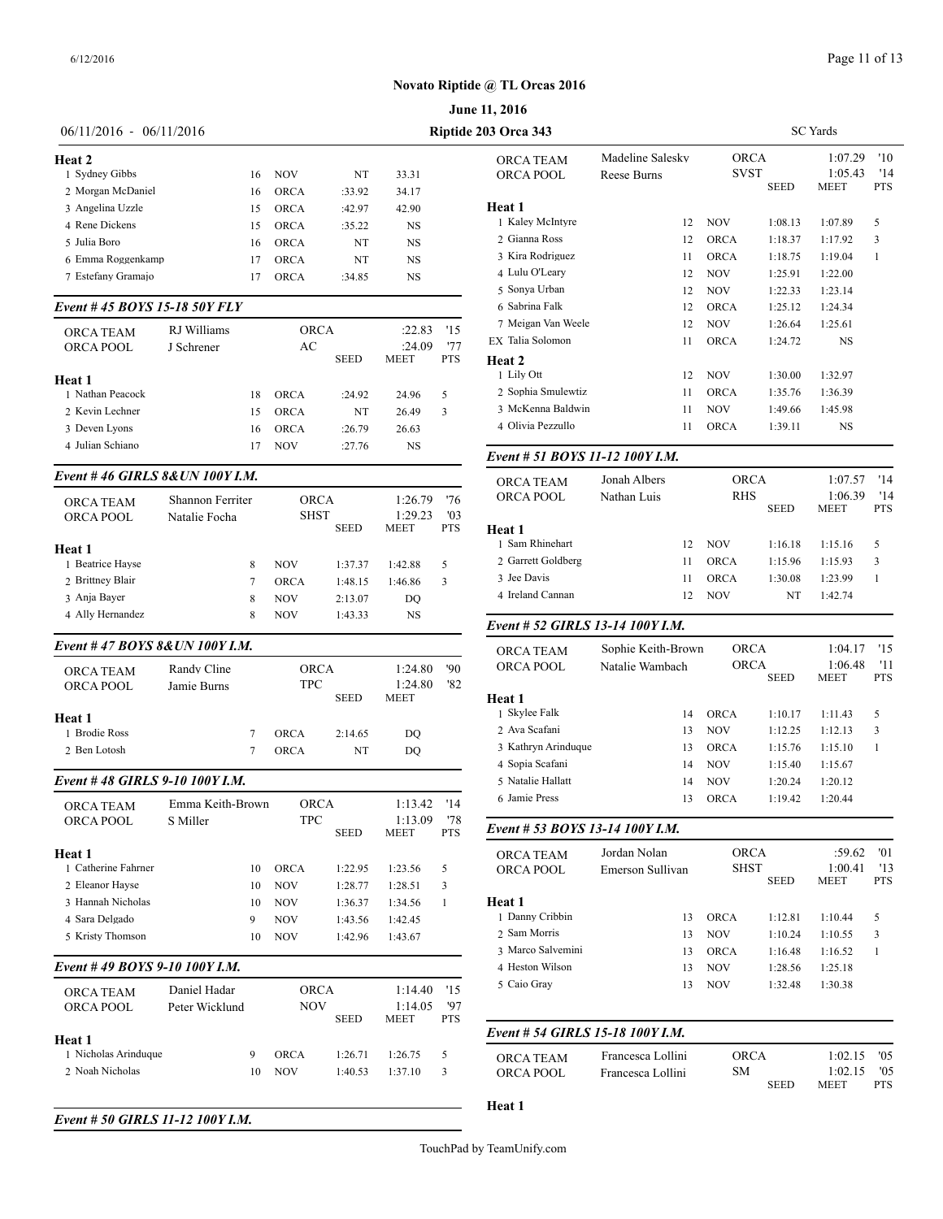|                                         |                  |    |                   |             |                    |            | June 11, 2016                   |                        |
|-----------------------------------------|------------------|----|-------------------|-------------|--------------------|------------|---------------------------------|------------------------|
| 06/11/2016 - 06/11/2016                 |                  |    |                   |             |                    |            | Riptide 203 Orca 343            |                        |
| Heat 2                                  |                  |    |                   |             |                    |            | ORCA TEAM                       | Madeline Salesk        |
| 1 Sydney Gibbs                          |                  | 16 | <b>NOV</b>        | NT          | 33.31              |            | ORCA POOL                       | Reese Burns            |
| 2 Morgan McDaniel                       |                  | 16 | <b>ORCA</b>       | :33.92      | 34.17              |            |                                 |                        |
| 3 Angelina Uzzle                        |                  | 15 | <b>ORCA</b>       | :42.97      | 42.90              |            | Heat 1                          |                        |
| 4 Rene Dickens                          |                  | 15 | <b>ORCA</b>       | :35.22      | NS                 |            | 1 Kaley McIntyre                |                        |
| 5 Julia Boro                            |                  | 16 | <b>ORCA</b>       | NT          | <b>NS</b>          |            | 2 Gianna Ross                   |                        |
| 6 Emma Roggenkamp                       |                  | 17 | ORCA              | NT          | NS                 |            | 3 Kira Rodriguez                |                        |
| 7 Estefany Gramajo                      |                  | 17 | ORCA              | :34.85      | NS                 |            | 4 Lulu O'Leary                  |                        |
| Event #45 BOYS 15-18 50Y FLY            |                  |    |                   |             |                    |            | 5 Sonya Urban<br>6 Sabrina Falk |                        |
|                                         |                  |    |                   |             |                    |            | 7 Meigan Van Weele              |                        |
| ORCA TEAM                               | RJ Williams      |    | <b>ORCA</b><br>AC |             | :22.83<br>:24.09   | '15<br>'77 | EX Talia Solomon                |                        |
| ORCA POOL                               | J Schrener       |    |                   | <b>SEED</b> | <b>MEET</b>        | <b>PTS</b> | Heat 2<br>1 Lily Ott            |                        |
| Heat 1                                  |                  |    |                   |             |                    |            | 2 Sophia Smulewtiz              |                        |
| 1 Nathan Peacock                        |                  | 18 | <b>ORCA</b>       | :24.92      | 24.96              | 5          |                                 |                        |
| 2 Kevin Lechner                         |                  | 15 | <b>ORCA</b>       | NT          | 26.49              | 3          | 3 McKenna Baldwin               |                        |
| 3 Deven Lyons                           |                  | 16 | <b>ORCA</b>       | :26.79      | 26.63              |            | 4 Olivia Pezzullo               |                        |
| 4 Julian Schiano                        |                  | 17 | <b>NOV</b>        | :27.76      | NS                 |            | Event # 51 BOYS 11-12 100Y I.M. |                        |
| Event #46 GIRLS 8& UN 100Y I.M.         |                  |    |                   |             |                    |            | <b>ORCA TEAM</b>                | Jonah Albers           |
| ORCA TEAM                               | Shannon Ferriter |    | ORCA              |             | 1:26.79            | '76        | <b>ORCA POOL</b>                | Nathan Luis            |
| <b>ORCA POOL</b>                        | Natalie Focha    |    | <b>SHST</b>       |             | 1:29.23            | '03        |                                 |                        |
|                                         |                  |    |                   | <b>SEED</b> | MEET               | <b>PTS</b> | <b>Heat 1</b>                   |                        |
| Heat 1                                  |                  |    |                   |             |                    |            | 1 Sam Rhinehart                 |                        |
| 1 Beatrice Hayse                        |                  | 8  | NOV               | 1:37.37     | 1:42.88            | 5          | 2 Garrett Goldberg              |                        |
| 2 Brittney Blair                        |                  | 7  | <b>ORCA</b>       | 1:48.15     | 1:46.86            | 3          | 3 Jee Davis                     |                        |
| 3 Anja Bayer                            |                  | 8  | NOV               | 2:13.07     | DQ                 |            | 4 Ireland Cannan                |                        |
| 4 Ally Hernandez                        |                  | 8  | NOV               | 1:43.33     | NS                 |            | Event # 52 GIRLS 13-14 100Y I.M |                        |
| Event #47 BOYS 8& UN 100Y I.M.          |                  |    |                   |             |                    |            | <b>ORCA TEAM</b>                | Sophie Keith-Bi        |
| ORCA TEAM                               | Randy Cline      |    | ORCA              |             | 1:24.80            | '90        | ORCA POOL                       | Natalie Wambac         |
| ORCA POOL                               | Jamie Burns      |    | TPC               |             | 1:24.80            | '82        |                                 |                        |
|                                         |                  |    |                   | SEED        | <b>MEET</b>        |            | Heat 1                          |                        |
| Heat 1                                  |                  |    |                   |             |                    |            | 1 Skylee Falk                   |                        |
| 1 Brodie Ross                           |                  | 7  | <b>ORCA</b>       | 2:14.65     | DQ                 |            | 2 Ava Scafani                   |                        |
| 2 Ben Lotosh                            |                  | 7  | <b>ORCA</b>       | NT          | DQ                 |            | 3 Kathryn Arinduque             |                        |
|                                         |                  |    |                   |             |                    |            | 4 Sopia Scafani                 |                        |
| Event #48 GIRLS 9-10 100Y I.M.          |                  |    |                   |             |                    |            | 5 Natalie Hallatt               |                        |
|                                         | Emma Keith-Brown |    | ORCA              |             | 1:13.42            | '14        | 6 Jamie Press                   |                        |
| ORCA TEAM<br>ORCA POOL                  | S Miller         |    | TPC               |             | 1:13.09            | '78        |                                 |                        |
|                                         |                  |    |                   | SEED        | MEET               | <b>PTS</b> | Event # 53 BOYS 13-14 100Y I.M. |                        |
| Heat 1                                  |                  |    |                   |             |                    |            | ORCA TEAM                       | Jordan Nolan           |
| 1 Catherine Fahrner                     |                  | 10 | <b>ORCA</b>       | 1:22.95     | 1:23.56            | 5          | ORCA POOL                       | <b>Emerson Sulliva</b> |
| 2 Eleanor Hayse                         |                  | 10 | <b>NOV</b>        | 1:28.77     | 1:28.51            | 3          |                                 |                        |
| 3 Hannah Nicholas                       |                  | 10 | <b>NOV</b>        | 1:36.37     | 1:34.56            | 1          | Heat 1                          |                        |
| 4 Sara Delgado                          |                  | 9  | NOV               | 1:43.56     | 1:42.45            |            | 1 Danny Cribbin                 |                        |
| 5 Kristy Thomson                        |                  | 10 | NOV               | 1:42.96     | 1:43.67            |            | 2 Sam Morris                    |                        |
|                                         |                  |    |                   |             |                    |            | 3 Marco Salvemini               |                        |
| Event #49 BOYS 9-10 100Y I.M.           |                  |    |                   |             |                    |            | 4 Heston Wilson<br>5 Caio Gray  |                        |
| ORCA TEAM                               | Daniel Hadar     |    | ORCA<br>NOV       |             | 1:14.40<br>1:14.05 | '15<br>'97 |                                 |                        |
| ORCA POOL                               | Peter Wicklund   |    |                   | SEED        | MEET               | <b>PTS</b> |                                 |                        |
| Heat 1                                  |                  |    |                   |             |                    |            | Event # 54 GIRLS 15-18 100Y I.M |                        |
| 1 Nicholas Arinduque<br>2 Noah Nicholas |                  | 9  | ORCA              | 1:26.71     | 1:26.75            | 5          | ORCA TEAM                       | Francesca Lollin       |
|                                         |                  | 10 | <b>NOV</b>        | 1:40.53     | 1:37.10            | 3          | ORCA POOL                       | Francesca Lollir       |
|                                         |                  |    |                   |             |                    |            | Heat 1                          |                        |
| Event # 50 GIRLS 11-12 100Y I.M.        |                  |    |                   |             |                    |            |                                 |                        |

| <b>3 Orca 343</b>                |                                 |                            | <b>SC</b> Yards     |                            |                          |
|----------------------------------|---------------------------------|----------------------------|---------------------|----------------------------|--------------------------|
| ORCA TEAM<br>ORCA POOL           | Madeline Salesky<br>Reese Burns | <b>ORCA</b><br><b>SVST</b> | <b>SEED</b>         | 1:07.29<br>1:05.43<br>MEET | '10<br>'14<br><b>PTS</b> |
| Heat 1                           |                                 |                            |                     |                            |                          |
| 1 Kaley McIntyre                 | 12                              | NOV                        | 1:08.13             | 1:07.89                    | 5                        |
| 2 Gianna Ross                    | 12                              | <b>ORCA</b>                | 1:18.37             | 1:17.92                    | 3                        |
| 3 Kira Rodriguez                 | 11                              | <b>ORCA</b>                | 1:18.75             | 1:19.04                    | 1                        |
| 4 Lulu O'Leary                   | 12                              | NOV                        | 1:25.91             | 1:22.00                    |                          |
| 5 Sonya Urban                    | 12                              | NOV                        | 1:22.33             | 1:23.14                    |                          |
| 6 Sabrina Falk                   | 12                              | <b>ORCA</b>                | 1:25.12             | 1:24.34                    |                          |
| 7 Meigan Van Weele               | 12                              | NOV                        | 1:26.64             | 1:25.61                    |                          |
| EX Talia Solomon                 | 11                              | ORCA                       | 1:24.72             | NS                         |                          |
| Heat 2                           |                                 |                            |                     |                            |                          |
| 1 Lily Ott                       | 12                              | NOV                        | 1:30.00             | 1:32.97                    |                          |
| 2 Sophia Smulewtiz               | 11                              | <b>ORCA</b>                | 1:35.76             | 1:36.39                    |                          |
| 3 McKenna Baldwin                | 11                              | <b>NOV</b>                 | 1:49.66             | 1:45.98                    |                          |
| 4 Olivia Pezzullo                | 11                              | ORCA                       | 1:39.11             | NS                         |                          |
| Event # 51 BOYS 11-12 100Y I.M.  |                                 |                            |                     |                            |                          |
| ORCA TEAM                        | Jonah Albers                    |                            | <b>ORCA</b>         | 1:07.57                    | '14                      |
| ORCA POOL                        | Nathan Luis                     | <b>RHS</b>                 |                     | 1:06.39                    | '14                      |
|                                  |                                 |                            | <b>SEED</b>         | MEET                       | <b>PTS</b>               |
| Heat 1                           |                                 |                            |                     |                            |                          |
| 1 Sam Rhinehart                  | 12                              | <b>NOV</b>                 | 1:16.18             | 1:15.16                    | 5                        |
| 2 Garrett Goldberg               | 11                              | <b>ORCA</b>                | 1:15.96             | 1:15.93                    | 3                        |
| 3 Jee Davis                      | 11                              | <b>ORCA</b>                | 1:30.08             | 1:23.99                    | 1                        |
| 4 Ireland Cannan                 | 12                              | NOV                        | NT                  | 1:42.74                    |                          |
| Event # 52 GIRLS 13-14 100Y I.M. |                                 |                            |                     |                            |                          |
| ORCA TEAM                        | Sophie Keith-Brown              | <b>ORCA</b>                |                     | 1:04.17                    | '15                      |
| ORCA POOL                        | Natalie Wambach                 |                            | <b>ORCA</b><br>SEED | 1:06.48<br>MEET            | '11<br><b>PTS</b>        |
| Heat 1                           |                                 |                            |                     |                            |                          |
| 1 Skylee Falk                    | 14                              | <b>ORCA</b>                | 1:10.17             | 1:11.43                    | 5                        |
| 2 Ava Scafani                    | 13                              | NOV                        | 1:12.25             | 1:12.13                    | 3                        |
| 3 Kathryn Arinduque              | 13                              | <b>ORCA</b>                | 1:15.76             | 1:15.10                    | 1                        |
| 4 Sopia Scafani                  | 14                              | NOV                        | 1:15.40             | 1:15.67                    |                          |
| 5 Natalie Hallatt                | 14                              | <b>NOV</b>                 | 1:20.24             | 1:20.12                    |                          |
| 6 Jamie Press                    | 13                              | <b>ORCA</b>                | 1:19.42             | 1:20.44                    |                          |
| Event # 53 BOYS 13-14 100Y I.M.  |                                 |                            |                     |                            |                          |
| ORCA TEAM                        | Jordan Nolan                    | ORCA                       |                     | :59.62                     | '01                      |
| ORCA POOL                        | Emerson Sullivan                | <b>SHST</b>                | <b>SEED</b>         | 1:00.41<br>MEET            | '13<br><b>PTS</b>        |
| Heat 1                           |                                 |                            |                     |                            |                          |
| 1 Danny Cribbin                  | 13                              | ORCA                       | 1:12.81             | 1:10.44                    | 5                        |
| 2 Sam Morris                     | 13                              | <b>NOV</b>                 | 1:10.24             | 1:10.55                    | 3                        |
| 3 Marco Salvemini                | 13                              | <b>ORCA</b>                | 1:16.48             | 1:16.52                    | 1                        |
| 4 Heston Wilson                  | 13                              | <b>NOV</b>                 | 1:28.56             | 1:25.18                    |                          |
| 5 Caio Gray                      | 13                              | NOV                        | 1:32.48             | 1:30.38                    |                          |
|                                  |                                 |                            |                     |                            |                          |
| Event # 54 GIRLS 15-18 100Y I.M. |                                 |                            |                     |                            |                          |
| ORCA TEAM                        | Francesca Lollini               | ORCA                       |                     | 1:02.15                    | '05                      |
| ORCA POOL                        | Francesca Lollini               | SМ                         | <b>SEED</b>         | 1:02.15<br>MEET            | '05<br>PTS               |
| Heat 1                           |                                 |                            |                     |                            |                          |
|                                  |                                 |                            |                     |                            |                          |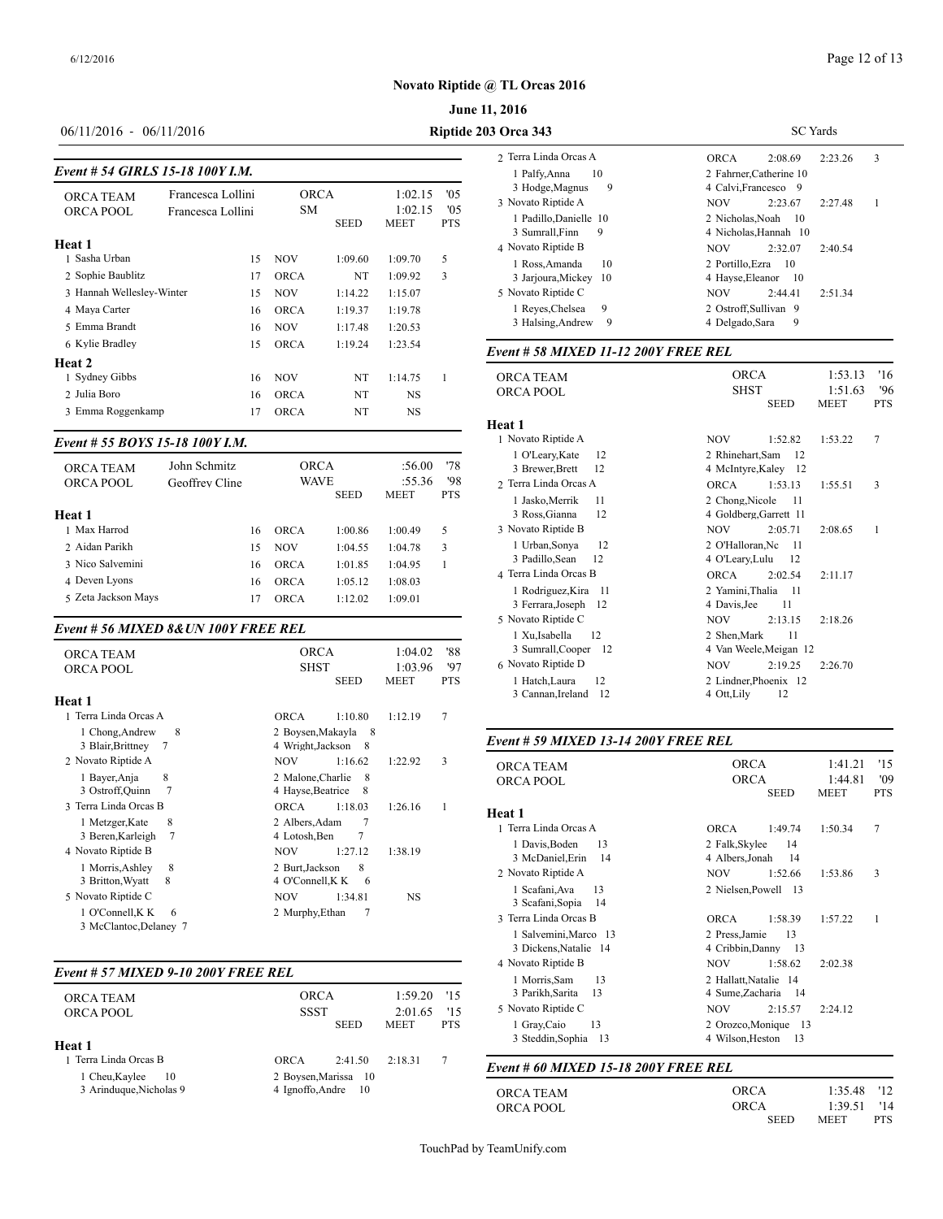#### **June 11, 2016**

# 06/11/2016 - 06/11/2016 **Riptide 203 Orca 343**

#### *Event # 54 GIRLS 15-18 100Y I.M.*

| <b>ORCA TEAM</b><br>ORCA POOL | Francesca Lollini<br>Francesca Lollini | <b>ORCA</b><br><b>SM</b> | <b>SEED</b> | 1:02.15<br>1:02.15<br><b>MEET</b> | '05<br>'0.5<br><b>PTS</b> | ,<br>3 Hodge, Magn<br>3 Novato Riptide.<br>1 Padillo, Danie |
|-------------------------------|----------------------------------------|--------------------------|-------------|-----------------------------------|---------------------------|-------------------------------------------------------------|
| Heat 1                        |                                        |                          |             |                                   |                           | 3 Sumrall, Finn<br>4 Novato Riptide                         |
| 1 Sasha Urban                 | 15                                     | <b>NOV</b>               | 1:09.60     | 1:09.70                           | 5                         | 1 Ross, Amand                                               |
| 2 Sophie Baublitz             | 17                                     | <b>ORCA</b>              | NT          | 1:09.92                           | 3                         | 3 Jarjoura, Micl                                            |
| 3 Hannah Wellesley-Winter     | 15                                     | <b>NOV</b>               | 1:14.22     | 1:15.07                           |                           | 5 Novato Riptide                                            |
| 4 Maya Carter                 | 16                                     | <b>ORCA</b>              | 1:19.37     | 1:19.78                           |                           | 1 Reves, Chelse                                             |
| 5 Emma Brandt                 | 16                                     | <b>NOV</b>               | 1:17.48     | 1:20.53                           |                           | 3 Halsing, And                                              |
| 6 Kylie Bradley               | 15                                     | <b>ORCA</b>              | 1:19.24     | 1:23.54                           |                           | Event # 58 MIX                                              |
| <b>Heat 2</b>                 |                                        |                          |             |                                   |                           |                                                             |
| 1 Sydney Gibbs                | 16                                     | <b>NOV</b>               | NT          | 1:14.75                           | 1                         | <b>ORCA TEAM</b>                                            |
| 2 Julia Boro                  | 16                                     | <b>ORCA</b>              | NT          | <b>NS</b>                         |                           | <b>ORCA POOL</b>                                            |
| 3 Emma Roggenkamp             | 17                                     | <b>ORCA</b>              | NT          | <b>NS</b>                         |                           | $H_{\alpha\alpha}$ + 1                                      |

#### *Event # 55 BOYS 15-18 100Y I.M.*

| <b>ORCA TEAM</b><br>ORCA POOL | John Schmitz<br>Geoffrey Cline |    | <b>ORCA</b><br><b>WAVE</b> | <b>SEED</b> | :56.00<br>:55.36<br><b>MEET</b> | '78<br>'98<br><b>PTS</b> | 1 U Leary, Kate<br>3 Brewer, Brett<br>2 Terra Linda Orc<br>1 Jasko, Merrik |
|-------------------------------|--------------------------------|----|----------------------------|-------------|---------------------------------|--------------------------|----------------------------------------------------------------------------|
| Heat 1                        |                                |    |                            |             |                                 |                          | 3 Ross, Gianna                                                             |
| 1 Max Harrod                  |                                | 16 | <b>ORCA</b>                | 1:00.86     | 1:00.49                         | 5                        | 3 Novato Riptide                                                           |
| 2 Aidan Parikh                |                                | 15 | <b>NOV</b>                 | 1:04.55     | 1:04.78                         | 3                        | 1 Urban, Sonya                                                             |
| 3 Nico Salvemini              |                                | 16 | <b>ORCA</b>                | 1:01.85     | 1:04.95                         |                          | 3 Padillo, Sean                                                            |
| 4 Deven Lyons                 |                                | 16 | <b>ORCA</b>                | 1:05.12     | 1:08.03                         |                          | 4 Terra Linda Orca                                                         |
| 5 Zeta Jackson Mays           |                                | 17 | ORCA                       | 1:12.02     | 1:09.01                         |                          | 1 Rodriguez, K<br>2 Earrero Locar                                          |

#### *Event # 56 MIXED 8&UN 100Y FREE REL*

| <b>ORCA TEAM</b><br><b>ORCA POOL</b>           | <b>ORCA</b><br><b>SHST</b><br><b>SEED</b>             | 1:04.02<br>1:03.96<br><b>MEET</b> | '88<br>'97<br><b>PTS</b> | 3 Sumrall, Coo<br>6 Novato Riptide<br>1 Hatch, Laura<br>3 Cannan, Irela |
|------------------------------------------------|-------------------------------------------------------|-----------------------------------|--------------------------|-------------------------------------------------------------------------|
| Heat 1                                         |                                                       |                                   |                          |                                                                         |
| 1 Terra Linda Orcas A                          | <b>ORCA</b><br>1:10.80                                | 1:12.19                           | 7                        |                                                                         |
| 8<br>1 Chong, Andrew<br>7<br>3 Blair, Brittney | 2 Boysen, Makayla 8<br>4 Wright, Jackson<br>- 8       |                                   |                          | Event # 59 MIX                                                          |
| 2 Novato Riptide A                             | <b>NOV</b><br>1:16.62                                 | 1:22.92                           | 3                        | <b>ORCA TEAM</b>                                                        |
| 8<br>1 Bayer, Anja<br>7<br>3 Ostroff, Quinn    | 2 Malone, Charlie<br>8<br>4 Hayse, Beatrice<br>8      |                                   |                          | <b>ORCA POOL</b>                                                        |
| 3 Terra Linda Orcas B                          | 1:18.03<br><b>ORCA</b>                                | 1:26.16                           | 1                        |                                                                         |
| 8<br>1 Metzger, Kate<br>3 Beren, Karleigh<br>7 | $\overline{7}$<br>2 Albers.Adam<br>7<br>4 Lotosh, Ben |                                   |                          | Heat 1<br>1 Terra Linda Orc                                             |
| 4 Novato Riptide B                             | <b>NOV</b><br>1:27.12                                 | 1:38.19                           |                          | 1 Davis, Boden<br>3 McDaniel, Er                                        |
| 1 Morris, Ashley<br>8                          | 2 Burt.Jackson<br>8                                   |                                   |                          | 2 Novato Riptide.                                                       |
| 8<br>3 Britton, Wyatt                          | 4 O'Connell, K K<br>-6                                |                                   |                          | 1 Scafani, Ava                                                          |
| 5 Novato Riptide C                             | <b>NOV</b><br>1:34.81                                 | NS                                |                          | 3 Scafani, Sopia                                                        |
| 1 O'Connell, K K<br>6                          | 2 Murphy, Ethan<br>7                                  |                                   |                          | 3 Terra Linda Orc                                                       |
| 3 McClantoc, Delaney 7                         |                                                       |                                   |                          | $1.0 - 1.0 - 0.01 + 1.0$                                                |

#### *Event # 57 MIXED 9-10 200Y FREE REL*

| <b>ORCA TEAM</b><br>ORCA POOL<br>Heat 1         | <b>ORCA</b><br><b>SSST</b> | <b>SEED</b>                                | $1:59.20$ '15<br>2:01.65<br><b>MEET</b> | 15<br><b>PTS</b> | 3 Parikh, Sarita<br>5 Novato Riptide<br>1 Gray, Caio<br>3 Steddin, Soph |
|-------------------------------------------------|----------------------------|--------------------------------------------|-----------------------------------------|------------------|-------------------------------------------------------------------------|
| 1 Terra Linda Orcas B                           | ORCA                       | 2:41.50                                    | 2:18.31                                 | 7                | Event # 60 MIX                                                          |
| 1 Cheu, Kaylee<br>10<br>3 Arinduque, Nicholas 9 |                            | 2 Boysen, Marissa 10<br>4 Ignoffo.Andre 10 |                                         |                  |                                                                         |
|                                                 |                            |                                            |                                         |                  | <b>ORCA TEAM</b>                                                        |

| <b>03 Orca 343</b>                              | <b>SC</b> Yards                                              |  |  |  |  |  |
|-------------------------------------------------|--------------------------------------------------------------|--|--|--|--|--|
| 2. Terra Linda Orcas A                          | 2.23.26<br>3<br><b>ORCA</b><br>2:08.69                       |  |  |  |  |  |
| 1 Palfy, Anna<br>10<br>3 Hodge, Magnus<br>9     | 2 Fahrner Catherine 10<br>4 Calvi, Francesco 9               |  |  |  |  |  |
| 3 Novato Riptide A                              | 2:23.67<br><b>NOV</b><br>2:27.48<br>1                        |  |  |  |  |  |
| 1 Padillo, Danielle 10<br>3 Sumrall, Finn<br>9  | 2 Nicholas. Noah<br>$\overline{10}$<br>4 Nicholas, Hannah 10 |  |  |  |  |  |
| 4 Novato Riptide B                              | <b>NOV</b><br>2:32.07<br>2:40.54                             |  |  |  |  |  |
| 10<br>1 Ross, Amanda<br>3 Jarjoura, Mickey 10   | 2 Portillo. Ezra<br>- 10<br>4 Hayse, Eleanor<br>- 10         |  |  |  |  |  |
| 5 Novato Riptide C                              | 2:51.34<br><b>NOV</b><br>2:44.41                             |  |  |  |  |  |
| 9<br>1 Reves, Chelsea<br>3 Halsing, Andrew<br>9 | 2 Ostroff, Sullivan 9<br>9<br>4 Delgado Sara                 |  |  |  |  |  |

# *Event # 58 MIXED 11-12 200Y FREE REL*

| <b>ORCA TEAM</b>          | <b>ORCA</b>                |                        | '16<br>1:53.13    |
|---------------------------|----------------------------|------------------------|-------------------|
| ORCA POOL                 | <b>SHST</b><br><b>SEED</b> | 1:51.63<br><b>MEET</b> | 96'<br><b>PTS</b> |
| Heat 1                    |                            |                        |                   |
| 1 Novato Riptide A        | <b>NOV</b><br>1:52.82      | 1:53.22                | 7                 |
| 1 O'Leary, Kate<br>12     | 2 Rhinehart, Sam<br>12     |                        |                   |
| 3 Brewer, Brett<br>12     | 4 McIntyre, Kaley 12       |                        |                   |
| 2 Terra Linda Orcas A     | <b>ORCA</b><br>1:53.13     | 1:55.51                | 3                 |
| 1 Jasko, Merrik<br>11     | 2 Chong, Nicole<br>11      |                        |                   |
| 3 Ross, Gianna<br>12      | 4 Goldberg, Garrett 11     |                        |                   |
| 3 Novato Riptide B        | <b>NOV</b><br>2:05.71      | 2:08.65                | 1                 |
| 1 Urban, Sonya<br>12      | 2 O'Halloran, Nc           | -11                    |                   |
| 3 Padillo, Sean<br>12     | 4 O'Leary, Lulu<br>12      |                        |                   |
| 4 Terra Linda Orcas B     | <b>ORCA</b><br>2:02.54     | 2:11.17                |                   |
| 1 Rodriguez, Kira<br>-11  | 2 Yamini, Thalia<br>- 11   |                        |                   |
| 3 Ferrara, Joseph<br>-12  | 4 Davis, Jee<br>11         |                        |                   |
| 5 Novato Riptide C        | <b>NOV</b><br>2:13.15      | 2:18.26                |                   |
| 12<br>1 Xu, Isabella      | 2 Shen, Mark               | 11                     |                   |
| 3 Sumrall, Cooper<br>- 12 | 4 Van Weele, Meigan 12     |                        |                   |
| 6 Novato Riptide D        | <b>NOV</b><br>2:19.25      | 2:26.70                |                   |
| 1 Hatch, Laura<br>12      | 2 Lindner, Phoenix 12      |                        |                   |
| 3 Cannan, Ireland<br>12   | 12<br>4 Ott, Lily          |                        |                   |

#### *Event # 59 MIXED 13-14 200Y FREE REL*

| <b>ORCA</b>                                       |             | '15                                            |
|---------------------------------------------------|-------------|------------------------------------------------|
| <b>ORCA</b>                                       | 1:44.81     | '09                                            |
|                                                   |             | <b>PTS</b>                                     |
|                                                   |             |                                                |
| <b>ORCA</b><br>1:49.74                            | 1:50.34     | 7                                              |
| 2 Falk, Skylee<br>14<br>4 Albers, Jonah<br>14     |             |                                                |
| NOV<br>1:52.66                                    | 1:53.86     | 3                                              |
| 2 Nielsen, Powell 13                              |             |                                                |
| <b>ORCA</b><br>1:58.39                            | 1:57.22     | 1                                              |
| 13<br>2 Press Jamie<br>4 Cribbin, Danny<br>13     |             |                                                |
| <b>NOV</b><br>1:58.62                             | 2:02.38     |                                                |
| 2 Hallatt, Natalie 14<br>4 Sume, Zacharia<br>- 14 |             |                                                |
| <b>NOV</b><br>2:15.57                             | 2:24.12     |                                                |
| 4 Wilson, Heston<br>13                            |             |                                                |
|                                                   | <b>SEED</b> | 1:41.21<br><b>MEET</b><br>2 Orozco, Monique 13 |

#### *Event # 60 MIXED 15-18 200Y FREE REL*

| ORCA TEAM | <b>ORCA</b> | 1:35.48 '12               |  |
|-----------|-------------|---------------------------|--|
| ORCA POOL | <b>ORCA</b> | $1:39.51$ '14             |  |
|           | <b>SEED</b> | <b>PTS</b><br><b>MEET</b> |  |